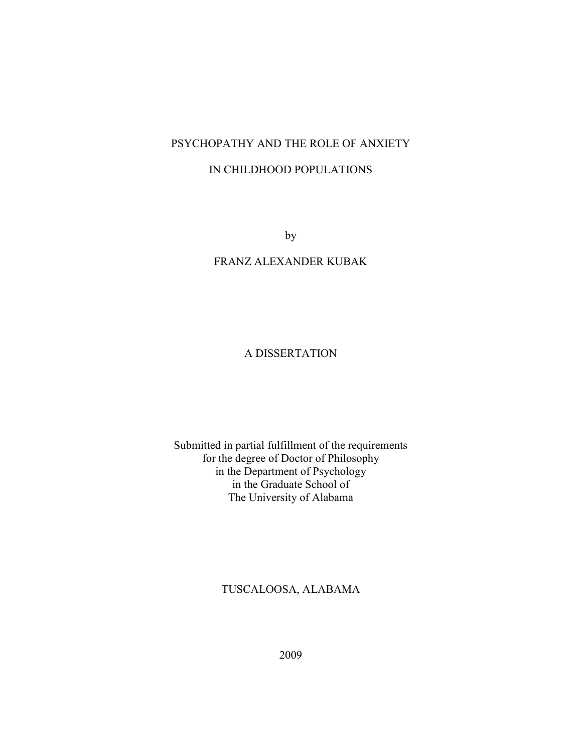## PSYCHOPATHY AND THE ROLE OF ANXIETY

## IN CHILDHOOD POPULATIONS

by

## FRANZ ALEXANDER KUBAK

## A DISSERTATION

## Submitted in partial fulfillment of the requirements for the degree of Doctor of Philosophy in the Department of Psychology in the Graduate School of The University of Alabama

## TUSCALOOSA, ALABAMA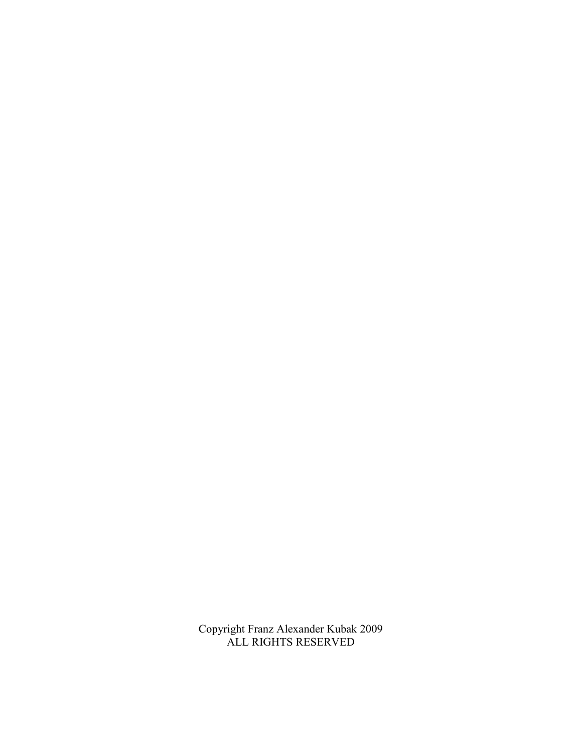Copyright Franz Alexander Kubak 2009 ALL RIGHTS RESERVED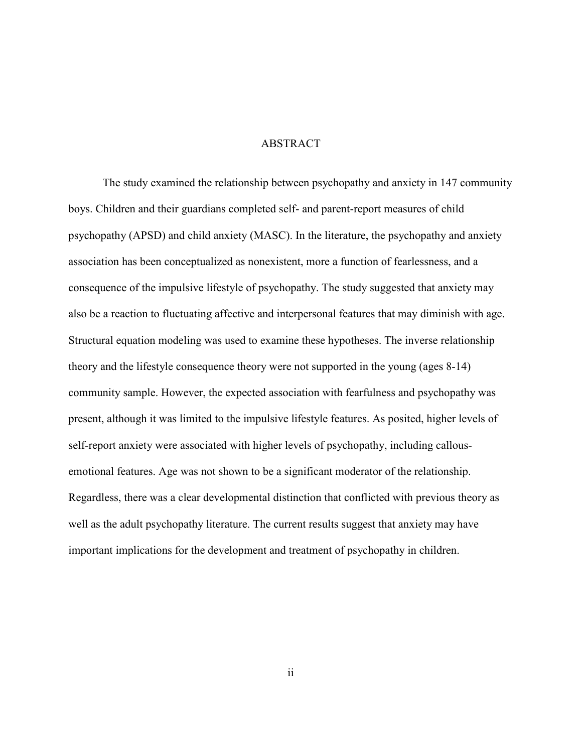### ABSTRACT

The study examined the relationship between psychopathy and anxiety in 147 community boys. Children and their guardians completed self- and parent-report measures of child psychopathy (APSD) and child anxiety (MASC). In the literature, the psychopathy and anxiety association has been conceptualized as nonexistent, more a function of fearlessness, and a consequence of the impulsive lifestyle of psychopathy. The study suggested that anxiety may also be a reaction to fluctuating affective and interpersonal features that may diminish with age. Structural equation modeling was used to examine these hypotheses. The inverse relationship theory and the lifestyle consequence theory were not supported in the young (ages 8-14) community sample. However, the expected association with fearfulness and psychopathy was present, although it was limited to the impulsive lifestyle features. As posited, higher levels of self-report anxiety were associated with higher levels of psychopathy, including callousemotional features. Age was not shown to be a significant moderator of the relationship. Regardless, there was a clear developmental distinction that conflicted with previous theory as well as the adult psychopathy literature. The current results suggest that anxiety may have important implications for the development and treatment of psychopathy in children.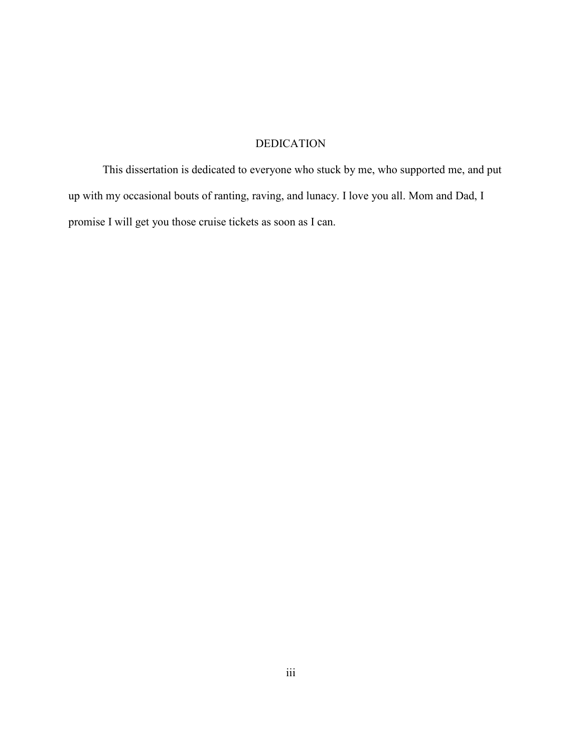## DEDICATION

This dissertation is dedicated to everyone who stuck by me, who supported me, and put up with my occasional bouts of ranting, raving, and lunacy. I love you all. Mom and Dad, I promise I will get you those cruise tickets as soon as I can.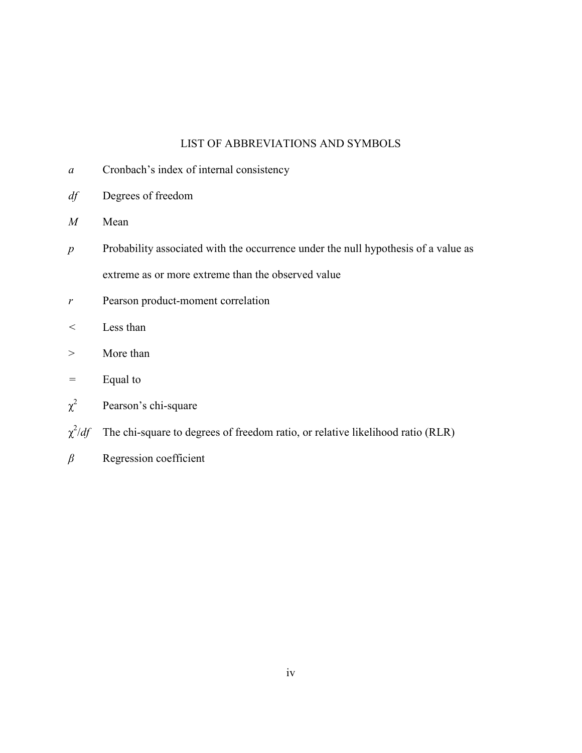## LIST OF ABBREVIATIONS AND SYMBOLS

- *a* Cronbach's index of internal consistency
- *df* Degrees of freedom
- *M* Mean
- *p* Probability associated with the occurrence under the null hypothesis of a value as extreme as or more extreme than the observed value
- *r* Pearson product-moment correlation
- *<* Less than
- > More than
- *=* Equal to
- $\chi^2$ Pearson's chi-square
- $\chi^2$ The chi-square to degrees of freedom ratio, or relative likelihood ratio (RLR)
- *β* Regression coefficient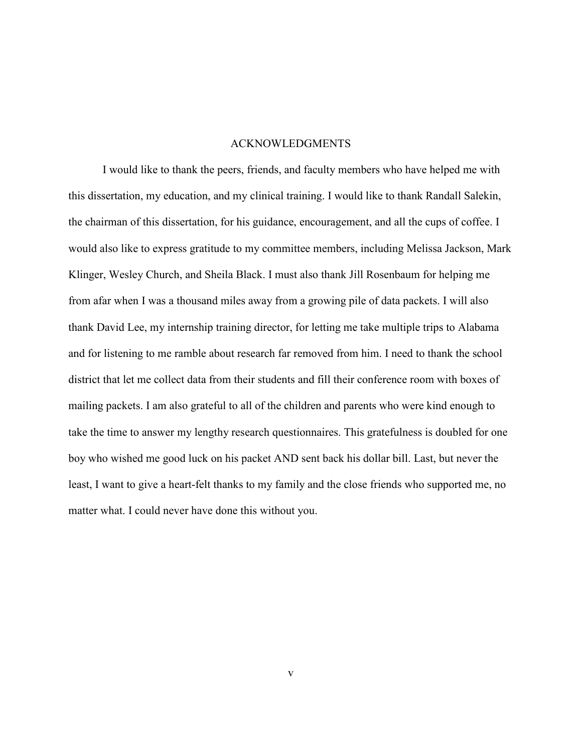#### ACKNOWLEDGMENTS

I would like to thank the peers, friends, and faculty members who have helped me with this dissertation, my education, and my clinical training. I would like to thank Randall Salekin, the chairman of this dissertation, for his guidance, encouragement, and all the cups of coffee. I would also like to express gratitude to my committee members, including Melissa Jackson, Mark Klinger, Wesley Church, and Sheila Black. I must also thank Jill Rosenbaum for helping me from afar when I was a thousand miles away from a growing pile of data packets. I will also thank David Lee, my internship training director, for letting me take multiple trips to Alabama and for listening to me ramble about research far removed from him. I need to thank the school district that let me collect data from their students and fill their conference room with boxes of mailing packets. I am also grateful to all of the children and parents who were kind enough to take the time to answer my lengthy research questionnaires. This gratefulness is doubled for one boy who wished me good luck on his packet AND sent back his dollar bill. Last, but never the least, I want to give a heart-felt thanks to my family and the close friends who supported me, no matter what. I could never have done this without you.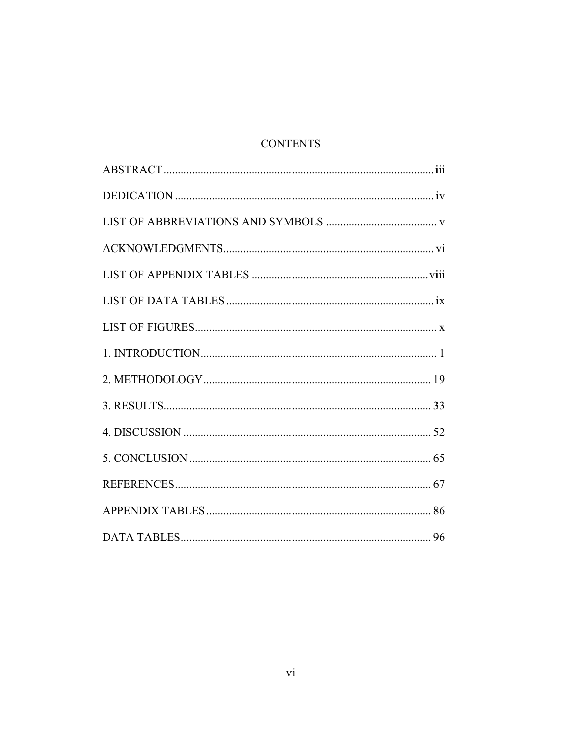## **CONTENTS**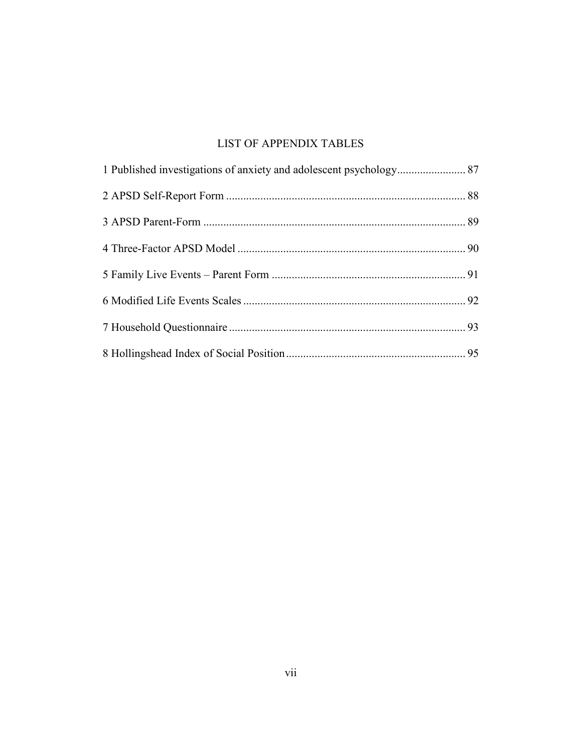## LIST OF APPENDIX TABLES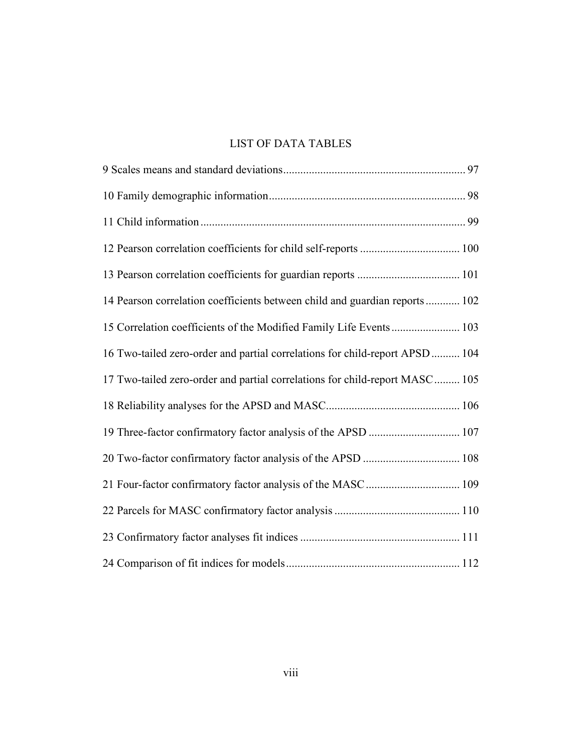## LIST OF DATA TABLES

| 14 Pearson correlation coefficients between child and guardian reports 102   |  |
|------------------------------------------------------------------------------|--|
| 15 Correlation coefficients of the Modified Family Life Events  103          |  |
| 16 Two-tailed zero-order and partial correlations for child-report APSD  104 |  |
| 17 Two-tailed zero-order and partial correlations for child-report MASC 105  |  |
|                                                                              |  |
| 19 Three-factor confirmatory factor analysis of the APSD  107                |  |
|                                                                              |  |
|                                                                              |  |
|                                                                              |  |
|                                                                              |  |
|                                                                              |  |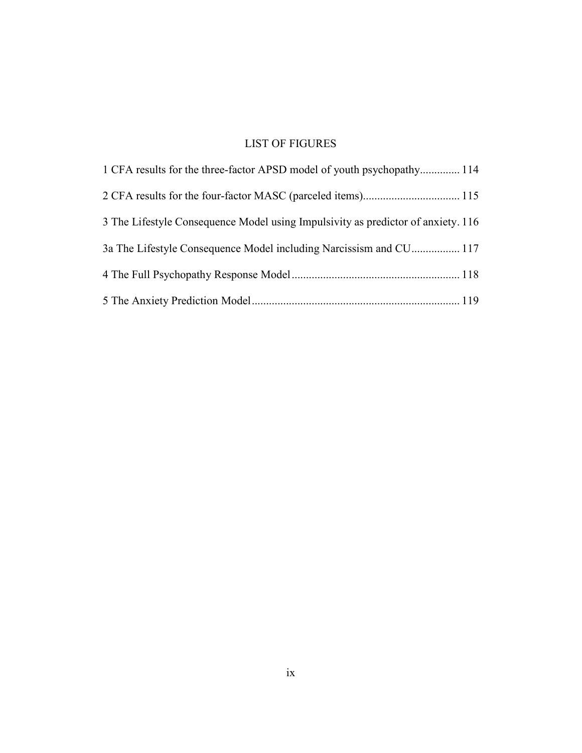# LIST OF FIGURES

| 14 1 CFA results for the three-factor APSD model of youth psychopathy 114        |
|----------------------------------------------------------------------------------|
|                                                                                  |
| 3 The Lifestyle Consequence Model using Impulsivity as predictor of anxiety. 116 |
| 3a The Lifestyle Consequence Model including Narcissism and CU 117               |
|                                                                                  |
|                                                                                  |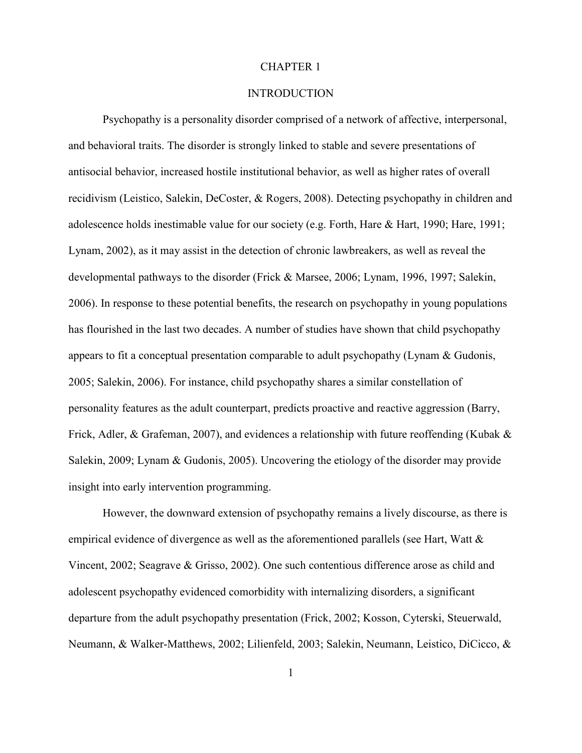#### CHAPTER 1

#### INTRODUCTION

Psychopathy is a personality disorder comprised of a network of affective, interpersonal, and behavioral traits. The disorder is strongly linked to stable and severe presentations of antisocial behavior, increased hostile institutional behavior, as well as higher rates of overall recidivism (Leistico, Salekin, DeCoster, & Rogers, 2008). Detecting psychopathy in children and adolescence holds inestimable value for our society (e.g. Forth, Hare & Hart, 1990; Hare, 1991; Lynam, 2002), as it may assist in the detection of chronic lawbreakers, as well as reveal the developmental pathways to the disorder (Frick & Marsee, 2006; Lynam, 1996, 1997; Salekin, 2006). In response to these potential benefits, the research on psychopathy in young populations has flourished in the last two decades. A number of studies have shown that child psychopathy appears to fit a conceptual presentation comparable to adult psychopathy (Lynam & Gudonis, 2005; Salekin, 2006). For instance, child psychopathy shares a similar constellation of personality features as the adult counterpart, predicts proactive and reactive aggression (Barry, Frick, Adler, & Grafeman, 2007), and evidences a relationship with future reoffending (Kubak & Salekin, 2009; Lynam & Gudonis, 2005). Uncovering the etiology of the disorder may provide insight into early intervention programming.

However, the downward extension of psychopathy remains a lively discourse, as there is empirical evidence of divergence as well as the aforementioned parallels (see Hart, Watt & Vincent, 2002; Seagrave & Grisso, 2002). One such contentious difference arose as child and adolescent psychopathy evidenced comorbidity with internalizing disorders, a significant departure from the adult psychopathy presentation (Frick, 2002; Kosson, Cyterski, Steuerwald, Neumann, & Walker-Matthews, 2002; Lilienfeld, 2003; Salekin, Neumann, Leistico, DiCicco, &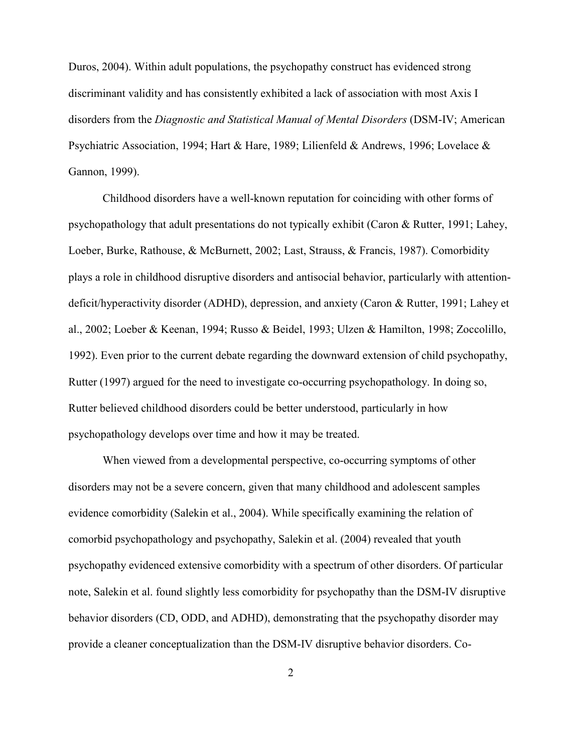Duros, 2004). Within adult populations, the psychopathy construct has evidenced strong discriminant validity and has consistently exhibited a lack of association with most Axis I disorders from the *Diagnostic and Statistical Manual of Mental Disorders* (DSM-IV; American Psychiatric Association, 1994; Hart & Hare, 1989; Lilienfeld & Andrews, 1996; Lovelace & Gannon, 1999).

Childhood disorders have a well-known reputation for coinciding with other forms of psychopathology that adult presentations do not typically exhibit (Caron & Rutter, 1991; Lahey, Loeber, Burke, Rathouse, & McBurnett, 2002; Last, Strauss, & Francis, 1987). Comorbidity plays a role in childhood disruptive disorders and antisocial behavior, particularly with attentiondeficit/hyperactivity disorder (ADHD), depression, and anxiety (Caron & Rutter, 1991; Lahey et al., 2002; Loeber & Keenan, 1994; Russo & Beidel, 1993; Ulzen & Hamilton, 1998; Zoccolillo, 1992). Even prior to the current debate regarding the downward extension of child psychopathy, Rutter (1997) argued for the need to investigate co-occurring psychopathology. In doing so, Rutter believed childhood disorders could be better understood, particularly in how psychopathology develops over time and how it may be treated.

When viewed from a developmental perspective, co-occurring symptoms of other disorders may not be a severe concern, given that many childhood and adolescent samples evidence comorbidity (Salekin et al., 2004). While specifically examining the relation of comorbid psychopathology and psychopathy, Salekin et al. (2004) revealed that youth psychopathy evidenced extensive comorbidity with a spectrum of other disorders. Of particular note, Salekin et al. found slightly less comorbidity for psychopathy than the DSM-IV disruptive behavior disorders (CD, ODD, and ADHD), demonstrating that the psychopathy disorder may provide a cleaner conceptualization than the DSM-IV disruptive behavior disorders. Co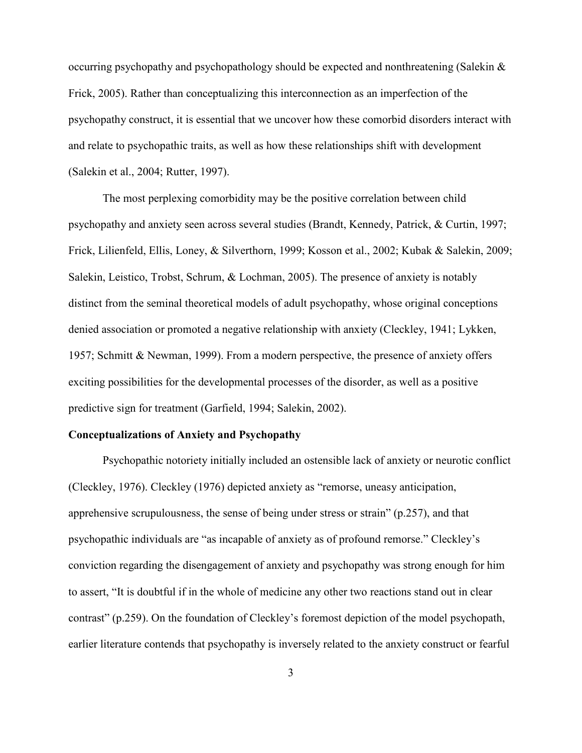occurring psychopathy and psychopathology should be expected and nonthreatening (Salekin & Frick, 2005). Rather than conceptualizing this interconnection as an imperfection of the psychopathy construct, it is essential that we uncover how these comorbid disorders interact with and relate to psychopathic traits, as well as how these relationships shift with development (Salekin et al., 2004; Rutter, 1997).

The most perplexing comorbidity may be the positive correlation between child psychopathy and anxiety seen across several studies (Brandt, Kennedy, Patrick, & Curtin, 1997; Frick, Lilienfeld, Ellis, Loney, & Silverthorn, 1999; Kosson et al., 2002; Kubak & Salekin, 2009; Salekin, Leistico, Trobst, Schrum, & Lochman, 2005). The presence of anxiety is notably distinct from the seminal theoretical models of adult psychopathy, whose original conceptions denied association or promoted a negative relationship with anxiety (Cleckley, 1941; Lykken, 1957; Schmitt & Newman, 1999). From a modern perspective, the presence of anxiety offers exciting possibilities for the developmental processes of the disorder, as well as a positive predictive sign for treatment (Garfield, 1994; Salekin, 2002).

## **Conceptualizations of Anxiety and Psychopathy**

Psychopathic notoriety initially included an ostensible lack of anxiety or neurotic conflict (Cleckley, 1976). Cleckley (1976) depicted anxiety as "remorse, uneasy anticipation, apprehensive scrupulousness, the sense of being under stress or strain" (p.257), and that psychopathic individuals are "as incapable of anxiety as of profound remorse." Cleckley's conviction regarding the disengagement of anxiety and psychopathy was strong enough for him to assert, "It is doubtful if in the whole of medicine any other two reactions stand out in clear contrast" (p.259). On the foundation of Cleckley's foremost depiction of the model psychopath, earlier literature contends that psychopathy is inversely related to the anxiety construct or fearful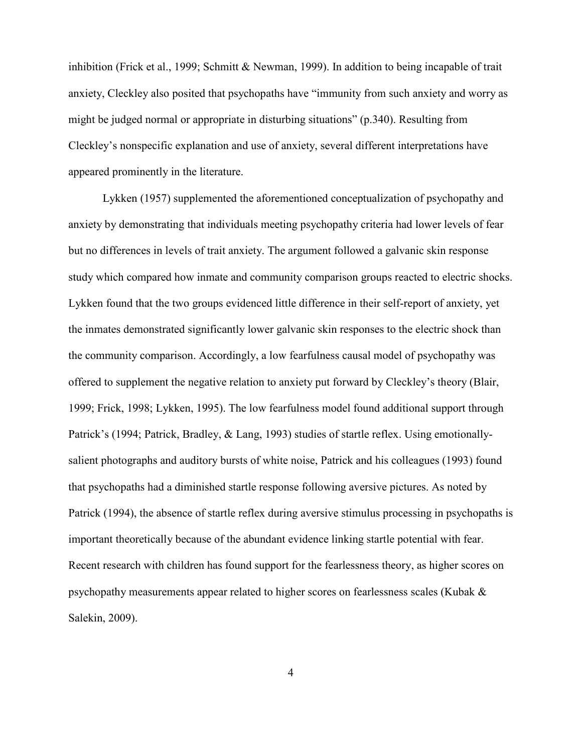inhibition (Frick et al., 1999; Schmitt & Newman, 1999). In addition to being incapable of trait anxiety, Cleckley also posited that psychopaths have "immunity from such anxiety and worry as might be judged normal or appropriate in disturbing situations" (p.340). Resulting from Cleckley's nonspecific explanation and use of anxiety, several different interpretations have appeared prominently in the literature.

Lykken (1957) supplemented the aforementioned conceptualization of psychopathy and anxiety by demonstrating that individuals meeting psychopathy criteria had lower levels of fear but no differences in levels of trait anxiety. The argument followed a galvanic skin response study which compared how inmate and community comparison groups reacted to electric shocks. Lykken found that the two groups evidenced little difference in their self-report of anxiety, yet the inmates demonstrated significantly lower galvanic skin responses to the electric shock than the community comparison. Accordingly, a low fearfulness causal model of psychopathy was offered to supplement the negative relation to anxiety put forward by Cleckley's theory (Blair, 1999; Frick, 1998; Lykken, 1995). The low fearfulness model found additional support through Patrick's (1994; Patrick, Bradley, & Lang, 1993) studies of startle reflex. Using emotionallysalient photographs and auditory bursts of white noise, Patrick and his colleagues (1993) found that psychopaths had a diminished startle response following aversive pictures. As noted by Patrick (1994), the absence of startle reflex during aversive stimulus processing in psychopaths is important theoretically because of the abundant evidence linking startle potential with fear. Recent research with children has found support for the fearlessness theory, as higher scores on psychopathy measurements appear related to higher scores on fearlessness scales (Kubak & Salekin, 2009).

4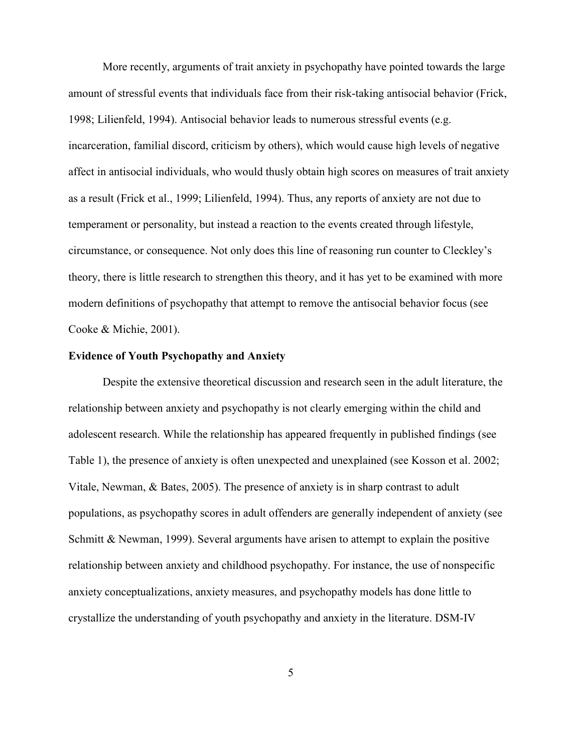More recently, arguments of trait anxiety in psychopathy have pointed towards the large amount of stressful events that individuals face from their risk-taking antisocial behavior (Frick, 1998; Lilienfeld, 1994). Antisocial behavior leads to numerous stressful events (e.g. incarceration, familial discord, criticism by others), which would cause high levels of negative affect in antisocial individuals, who would thusly obtain high scores on measures of trait anxiety as a result (Frick et al., 1999; Lilienfeld, 1994). Thus, any reports of anxiety are not due to temperament or personality, but instead a reaction to the events created through lifestyle, circumstance, or consequence. Not only does this line of reasoning run counter to Cleckley's theory, there is little research to strengthen this theory, and it has yet to be examined with more modern definitions of psychopathy that attempt to remove the antisocial behavior focus (see Cooke & Michie, 2001).

### **Evidence of Youth Psychopathy and Anxiety**

Despite the extensive theoretical discussion and research seen in the adult literature, the relationship between anxiety and psychopathy is not clearly emerging within the child and adolescent research. While the relationship has appeared frequently in published findings (see Table 1), the presence of anxiety is often unexpected and unexplained (see Kosson et al. 2002; Vitale, Newman, & Bates, 2005). The presence of anxiety is in sharp contrast to adult populations, as psychopathy scores in adult offenders are generally independent of anxiety (see Schmitt & Newman, 1999). Several arguments have arisen to attempt to explain the positive relationship between anxiety and childhood psychopathy. For instance, the use of nonspecific anxiety conceptualizations, anxiety measures, and psychopathy models has done little to crystallize the understanding of youth psychopathy and anxiety in the literature. DSM-IV

5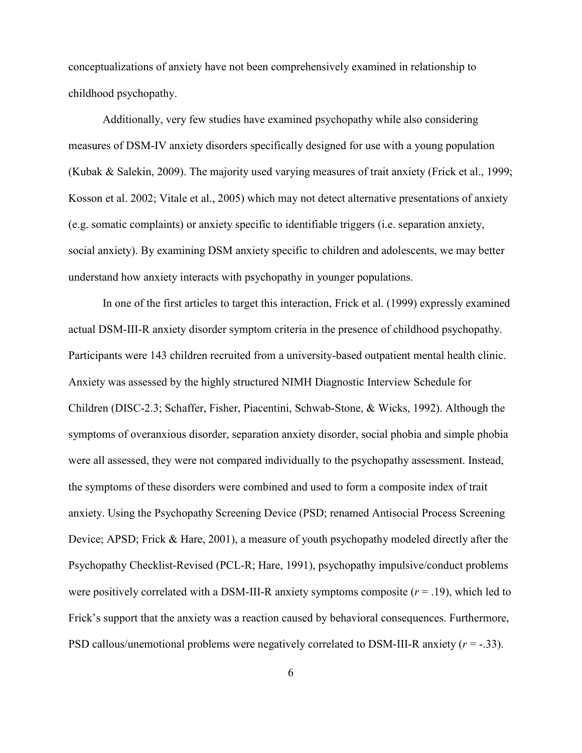conceptualizations of anxiety have not been comprehensively examined in relationship to childhood psychopathy.

Additionally, very few studies have examined psychopathy while also considering measures of DSM-IV anxiety disorders specifically designed for use with a young population (Kubak & Salekin, 2009). The majority used varying measures of trait anxiety (Frick et al., 1999; Kosson et al. 2002; Vitale et al., 2005) which may not detect alternative presentations of anxiety (e.g. somatic complaints) or anxiety specific to identifiable triggers (i.e. separation anxiety, social anxiety). By examining DSM anxiety specific to children and adolescents, we may better understand how anxiety interacts with psychopathy in younger populations.

In one of the first articles to target this interaction, Frick et al. (1999) expressly examined actual DSM-III-R anxiety disorder symptom criteria in the presence of childhood psychopathy. Participants were 143 children recruited from a university-based outpatient mental health clinic. Anxiety was assessed by the highly structured NIMH Diagnostic Interview Schedule for Children (DISC-2.3; Schaffer, Fisher, Piacentini, Schwab-Stone, & Wicks, 1992). Although the symptoms of overanxious disorder, separation anxiety disorder, social phobia and simple phobia were all assessed, they were not compared individually to the psychopathy assessment. Instead, the symptoms of these disorders were combined and used to form a composite index of trait anxiety. Using the Psychopathy Screening Device (PSD; renamed Antisocial Process Screening Device; APSD; Frick & Hare, 2001), a measure of youth psychopathy modeled directly after the Psychopathy Checklist-Revised (PCL-R; Hare, 1991), psychopathy impulsive/conduct problems were positively correlated with a DSM-III-R anxiety symptoms composite  $(r = .19)$ , which led to Frick's support that the anxiety was a reaction caused by behavioral consequences. Furthermore, PSD callous/unemotional problems were negatively correlated to DSM-III-R anxiety (*r* = -.33).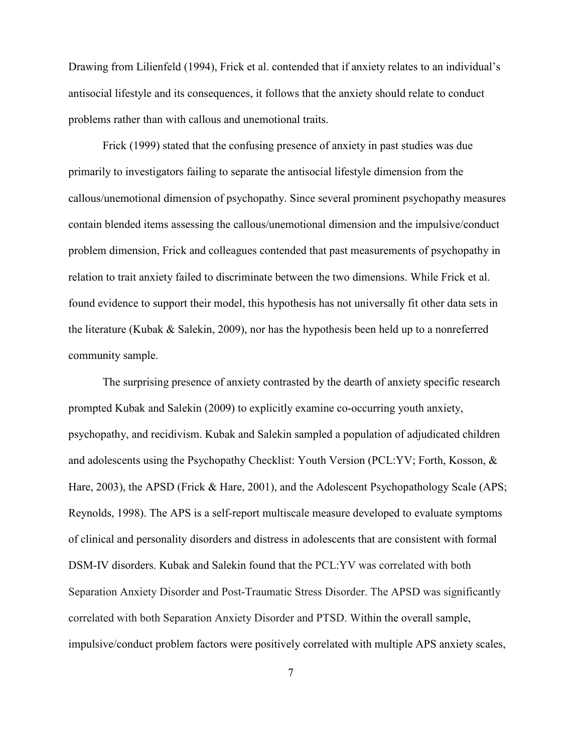Drawing from Lilienfeld (1994), Frick et al. contended that if anxiety relates to an individual's antisocial lifestyle and its consequences, it follows that the anxiety should relate to conduct problems rather than with callous and unemotional traits.

Frick (1999) stated that the confusing presence of anxiety in past studies was due primarily to investigators failing to separate the antisocial lifestyle dimension from the callous/unemotional dimension of psychopathy. Since several prominent psychopathy measures contain blended items assessing the callous/unemotional dimension and the impulsive/conduct problem dimension, Frick and colleagues contended that past measurements of psychopathy in relation to trait anxiety failed to discriminate between the two dimensions. While Frick et al. found evidence to support their model, this hypothesis has not universally fit other data sets in the literature (Kubak & Salekin, 2009), nor has the hypothesis been held up to a nonreferred community sample.

The surprising presence of anxiety contrasted by the dearth of anxiety specific research prompted Kubak and Salekin (2009) to explicitly examine co-occurring youth anxiety, psychopathy, and recidivism. Kubak and Salekin sampled a population of adjudicated children and adolescents using the Psychopathy Checklist: Youth Version (PCL:YV; Forth, Kosson, & Hare, 2003), the APSD (Frick & Hare, 2001), and the Adolescent Psychopathology Scale (APS; Reynolds, 1998). The APS is a self-report multiscale measure developed to evaluate symptoms of clinical and personality disorders and distress in adolescents that are consistent with formal DSM-IV disorders. Kubak and Salekin found that the PCL:YV was correlated with both Separation Anxiety Disorder and Post-Traumatic Stress Disorder. The APSD was significantly correlated with both Separation Anxiety Disorder and PTSD. Within the overall sample, impulsive/conduct problem factors were positively correlated with multiple APS anxiety scales,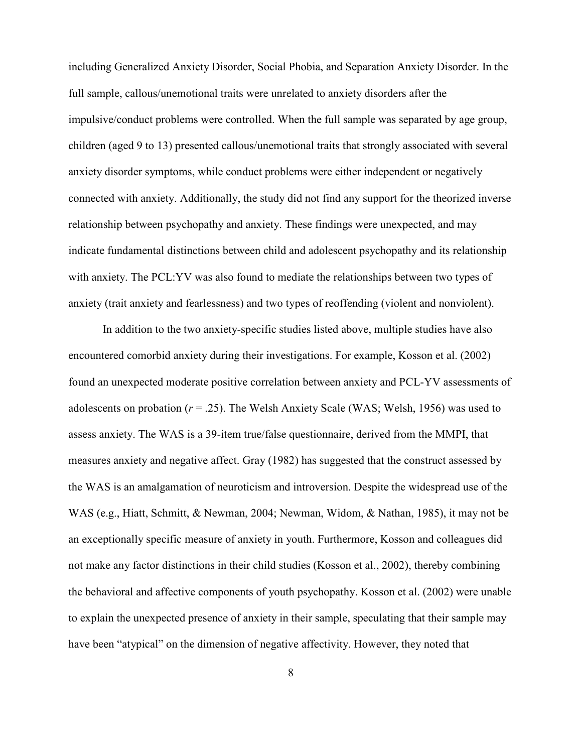including Generalized Anxiety Disorder, Social Phobia, and Separation Anxiety Disorder. In the full sample, callous/unemotional traits were unrelated to anxiety disorders after the impulsive/conduct problems were controlled. When the full sample was separated by age group, children (aged 9 to 13) presented callous/unemotional traits that strongly associated with several anxiety disorder symptoms, while conduct problems were either independent or negatively connected with anxiety. Additionally, the study did not find any support for the theorized inverse relationship between psychopathy and anxiety. These findings were unexpected, and may indicate fundamental distinctions between child and adolescent psychopathy and its relationship with anxiety. The PCL:YV was also found to mediate the relationships between two types of anxiety (trait anxiety and fearlessness) and two types of reoffending (violent and nonviolent).

In addition to the two anxiety-specific studies listed above, multiple studies have also encountered comorbid anxiety during their investigations. For example, Kosson et al. (2002) found an unexpected moderate positive correlation between anxiety and PCL-YV assessments of adolescents on probation  $(r = .25)$ . The Welsh Anxiety Scale (WAS; Welsh, 1956) was used to assess anxiety. The WAS is a 39-item true/false questionnaire, derived from the MMPI, that measures anxiety and negative affect. Gray (1982) has suggested that the construct assessed by the WAS is an amalgamation of neuroticism and introversion. Despite the widespread use of the WAS (e.g., Hiatt, Schmitt, & Newman, 2004; Newman, Widom, & Nathan, 1985), it may not be an exceptionally specific measure of anxiety in youth. Furthermore, Kosson and colleagues did not make any factor distinctions in their child studies (Kosson et al., 2002), thereby combining the behavioral and affective components of youth psychopathy. Kosson et al. (2002) were unable to explain the unexpected presence of anxiety in their sample, speculating that their sample may have been "atypical" on the dimension of negative affectivity. However, they noted that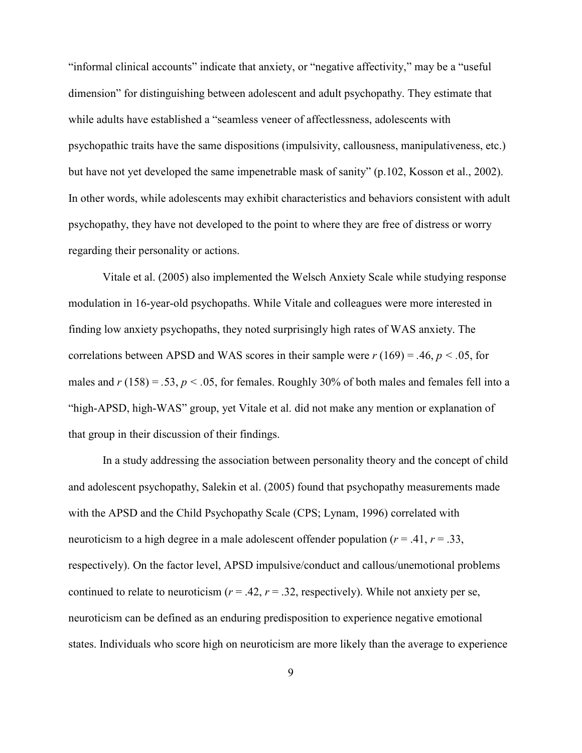"informal clinical accounts" indicate that anxiety, or "negative affectivity," may be a "useful dimension" for distinguishing between adolescent and adult psychopathy. They estimate that while adults have established a "seamless veneer of affectlessness, adolescents with psychopathic traits have the same dispositions (impulsivity, callousness, manipulativeness, etc.) but have not yet developed the same impenetrable mask of sanity" (p.102, Kosson et al., 2002). In other words, while adolescents may exhibit characteristics and behaviors consistent with adult psychopathy, they have not developed to the point to where they are free of distress or worry regarding their personality or actions.

Vitale et al. (2005) also implemented the Welsch Anxiety Scale while studying response modulation in 16-year-old psychopaths. While Vitale and colleagues were more interested in finding low anxiety psychopaths, they noted surprisingly high rates of WAS anxiety. The correlations between APSD and WAS scores in their sample were  $r(169) = .46$ ,  $p < .05$ , for males and  $r(158) = .53$ ,  $p < .05$ , for females. Roughly 30% of both males and females fell into a "high-APSD, high-WAS" group, yet Vitale et al. did not make any mention or explanation of that group in their discussion of their findings.

In a study addressing the association between personality theory and the concept of child and adolescent psychopathy, Salekin et al. (2005) found that psychopathy measurements made with the APSD and the Child Psychopathy Scale (CPS; Lynam, 1996) correlated with neuroticism to a high degree in a male adolescent offender population ( $r = .41$ ,  $r = .33$ , respectively). On the factor level, APSD impulsive/conduct and callous/unemotional problems continued to relate to neuroticism  $(r = .42, r = .32,$  respectively). While not anxiety per se, neuroticism can be defined as an enduring predisposition to experience negative emotional states. Individuals who score high on neuroticism are more likely than the average to experience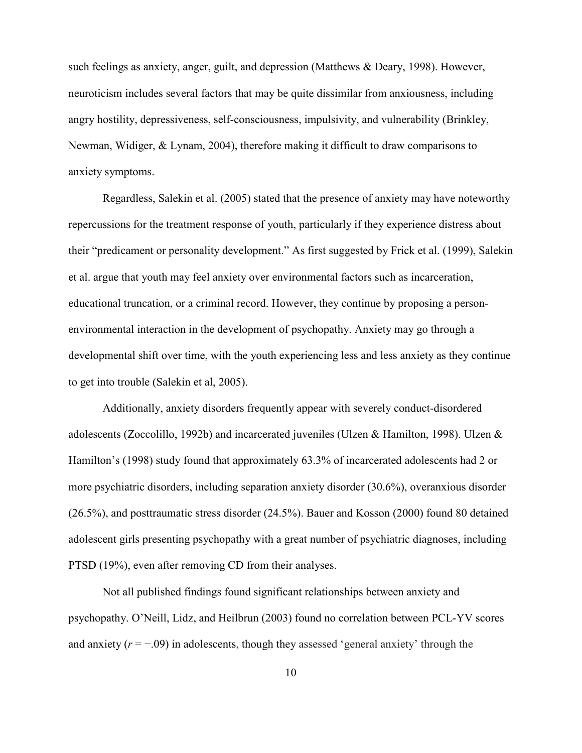such feelings as anxiety, anger, guilt, and depression (Matthews & Deary, 1998). However, neuroticism includes several factors that may be quite dissimilar from anxiousness, including angry hostility, depressiveness, self-consciousness, impulsivity, and vulnerability (Brinkley, Newman, Widiger, & Lynam, 2004), therefore making it difficult to draw comparisons to anxiety symptoms.

Regardless, Salekin et al. (2005) stated that the presence of anxiety may have noteworthy repercussions for the treatment response of youth, particularly if they experience distress about their "predicament or personality development." As first suggested by Frick et al. (1999), Salekin et al. argue that youth may feel anxiety over environmental factors such as incarceration, educational truncation, or a criminal record. However, they continue by proposing a personenvironmental interaction in the development of psychopathy. Anxiety may go through a developmental shift over time, with the youth experiencing less and less anxiety as they continue to get into trouble (Salekin et al, 2005).

Additionally, anxiety disorders frequently appear with severely conduct-disordered adolescents (Zoccolillo, 1992b) and incarcerated juveniles (Ulzen & Hamilton, 1998). Ulzen & Hamilton's (1998) study found that approximately 63.3% of incarcerated adolescents had 2 or more psychiatric disorders, including separation anxiety disorder (30.6%), overanxious disorder (26.5%), and posttraumatic stress disorder (24.5%). Bauer and Kosson (2000) found 80 detained adolescent girls presenting psychopathy with a great number of psychiatric diagnoses, including PTSD (19%), even after removing CD from their analyses.

Not all published findings found significant relationships between anxiety and psychopathy. O'Neill, Lidz, and Heilbrun (2003) found no correlation between PCL-YV scores and anxiety  $(r = -0.09)$  in adolescents, though they assessed 'general anxiety' through the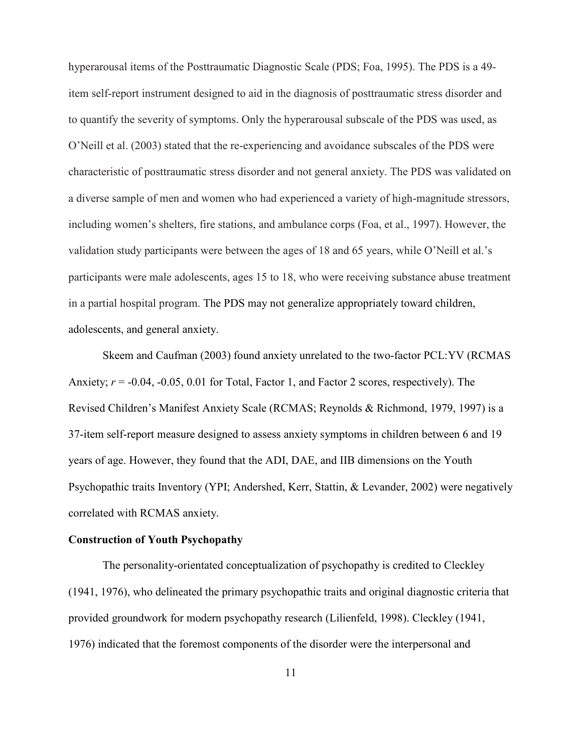hyperarousal items of the Posttraumatic Diagnostic Scale (PDS; Foa, 1995). The PDS is a 49 item self-report instrument designed to aid in the diagnosis of posttraumatic stress disorder and to quantify the severity of symptoms. Only the hyperarousal subscale of the PDS was used, as O'Neill et al. (2003) stated that the re-experiencing and avoidance subscales of the PDS were characteristic of posttraumatic stress disorder and not general anxiety. The PDS was validated on a diverse sample of men and women who had experienced a variety of high-magnitude stressors, including women's shelters, fire stations, and ambulance corps (Foa, et al., 1997). However, the validation study participants were between the ages of 18 and 65 years, while O'Neill et al.'s participants were male adolescents, ages 15 to 18, who were receiving substance abuse treatment in a partial hospital program. The PDS may not generalize appropriately toward children, adolescents, and general anxiety.

Skeem and Caufman (2003) found anxiety unrelated to the two-factor PCL:YV (RCMAS Anxiety;  $r = -0.04$ ,  $-0.05$ , 0.01 for Total, Factor 1, and Factor 2 scores, respectively). The Revised Children's Manifest Anxiety Scale (RCMAS; Reynolds & Richmond, 1979, 1997) is a 37-item self-report measure designed to assess anxiety symptoms in children between 6 and 19 years of age. However, they found that the ADI, DAE, and IIB dimensions on the Youth Psychopathic traits Inventory (YPI; Andershed, Kerr, Stattin, & Levander, 2002) were negatively correlated with RCMAS anxiety.

### **Construction of Youth Psychopathy**

The personality-orientated conceptualization of psychopathy is credited to Cleckley (1941, 1976), who delineated the primary psychopathic traits and original diagnostic criteria that provided groundwork for modern psychopathy research (Lilienfeld, 1998). Cleckley (1941, 1976) indicated that the foremost components of the disorder were the interpersonal and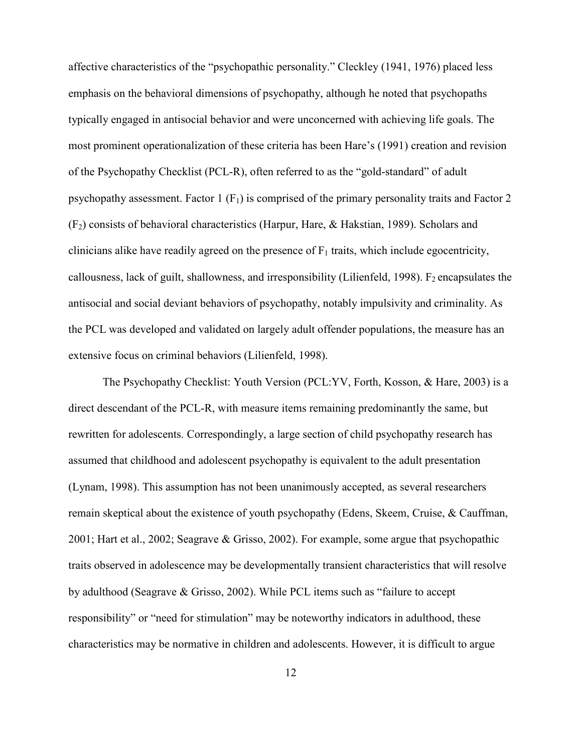affective characteristics of the "psychopathic personality." Cleckley (1941, 1976) placed less emphasis on the behavioral dimensions of psychopathy, although he noted that psychopaths typically engaged in antisocial behavior and were unconcerned with achieving life goals. The most prominent operationalization of these criteria has been Hare's (1991) creation and revision of the Psychopathy Checklist (PCL-R), often referred to as the "gold-standard" of adult psychopathy assessment. Factor 1  $(F_1)$  is comprised of the primary personality traits and Factor 2 (F2) consists of behavioral characteristics (Harpur, Hare, & Hakstian, 1989). Scholars and clinicians alike have readily agreed on the presence of  $F_1$  traits, which include egocentricity, callousness, lack of guilt, shallowness, and irresponsibility (Lilienfeld, 1998).  $F_2$  encapsulates the antisocial and social deviant behaviors of psychopathy, notably impulsivity and criminality. As the PCL was developed and validated on largely adult offender populations, the measure has an extensive focus on criminal behaviors (Lilienfeld, 1998).

The Psychopathy Checklist: Youth Version (PCL:YV, Forth, Kosson, & Hare, 2003) is a direct descendant of the PCL-R, with measure items remaining predominantly the same, but rewritten for adolescents. Correspondingly, a large section of child psychopathy research has assumed that childhood and adolescent psychopathy is equivalent to the adult presentation (Lynam, 1998). This assumption has not been unanimously accepted, as several researchers remain skeptical about the existence of youth psychopathy (Edens, Skeem, Cruise, & Cauffman, 2001; Hart et al., 2002; Seagrave & Grisso, 2002). For example, some argue that psychopathic traits observed in adolescence may be developmentally transient characteristics that will resolve by adulthood (Seagrave & Grisso, 2002). While PCL items such as "failure to accept responsibility" or "need for stimulation" may be noteworthy indicators in adulthood, these characteristics may be normative in children and adolescents. However, it is difficult to argue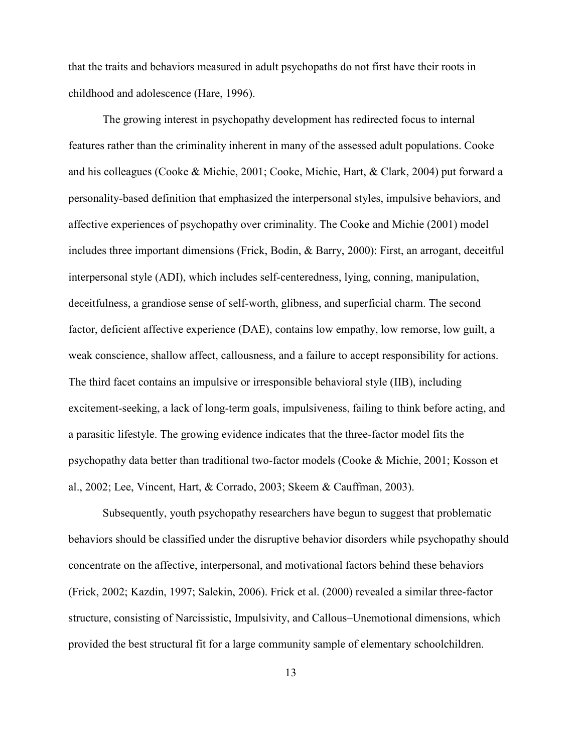that the traits and behaviors measured in adult psychopaths do not first have their roots in childhood and adolescence (Hare, 1996).

The growing interest in psychopathy development has redirected focus to internal features rather than the criminality inherent in many of the assessed adult populations. Cooke and his colleagues (Cooke & Michie, 2001; Cooke, Michie, Hart, & Clark, 2004) put forward a personality-based definition that emphasized the interpersonal styles, impulsive behaviors, and affective experiences of psychopathy over criminality. The Cooke and Michie (2001) model includes three important dimensions (Frick, Bodin, & Barry, 2000): First, an arrogant, deceitful interpersonal style (ADI), which includes self-centeredness, lying, conning, manipulation, deceitfulness, a grandiose sense of self-worth, glibness, and superficial charm. The second factor, deficient affective experience (DAE), contains low empathy, low remorse, low guilt, a weak conscience, shallow affect, callousness, and a failure to accept responsibility for actions. The third facet contains an impulsive or irresponsible behavioral style (IIB), including excitement-seeking, a lack of long-term goals, impulsiveness, failing to think before acting, and a parasitic lifestyle. The growing evidence indicates that the three-factor model fits the psychopathy data better than traditional two-factor models (Cooke & Michie, 2001; Kosson et al., 2002; Lee, Vincent, Hart, & Corrado, 2003; Skeem & Cauffman, 2003).

Subsequently, youth psychopathy researchers have begun to suggest that problematic behaviors should be classified under the disruptive behavior disorders while psychopathy should concentrate on the affective, interpersonal, and motivational factors behind these behaviors (Frick, 2002; Kazdin, 1997; Salekin, 2006). Frick et al. (2000) revealed a similar three-factor structure, consisting of Narcissistic, Impulsivity, and Callous–Unemotional dimensions, which provided the best structural fit for a large community sample of elementary schoolchildren.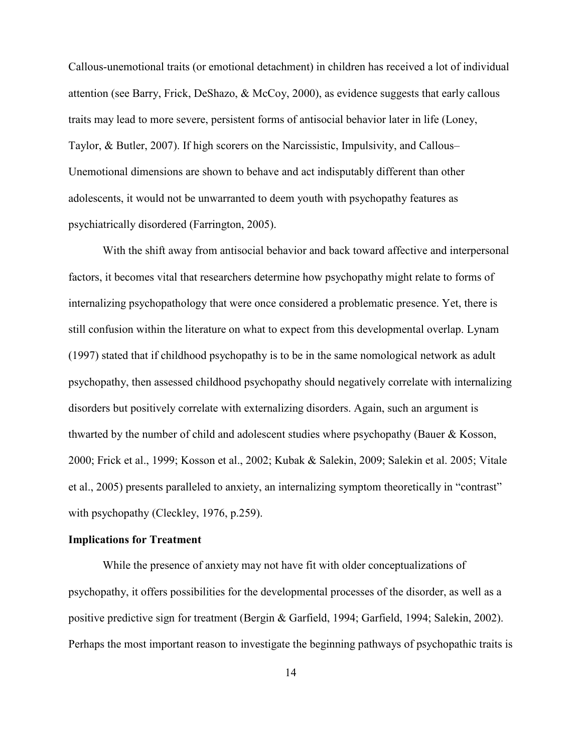Callous-unemotional traits (or emotional detachment) in children has received a lot of individual attention (see Barry, Frick, DeShazo, & McCoy, 2000), as evidence suggests that early callous traits may lead to more severe, persistent forms of antisocial behavior later in life (Loney, Taylor, & Butler, 2007). If high scorers on the Narcissistic, Impulsivity, and Callous– Unemotional dimensions are shown to behave and act indisputably different than other adolescents, it would not be unwarranted to deem youth with psychopathy features as psychiatrically disordered (Farrington, 2005).

With the shift away from antisocial behavior and back toward affective and interpersonal factors, it becomes vital that researchers determine how psychopathy might relate to forms of internalizing psychopathology that were once considered a problematic presence. Yet, there is still confusion within the literature on what to expect from this developmental overlap. Lynam (1997) stated that if childhood psychopathy is to be in the same nomological network as adult psychopathy, then assessed childhood psychopathy should negatively correlate with internalizing disorders but positively correlate with externalizing disorders. Again, such an argument is thwarted by the number of child and adolescent studies where psychopathy (Bauer & Kosson, 2000; Frick et al., 1999; Kosson et al., 2002; Kubak & Salekin, 2009; Salekin et al. 2005; Vitale et al., 2005) presents paralleled to anxiety, an internalizing symptom theoretically in "contrast" with psychopathy (Cleckley, 1976, p.259).

### **Implications for Treatment**

While the presence of anxiety may not have fit with older conceptualizations of psychopathy, it offers possibilities for the developmental processes of the disorder, as well as a positive predictive sign for treatment (Bergin & Garfield, 1994; Garfield, 1994; Salekin, 2002). Perhaps the most important reason to investigate the beginning pathways of psychopathic traits is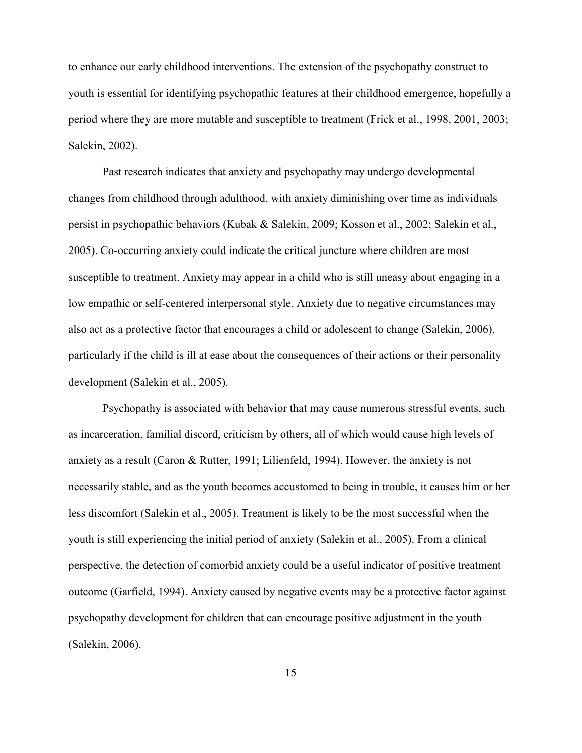to enhance our early childhood interventions. The extension of the psychopathy construct to youth is essential for identifying psychopathic features at their childhood emergence, hopefully a period where they are more mutable and susceptible to treatment (Frick et al., 1998, 2001, 2003; Salekin, 2002).

Past research indicates that anxiety and psychopathy may undergo developmental changes from childhood through adulthood, with anxiety diminishing over time as individuals persist in psychopathic behaviors (Kubak & Salekin, 2009; Kosson et al., 2002; Salekin et al., 2005). Co-occurring anxiety could indicate the critical juncture where children are most susceptible to treatment. Anxiety may appear in a child who is still uneasy about engaging in a low empathic or self-centered interpersonal style. Anxiety due to negative circumstances may also act as a protective factor that encourages a child or adolescent to change (Salekin, 2006), particularly if the child is ill at ease about the consequences of their actions or their personality development (Salekin et al., 2005).

Psychopathy is associated with behavior that may cause numerous stressful events, such as incarceration, familial discord, criticism by others, all of which would cause high levels of anxiety as a result (Caron & Rutter, 1991; Lilienfeld, 1994). However, the anxiety is not necessarily stable, and as the youth becomes accustomed to being in trouble, it causes him or her less discomfort (Salekin et al., 2005). Treatment is likely to be the most successful when the youth is still experiencing the initial period of anxiety (Salekin et al., 2005). From a clinical perspective, the detection of comorbid anxiety could be a useful indicator of positive treatment outcome (Garfield, 1994). Anxiety caused by negative events may be a protective factor against psychopathy development for children that can encourage positive adjustment in the youth (Salekin, 2006).

15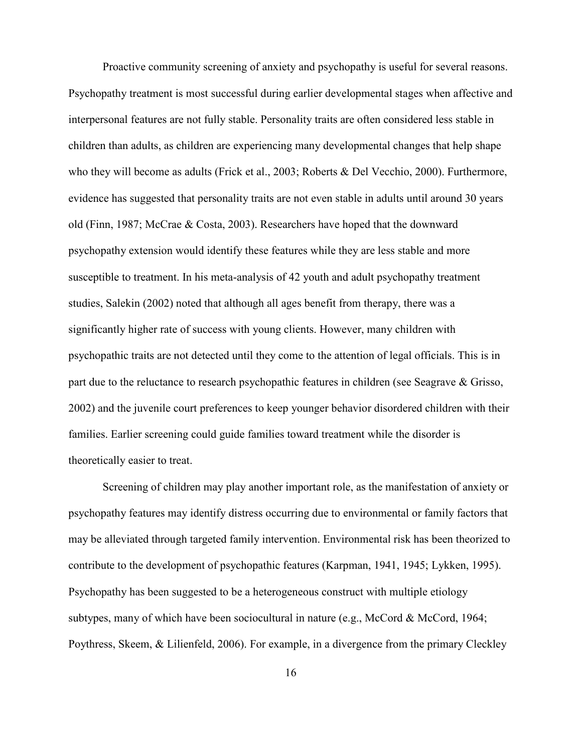Proactive community screening of anxiety and psychopathy is useful for several reasons. Psychopathy treatment is most successful during earlier developmental stages when affective and interpersonal features are not fully stable. Personality traits are often considered less stable in children than adults, as children are experiencing many developmental changes that help shape who they will become as adults (Frick et al., 2003; Roberts & Del Vecchio, 2000). Furthermore, evidence has suggested that personality traits are not even stable in adults until around 30 years old (Finn, 1987; McCrae & Costa, 2003). Researchers have hoped that the downward psychopathy extension would identify these features while they are less stable and more susceptible to treatment. In his meta-analysis of 42 youth and adult psychopathy treatment studies, Salekin (2002) noted that although all ages benefit from therapy, there was a significantly higher rate of success with young clients. However, many children with psychopathic traits are not detected until they come to the attention of legal officials. This is in part due to the reluctance to research psychopathic features in children (see Seagrave & Grisso, 2002) and the juvenile court preferences to keep younger behavior disordered children with their families. Earlier screening could guide families toward treatment while the disorder is theoretically easier to treat.

Screening of children may play another important role, as the manifestation of anxiety or psychopathy features may identify distress occurring due to environmental or family factors that may be alleviated through targeted family intervention. Environmental risk has been theorized to contribute to the development of psychopathic features (Karpman, 1941, 1945; Lykken, 1995). Psychopathy has been suggested to be a heterogeneous construct with multiple etiology subtypes, many of which have been sociocultural in nature (e.g., McCord & McCord, 1964; Poythress, Skeem, & Lilienfeld, 2006). For example, in a divergence from the primary Cleckley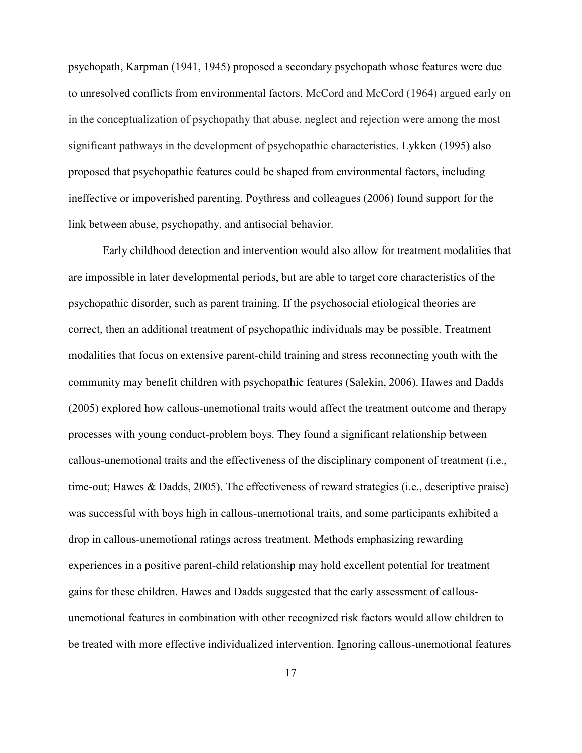psychopath, Karpman (1941, 1945) proposed a secondary psychopath whose features were due to unresolved conflicts from environmental factors. McCord and McCord (1964) argued early on in the conceptualization of psychopathy that abuse, neglect and rejection were among the most significant pathways in the development of psychopathic characteristics. Lykken (1995) also proposed that psychopathic features could be shaped from environmental factors, including ineffective or impoverished parenting. Poythress and colleagues (2006) found support for the link between abuse, psychopathy, and antisocial behavior.

Early childhood detection and intervention would also allow for treatment modalities that are impossible in later developmental periods, but are able to target core characteristics of the psychopathic disorder, such as parent training. If the psychosocial etiological theories are correct, then an additional treatment of psychopathic individuals may be possible. Treatment modalities that focus on extensive parent-child training and stress reconnecting youth with the community may benefit children with psychopathic features (Salekin, 2006). Hawes and Dadds (2005) explored how callous-unemotional traits would affect the treatment outcome and therapy processes with young conduct-problem boys. They found a significant relationship between callous-unemotional traits and the effectiveness of the disciplinary component of treatment (i.e., time-out; Hawes & Dadds, 2005). The effectiveness of reward strategies (i.e., descriptive praise) was successful with boys high in callous-unemotional traits, and some participants exhibited a drop in callous-unemotional ratings across treatment. Methods emphasizing rewarding experiences in a positive parent-child relationship may hold excellent potential for treatment gains for these children. Hawes and Dadds suggested that the early assessment of callousunemotional features in combination with other recognized risk factors would allow children to be treated with more effective individualized intervention. Ignoring callous-unemotional features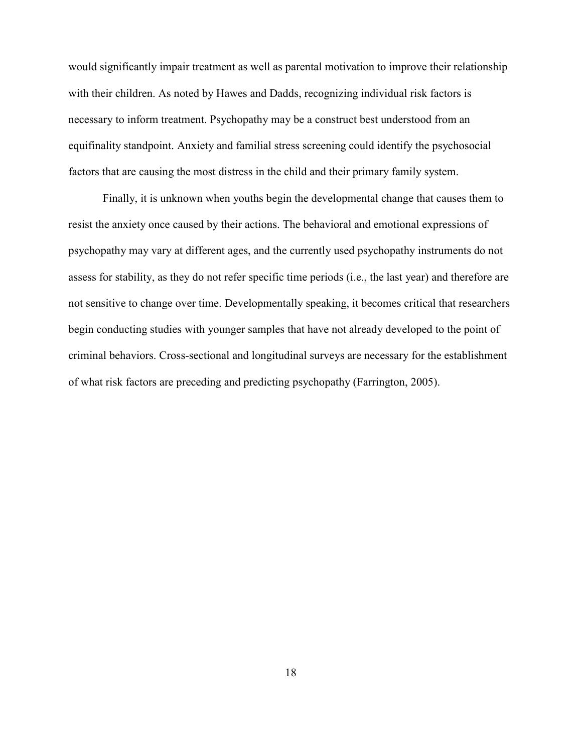would significantly impair treatment as well as parental motivation to improve their relationship with their children. As noted by Hawes and Dadds, recognizing individual risk factors is necessary to inform treatment. Psychopathy may be a construct best understood from an equifinality standpoint. Anxiety and familial stress screening could identify the psychosocial factors that are causing the most distress in the child and their primary family system.

Finally, it is unknown when youths begin the developmental change that causes them to resist the anxiety once caused by their actions. The behavioral and emotional expressions of psychopathy may vary at different ages, and the currently used psychopathy instruments do not assess for stability, as they do not refer specific time periods (i.e., the last year) and therefore are not sensitive to change over time. Developmentally speaking, it becomes critical that researchers begin conducting studies with younger samples that have not already developed to the point of criminal behaviors. Cross-sectional and longitudinal surveys are necessary for the establishment of what risk factors are preceding and predicting psychopathy (Farrington, 2005).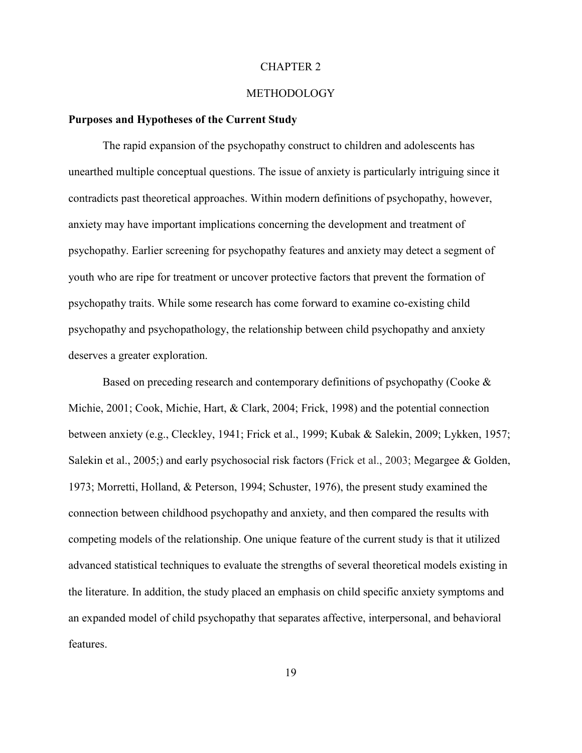#### CHAPTER 2

#### METHODOLOGY

#### **Purposes and Hypotheses of the Current Study**

The rapid expansion of the psychopathy construct to children and adolescents has unearthed multiple conceptual questions. The issue of anxiety is particularly intriguing since it contradicts past theoretical approaches. Within modern definitions of psychopathy, however, anxiety may have important implications concerning the development and treatment of psychopathy. Earlier screening for psychopathy features and anxiety may detect a segment of youth who are ripe for treatment or uncover protective factors that prevent the formation of psychopathy traits. While some research has come forward to examine co-existing child psychopathy and psychopathology, the relationship between child psychopathy and anxiety deserves a greater exploration.

Based on preceding research and contemporary definitions of psychopathy (Cooke  $\&$ Michie, 2001; Cook, Michie, Hart, & Clark, 2004; Frick, 1998) and the potential connection between anxiety (e.g., Cleckley, 1941; Frick et al., 1999; Kubak & Salekin, 2009; Lykken, 1957; Salekin et al., 2005;) and early psychosocial risk factors (Frick et al., 2003; Megargee & Golden, 1973; Morretti, Holland, & Peterson, 1994; Schuster, 1976), the present study examined the connection between childhood psychopathy and anxiety, and then compared the results with competing models of the relationship. One unique feature of the current study is that it utilized advanced statistical techniques to evaluate the strengths of several theoretical models existing in the literature. In addition, the study placed an emphasis on child specific anxiety symptoms and an expanded model of child psychopathy that separates affective, interpersonal, and behavioral features.

19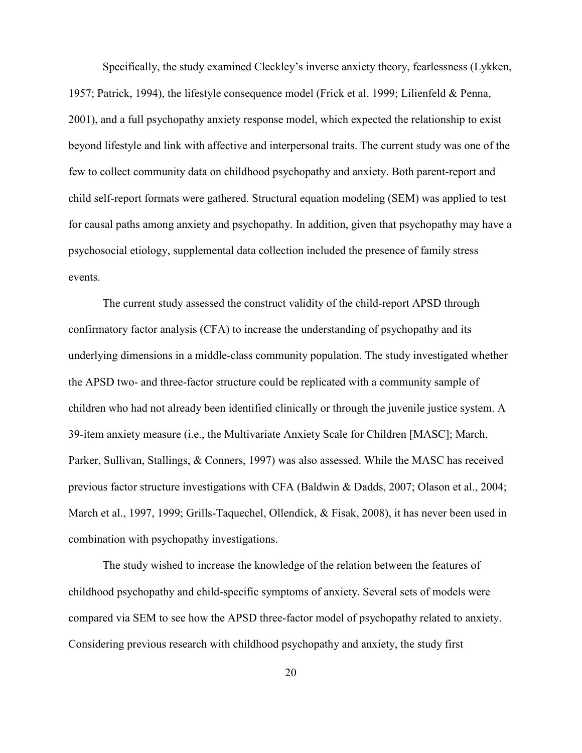Specifically, the study examined Cleckley's inverse anxiety theory, fearlessness (Lykken, 1957; Patrick, 1994), the lifestyle consequence model (Frick et al. 1999; Lilienfeld & Penna, 2001), and a full psychopathy anxiety response model, which expected the relationship to exist beyond lifestyle and link with affective and interpersonal traits. The current study was one of the few to collect community data on childhood psychopathy and anxiety. Both parent-report and child self-report formats were gathered. Structural equation modeling (SEM) was applied to test for causal paths among anxiety and psychopathy. In addition, given that psychopathy may have a psychosocial etiology, supplemental data collection included the presence of family stress events.

The current study assessed the construct validity of the child-report APSD through confirmatory factor analysis (CFA) to increase the understanding of psychopathy and its underlying dimensions in a middle-class community population. The study investigated whether the APSD two- and three-factor structure could be replicated with a community sample of children who had not already been identified clinically or through the juvenile justice system. A 39-item anxiety measure (i.e., the Multivariate Anxiety Scale for Children [MASC]; March, Parker, Sullivan, Stallings, & Conners, 1997) was also assessed. While the MASC has received previous factor structure investigations with CFA (Baldwin & Dadds, 2007; Olason et al., 2004; March et al., 1997, 1999; Grills-Taquechel, Ollendick, & Fisak, 2008), it has never been used in combination with psychopathy investigations.

The study wished to increase the knowledge of the relation between the features of childhood psychopathy and child-specific symptoms of anxiety. Several sets of models were compared via SEM to see how the APSD three-factor model of psychopathy related to anxiety. Considering previous research with childhood psychopathy and anxiety, the study first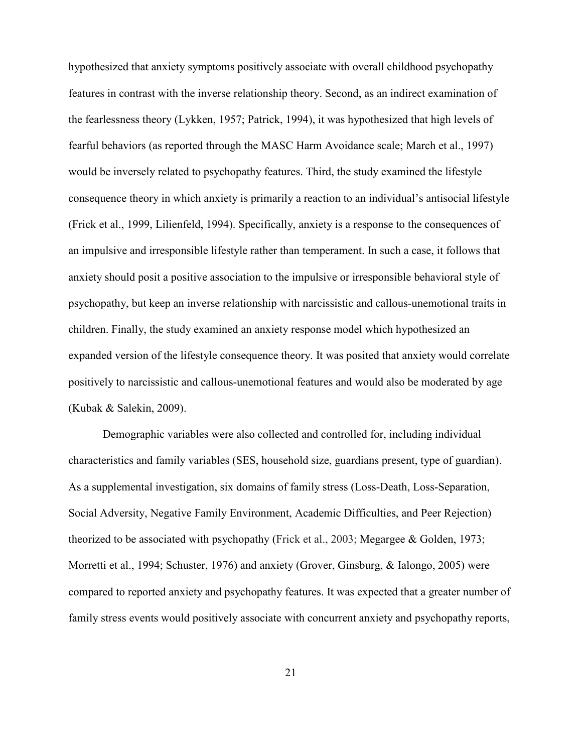hypothesized that anxiety symptoms positively associate with overall childhood psychopathy features in contrast with the inverse relationship theory. Second, as an indirect examination of the fearlessness theory (Lykken, 1957; Patrick, 1994), it was hypothesized that high levels of fearful behaviors (as reported through the MASC Harm Avoidance scale; March et al., 1997) would be inversely related to psychopathy features. Third, the study examined the lifestyle consequence theory in which anxiety is primarily a reaction to an individual's antisocial lifestyle (Frick et al., 1999, Lilienfeld, 1994). Specifically, anxiety is a response to the consequences of an impulsive and irresponsible lifestyle rather than temperament. In such a case, it follows that anxiety should posit a positive association to the impulsive or irresponsible behavioral style of psychopathy, but keep an inverse relationship with narcissistic and callous-unemotional traits in children. Finally, the study examined an anxiety response model which hypothesized an expanded version of the lifestyle consequence theory. It was posited that anxiety would correlate positively to narcissistic and callous-unemotional features and would also be moderated by age (Kubak & Salekin, 2009).

Demographic variables were also collected and controlled for, including individual characteristics and family variables (SES, household size, guardians present, type of guardian). As a supplemental investigation, six domains of family stress (Loss-Death, Loss-Separation, Social Adversity, Negative Family Environment, Academic Difficulties, and Peer Rejection) theorized to be associated with psychopathy (Frick et al., 2003; Megargee & Golden, 1973; Morretti et al., 1994; Schuster, 1976) and anxiety (Grover, Ginsburg, & Ialongo, 2005) were compared to reported anxiety and psychopathy features. It was expected that a greater number of family stress events would positively associate with concurrent anxiety and psychopathy reports,

21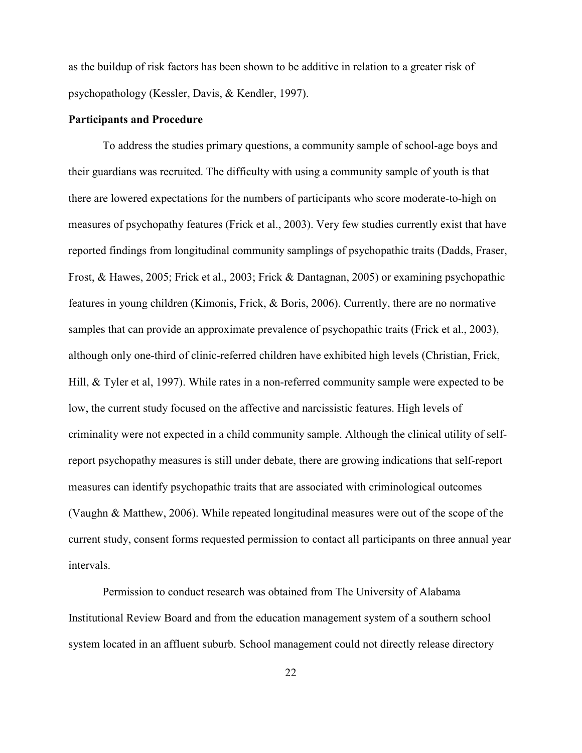as the buildup of risk factors has been shown to be additive in relation to a greater risk of psychopathology (Kessler, Davis, & Kendler, 1997).

#### **Participants and Procedure**

To address the studies primary questions, a community sample of school-age boys and their guardians was recruited. The difficulty with using a community sample of youth is that there are lowered expectations for the numbers of participants who score moderate-to-high on measures of psychopathy features (Frick et al., 2003). Very few studies currently exist that have reported findings from longitudinal community samplings of psychopathic traits (Dadds, Fraser, Frost, & Hawes, 2005; Frick et al., 2003; Frick & Dantagnan, 2005) or examining psychopathic features in young children (Kimonis, Frick, & Boris, 2006). Currently, there are no normative samples that can provide an approximate prevalence of psychopathic traits (Frick et al., 2003), although only one-third of clinic-referred children have exhibited high levels (Christian, Frick, Hill, & Tyler et al, 1997). While rates in a non-referred community sample were expected to be low, the current study focused on the affective and narcissistic features. High levels of criminality were not expected in a child community sample. Although the clinical utility of selfreport psychopathy measures is still under debate, there are growing indications that self-report measures can identify psychopathic traits that are associated with criminological outcomes (Vaughn & Matthew, 2006). While repeated longitudinal measures were out of the scope of the current study, consent forms requested permission to contact all participants on three annual year intervals.

Permission to conduct research was obtained from The University of Alabama Institutional Review Board and from the education management system of a southern school system located in an affluent suburb. School management could not directly release directory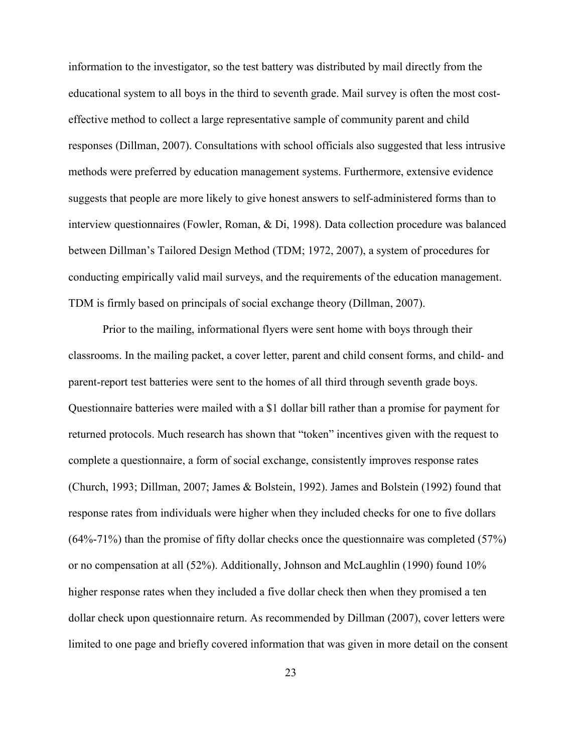information to the investigator, so the test battery was distributed by mail directly from the educational system to all boys in the third to seventh grade. Mail survey is often the most costeffective method to collect a large representative sample of community parent and child responses (Dillman, 2007). Consultations with school officials also suggested that less intrusive methods were preferred by education management systems. Furthermore, extensive evidence suggests that people are more likely to give honest answers to self-administered forms than to interview questionnaires (Fowler, Roman, & Di, 1998). Data collection procedure was balanced between Dillman's Tailored Design Method (TDM; 1972, 2007), a system of procedures for conducting empirically valid mail surveys, and the requirements of the education management. TDM is firmly based on principals of social exchange theory (Dillman, 2007).

Prior to the mailing, informational flyers were sent home with boys through their classrooms. In the mailing packet, a cover letter, parent and child consent forms, and child- and parent-report test batteries were sent to the homes of all third through seventh grade boys. Questionnaire batteries were mailed with a \$1 dollar bill rather than a promise for payment for returned protocols. Much research has shown that "token" incentives given with the request to complete a questionnaire, a form of social exchange, consistently improves response rates (Church, 1993; Dillman, 2007; James & Bolstein, 1992). James and Bolstein (1992) found that response rates from individuals were higher when they included checks for one to five dollars  $(64\% - 71\%)$  than the promise of fifty dollar checks once the questionnaire was completed (57%) or no compensation at all (52%). Additionally, Johnson and McLaughlin (1990) found 10% higher response rates when they included a five dollar check then when they promised a ten dollar check upon questionnaire return. As recommended by Dillman (2007), cover letters were limited to one page and briefly covered information that was given in more detail on the consent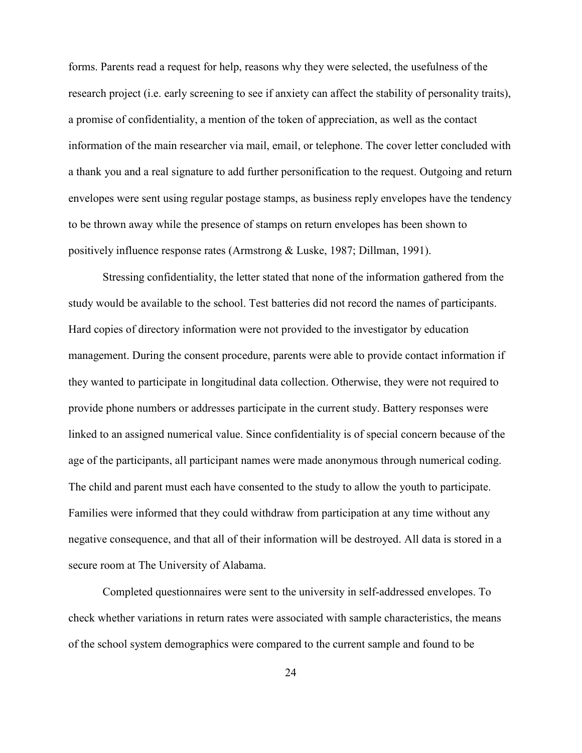forms. Parents read a request for help, reasons why they were selected, the usefulness of the research project (i.e. early screening to see if anxiety can affect the stability of personality traits), a promise of confidentiality, a mention of the token of appreciation, as well as the contact information of the main researcher via mail, email, or telephone. The cover letter concluded with a thank you and a real signature to add further personification to the request. Outgoing and return envelopes were sent using regular postage stamps, as business reply envelopes have the tendency to be thrown away while the presence of stamps on return envelopes has been shown to positively influence response rates (Armstrong & Luske, 1987; Dillman, 1991).

Stressing confidentiality, the letter stated that none of the information gathered from the study would be available to the school. Test batteries did not record the names of participants. Hard copies of directory information were not provided to the investigator by education management. During the consent procedure, parents were able to provide contact information if they wanted to participate in longitudinal data collection. Otherwise, they were not required to provide phone numbers or addresses participate in the current study. Battery responses were linked to an assigned numerical value. Since confidentiality is of special concern because of the age of the participants, all participant names were made anonymous through numerical coding. The child and parent must each have consented to the study to allow the youth to participate. Families were informed that they could withdraw from participation at any time without any negative consequence, and that all of their information will be destroyed. All data is stored in a secure room at The University of Alabama.

Completed questionnaires were sent to the university in self-addressed envelopes. To check whether variations in return rates were associated with sample characteristics, the means of the school system demographics were compared to the current sample and found to be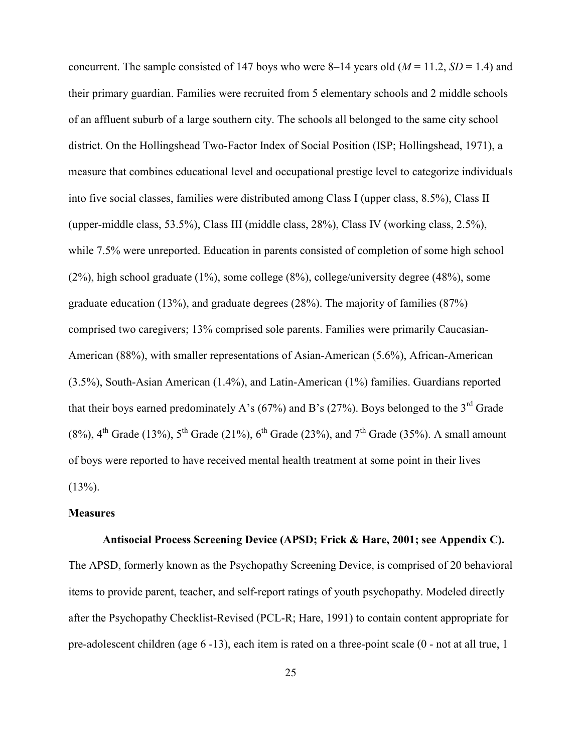concurrent. The sample consisted of 147 boys who were 8–14 years old  $(M = 11.2, SD = 1.4)$  and their primary guardian. Families were recruited from 5 elementary schools and 2 middle schools of an affluent suburb of a large southern city. The schools all belonged to the same city school district. On the Hollingshead Two-Factor Index of Social Position (ISP; Hollingshead, 1971), a measure that combines educational level and occupational prestige level to categorize individuals into five social classes, families were distributed among Class I (upper class, 8.5%), Class II (upper-middle class, 53.5%), Class III (middle class, 28%), Class IV (working class, 2.5%), while 7.5% were unreported. Education in parents consisted of completion of some high school (2%), high school graduate (1%), some college (8%), college/university degree (48%), some graduate education (13%), and graduate degrees (28%). The majority of families (87%) comprised two caregivers; 13% comprised sole parents. Families were primarily Caucasian-American (88%), with smaller representations of Asian-American (5.6%), African-American (3.5%), South-Asian American (1.4%), and Latin-American (1%) families. Guardians reported that their boys earned predominately A's (67%) and B's (27%). Boys belonged to the 3<sup>rd</sup> Grade (8%),  $4^{th}$  Grade (13%),  $5^{th}$  Grade (21%),  $6^{th}$  Grade (23%), and  $7^{th}$  Grade (35%). A small amount of boys were reported to have received mental health treatment at some point in their lives  $(13\%)$ .

#### **Measures**

## **Antisocial Process Screening Device (APSD; Frick & Hare, 2001; see Appendix C).**

The APSD, formerly known as the Psychopathy Screening Device, is comprised of 20 behavioral items to provide parent, teacher, and self-report ratings of youth psychopathy. Modeled directly after the Psychopathy Checklist-Revised (PCL-R; Hare, 1991) to contain content appropriate for pre-adolescent children (age 6 -13), each item is rated on a three-point scale (0 - not at all true, 1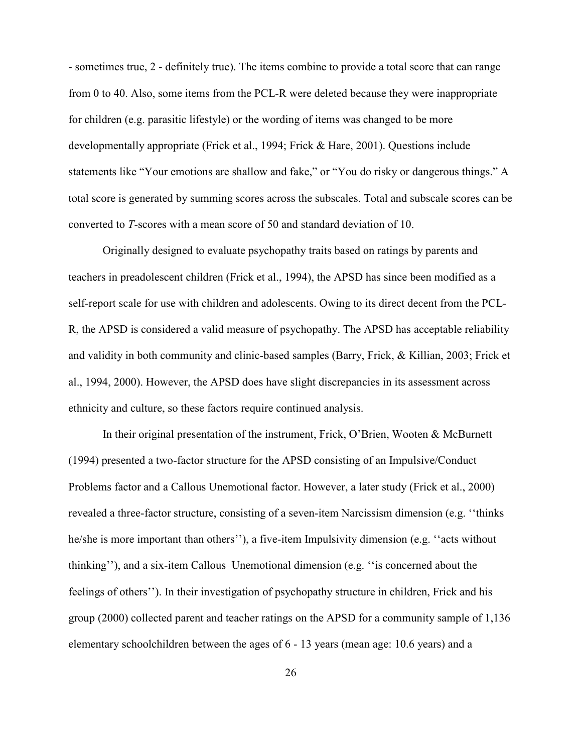- sometimes true, 2 - definitely true). The items combine to provide a total score that can range from 0 to 40. Also, some items from the PCL-R were deleted because they were inappropriate for children (e.g. parasitic lifestyle) or the wording of items was changed to be more developmentally appropriate (Frick et al., 1994; Frick & Hare, 2001). Questions include statements like "Your emotions are shallow and fake," or "You do risky or dangerous things." A total score is generated by summing scores across the subscales. Total and subscale scores can be converted to *T*-scores with a mean score of 50 and standard deviation of 10.

Originally designed to evaluate psychopathy traits based on ratings by parents and teachers in preadolescent children (Frick et al., 1994), the APSD has since been modified as a self-report scale for use with children and adolescents. Owing to its direct decent from the PCL-R, the APSD is considered a valid measure of psychopathy. The APSD has acceptable reliability and validity in both community and clinic-based samples (Barry, Frick, & Killian, 2003; Frick et al., 1994, 2000). However, the APSD does have slight discrepancies in its assessment across ethnicity and culture, so these factors require continued analysis.

In their original presentation of the instrument, Frick, O'Brien, Wooten & McBurnett (1994) presented a two-factor structure for the APSD consisting of an Impulsive/Conduct Problems factor and a Callous Unemotional factor. However, a later study (Frick et al., 2000) revealed a three-factor structure, consisting of a seven-item Narcissism dimension (e.g. ''thinks he/she is more important than others''), a five-item Impulsivity dimension (e.g. ''acts without thinking''), and a six-item Callous–Unemotional dimension (e.g. ''is concerned about the feelings of others''). In their investigation of psychopathy structure in children, Frick and his group (2000) collected parent and teacher ratings on the APSD for a community sample of 1,136 elementary schoolchildren between the ages of 6 - 13 years (mean age: 10.6 years) and a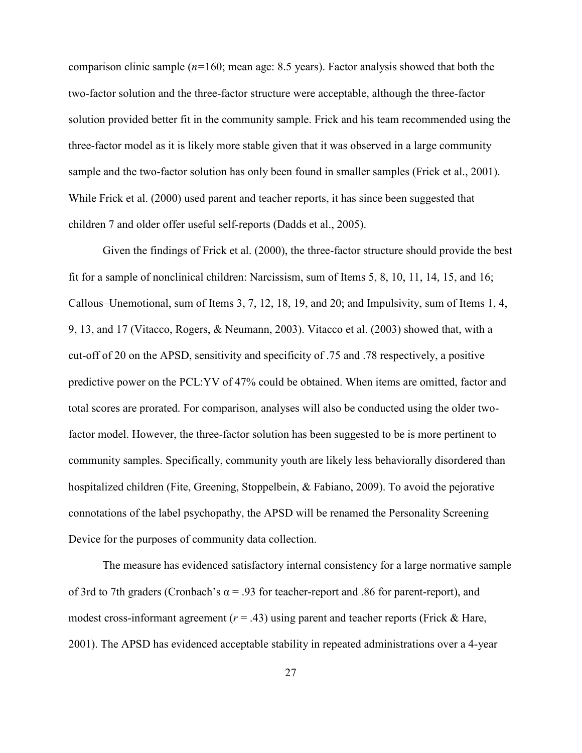comparison clinic sample (*n=*160; mean age: 8.5 years). Factor analysis showed that both the two-factor solution and the three-factor structure were acceptable, although the three-factor solution provided better fit in the community sample. Frick and his team recommended using the three-factor model as it is likely more stable given that it was observed in a large community sample and the two-factor solution has only been found in smaller samples (Frick et al., 2001). While Frick et al. (2000) used parent and teacher reports, it has since been suggested that children 7 and older offer useful self-reports (Dadds et al., 2005).

Given the findings of Frick et al. (2000), the three-factor structure should provide the best fit for a sample of nonclinical children: Narcissism, sum of Items 5, 8, 10, 11, 14, 15, and 16; Callous–Unemotional, sum of Items 3, 7, 12, 18, 19, and 20; and Impulsivity, sum of Items 1, 4, 9, 13, and 17 (Vitacco, Rogers, & Neumann, 2003). Vitacco et al. (2003) showed that, with a cut-off of 20 on the APSD, sensitivity and specificity of .75 and .78 respectively, a positive predictive power on the PCL:YV of 47% could be obtained. When items are omitted, factor and total scores are prorated. For comparison, analyses will also be conducted using the older twofactor model. However, the three-factor solution has been suggested to be is more pertinent to community samples. Specifically, community youth are likely less behaviorally disordered than hospitalized children (Fite, Greening, Stoppelbein, & Fabiano, 2009). To avoid the pejorative connotations of the label psychopathy, the APSD will be renamed the Personality Screening Device for the purposes of community data collection.

The measure has evidenced satisfactory internal consistency for a large normative sample of 3rd to 7th graders (Cronbach's  $\alpha$  = .93 for teacher-report and .86 for parent-report), and modest cross-informant agreement  $(r = .43)$  using parent and teacher reports (Frick & Hare, 2001). The APSD has evidenced acceptable stability in repeated administrations over a 4-year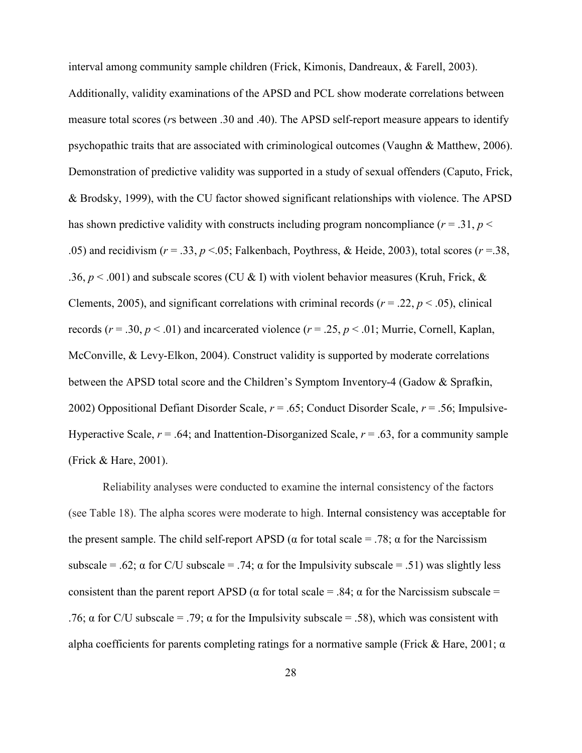interval among community sample children (Frick, Kimonis, Dandreaux, & Farell, 2003). Additionally, validity examinations of the APSD and PCL show moderate correlations between measure total scores (*r*s between .30 and .40). The APSD self-report measure appears to identify psychopathic traits that are associated with criminological outcomes (Vaughn & Matthew, 2006). Demonstration of predictive validity was supported in a study of sexual offenders (Caputo, Frick, & Brodsky, 1999), with the CU factor showed significant relationships with violence. The APSD has shown predictive validity with constructs including program noncompliance  $(r = .31, p <$ .05) and recidivism (*r* = .33, *p* <.05; Falkenbach, Poythress, & Heide, 2003), total scores (*r* =.38, .36,  $p < .001$ ) and subscale scores (CU & I) with violent behavior measures (Kruh, Frick, & Clements, 2005), and significant correlations with criminal records ( $r = .22$ ,  $p < .05$ ), clinical records ( $r = .30$ ,  $p < .01$ ) and incarcerated violence ( $r = .25$ ,  $p < .01$ ; Murrie, Cornell, Kaplan, McConville, & Levy-Elkon, 2004). Construct validity is supported by moderate correlations between the APSD total score and the Children's Symptom Inventory-4 (Gadow & Sprafkin, 2002) Oppositional Defiant Disorder Scale, *r* = .65; Conduct Disorder Scale, *r* = .56; Impulsive-Hyperactive Scale,  $r = .64$ ; and Inattention-Disorganized Scale,  $r = .63$ , for a community sample (Frick & Hare, 2001).

Reliability analyses were conducted to examine the internal consistency of the factors (see Table 18). The alpha scores were moderate to high. Internal consistency was acceptable for the present sample. The child self-report APSD ( $\alpha$  for total scale = .78;  $\alpha$  for the Narcissism subscale = .62;  $\alpha$  for C/U subscale = .74;  $\alpha$  for the Impulsivity subscale = .51) was slightly less consistent than the parent report APSD ( $\alpha$  for total scale = .84;  $\alpha$  for the Narcissism subscale = .76;  $\alpha$  for C/U subscale = .79;  $\alpha$  for the Impulsivity subscale = .58), which was consistent with alpha coefficients for parents completing ratings for a normative sample (Frick & Hare, 2001;  $\alpha$ )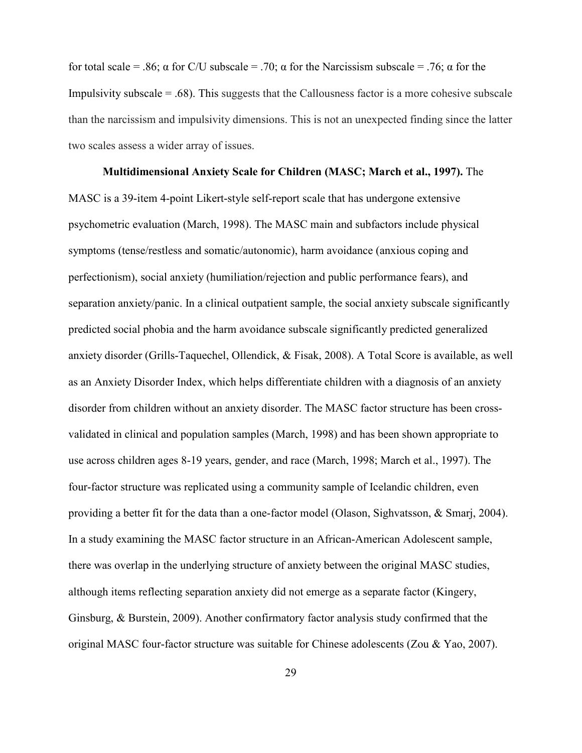for total scale = .86; α for C/U subscale = .70; α for the Narcissism subscale = .76; α for the Impulsivity subscale  $= 0.68$ . This suggests that the Callousness factor is a more cohesive subscale than the narcissism and impulsivity dimensions. This is not an unexpected finding since the latter two scales assess a wider array of issues.

**Multidimensional Anxiety Scale for Children (MASC; March et al., 1997).** The MASC is a 39-item 4-point Likert-style self-report scale that has undergone extensive psychometric evaluation (March, 1998). The MASC main and subfactors include physical symptoms (tense/restless and somatic/autonomic), harm avoidance (anxious coping and perfectionism), social anxiety (humiliation/rejection and public performance fears), and separation anxiety/panic. In a clinical outpatient sample, the social anxiety subscale significantly predicted social phobia and the harm avoidance subscale significantly predicted generalized anxiety disorder (Grills-Taquechel, Ollendick, & Fisak, 2008). A Total Score is available, as well as an Anxiety Disorder Index, which helps differentiate children with a diagnosis of an anxiety disorder from children without an anxiety disorder. The MASC factor structure has been crossvalidated in clinical and population samples (March, 1998) and has been shown appropriate to use across children ages 8-19 years, gender, and race (March, 1998; March et al., 1997). The four-factor structure was replicated using a community sample of Icelandic children, even providing a better fit for the data than a one-factor model (Olason, Sighvatsson, & Smarj, 2004). In a study examining the MASC factor structure in an African-American Adolescent sample, there was overlap in the underlying structure of anxiety between the original MASC studies, although items reflecting separation anxiety did not emerge as a separate factor (Kingery, Ginsburg, & Burstein, 2009). Another confirmatory factor analysis study confirmed that the original MASC four-factor structure was suitable for Chinese adolescents (Zou & Yao, 2007).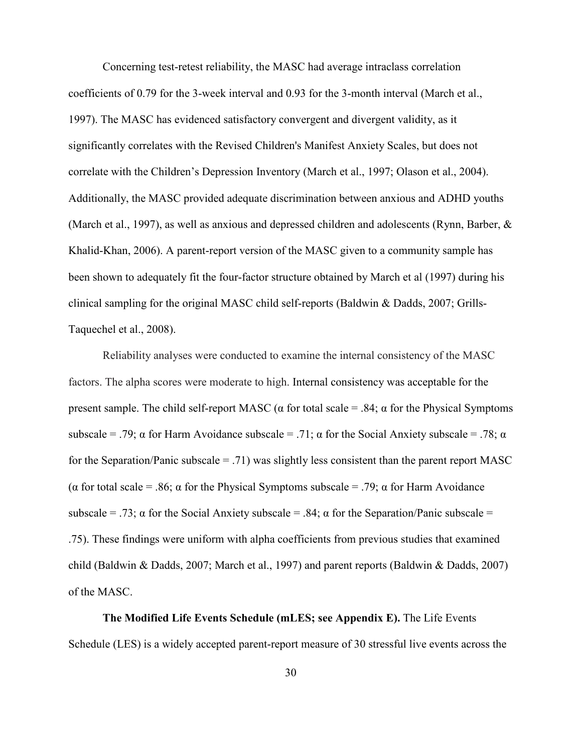Concerning test-retest reliability, the MASC had average intraclass correlation coefficients of 0.79 for the 3-week interval and 0.93 for the 3-month interval (March et al., 1997). The MASC has evidenced satisfactory convergent and divergent validity, as it significantly correlates with the Revised Children's Manifest Anxiety Scales, but does not correlate with the Children's Depression Inventory (March et al., 1997; Olason et al., 2004). Additionally, the MASC provided adequate discrimination between anxious and ADHD youths (March et al., 1997), as well as anxious and depressed children and adolescents (Rynn, Barber, & Khalid-Khan, 2006). A parent-report version of the MASC given to a community sample has been shown to adequately fit the four-factor structure obtained by March et al (1997) during his clinical sampling for the original MASC child self-reports (Baldwin & Dadds, 2007; Grills-Taquechel et al., 2008).

Reliability analyses were conducted to examine the internal consistency of the MASC factors. The alpha scores were moderate to high. Internal consistency was acceptable for the present sample. The child self-report MASC ( $\alpha$  for total scale = .84;  $\alpha$  for the Physical Symptoms subscale = .79;  $\alpha$  for Harm Avoidance subscale = .71;  $\alpha$  for the Social Anxiety subscale = .78;  $\alpha$ for the Separation/Panic subscale  $= .71$ ) was slightly less consistent than the parent report MASC ( $\alpha$  for total scale = .86;  $\alpha$  for the Physical Symptoms subscale = .79;  $\alpha$  for Harm Avoidance subscale = .73;  $\alpha$  for the Social Anxiety subscale = .84;  $\alpha$  for the Separation/Panic subscale = .75). These findings were uniform with alpha coefficients from previous studies that examined child (Baldwin & Dadds, 2007; March et al., 1997) and parent reports (Baldwin & Dadds, 2007) of the MASC.

**The Modified Life Events Schedule (mLES; see Appendix E).** The Life Events Schedule (LES) is a widely accepted parent-report measure of 30 stressful live events across the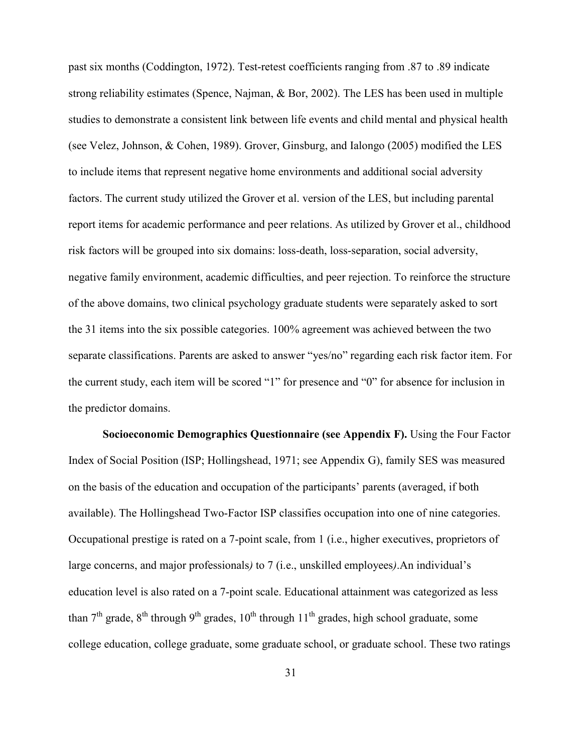past six months (Coddington, 1972). Test-retest coefficients ranging from .87 to .89 indicate strong reliability estimates (Spence, Najman, & Bor, 2002). The LES has been used in multiple studies to demonstrate a consistent link between life events and child mental and physical health (see Velez, Johnson, & Cohen, 1989). Grover, Ginsburg, and Ialongo (2005) modified the LES to include items that represent negative home environments and additional social adversity factors. The current study utilized the Grover et al. version of the LES, but including parental report items for academic performance and peer relations. As utilized by Grover et al., childhood risk factors will be grouped into six domains: loss-death, loss-separation, social adversity, negative family environment, academic difficulties, and peer rejection. To reinforce the structure of the above domains, two clinical psychology graduate students were separately asked to sort the 31 items into the six possible categories. 100% agreement was achieved between the two separate classifications. Parents are asked to answer "yes/no" regarding each risk factor item. For the current study, each item will be scored "1" for presence and "0" for absence for inclusion in the predictor domains.

**Socioeconomic Demographics Questionnaire (see Appendix F).** Using the Four Factor Index of Social Position (ISP; Hollingshead, 1971; see Appendix G), family SES was measured on the basis of the education and occupation of the participants' parents (averaged, if both available). The Hollingshead Two-Factor ISP classifies occupation into one of nine categories. Occupational prestige is rated on a 7-point scale, from 1 (i.e., higher executives, proprietors of large concerns, and major professionals*)* to 7 (i.e., unskilled employees*)*.An individual's education level is also rated on a 7-point scale. Educational attainment was categorized as less than  $7<sup>th</sup>$  grade,  $8<sup>th</sup>$  through  $9<sup>th</sup>$  grades,  $10<sup>th</sup>$  through  $11<sup>th</sup>$  grades, high school graduate, some college education, college graduate, some graduate school, or graduate school. These two ratings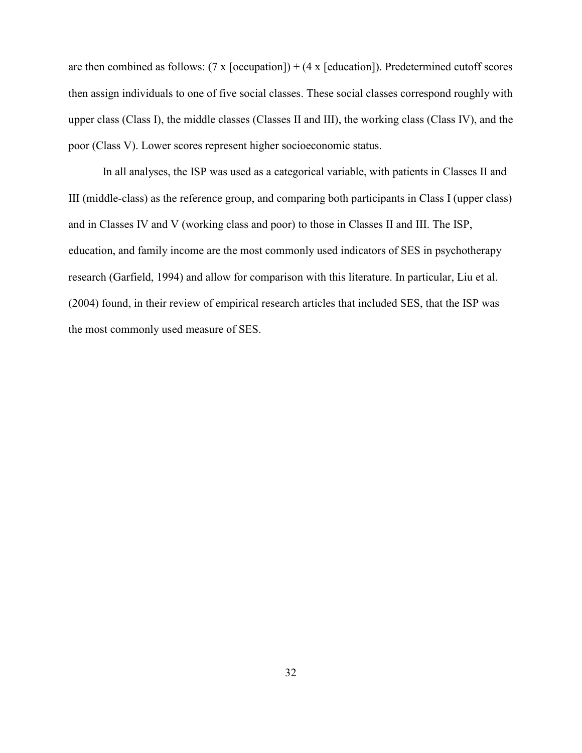are then combined as follows:  $(7 \times \text{foccupation}) + (4 \times \text{f education})$ . Predetermined cutoff scores then assign individuals to one of five social classes. These social classes correspond roughly with upper class (Class I), the middle classes (Classes II and III), the working class (Class IV), and the poor (Class V). Lower scores represent higher socioeconomic status.

 In all analyses, the ISP was used as a categorical variable, with patients in Classes II and III (middle-class) as the reference group, and comparing both participants in Class I (upper class) and in Classes IV and V (working class and poor) to those in Classes II and III. The ISP, education, and family income are the most commonly used indicators of SES in psychotherapy research (Garfield, 1994) and allow for comparison with this literature. In particular, Liu et al. (2004) found, in their review of empirical research articles that included SES, that the ISP was the most commonly used measure of SES.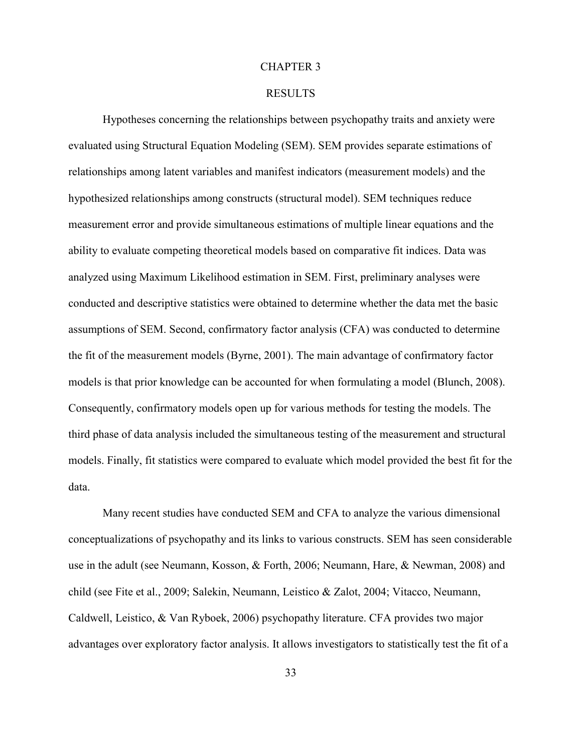### CHAPTER 3

### RESULTS

Hypotheses concerning the relationships between psychopathy traits and anxiety were evaluated using Structural Equation Modeling (SEM). SEM provides separate estimations of relationships among latent variables and manifest indicators (measurement models) and the hypothesized relationships among constructs (structural model). SEM techniques reduce measurement error and provide simultaneous estimations of multiple linear equations and the ability to evaluate competing theoretical models based on comparative fit indices. Data was analyzed using Maximum Likelihood estimation in SEM. First, preliminary analyses were conducted and descriptive statistics were obtained to determine whether the data met the basic assumptions of SEM. Second, confirmatory factor analysis (CFA) was conducted to determine the fit of the measurement models (Byrne, 2001). The main advantage of confirmatory factor models is that prior knowledge can be accounted for when formulating a model (Blunch, 2008). Consequently, confirmatory models open up for various methods for testing the models. The third phase of data analysis included the simultaneous testing of the measurement and structural models. Finally, fit statistics were compared to evaluate which model provided the best fit for the data.

Many recent studies have conducted SEM and CFA to analyze the various dimensional conceptualizations of psychopathy and its links to various constructs. SEM has seen considerable use in the adult (see Neumann, Kosson, & Forth, 2006; Neumann, Hare, & Newman, 2008) and child (see Fite et al., 2009; Salekin, Neumann, Leistico & Zalot, 2004; Vitacco, Neumann, Caldwell, Leistico, & Van Ryboek, 2006) psychopathy literature. CFA provides two major advantages over exploratory factor analysis. It allows investigators to statistically test the fit of a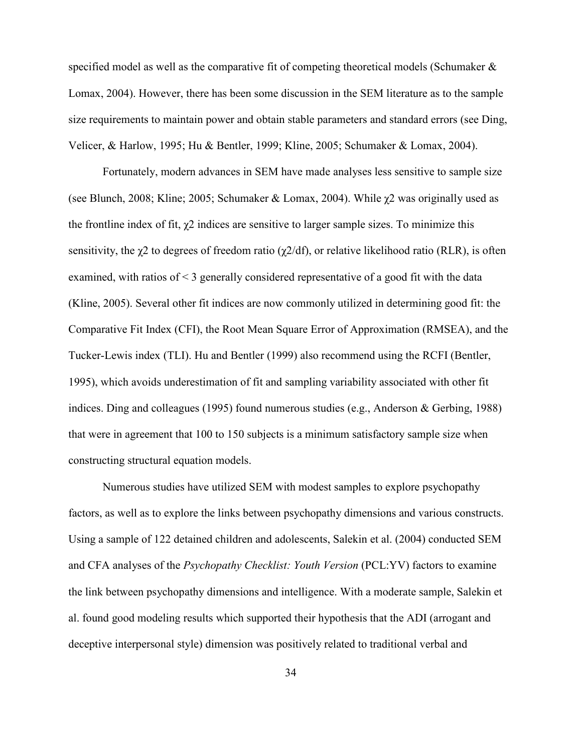specified model as well as the comparative fit of competing theoretical models (Schumaker & Lomax, 2004). However, there has been some discussion in the SEM literature as to the sample size requirements to maintain power and obtain stable parameters and standard errors (see Ding, Velicer, & Harlow, 1995; Hu & Bentler, 1999; Kline, 2005; Schumaker & Lomax, 2004).

Fortunately, modern advances in SEM have made analyses less sensitive to sample size (see Blunch, 2008; Kline; 2005; Schumaker & Lomax, 2004). While  $\chi$ 2 was originally used as the frontline index of fit,  $\chi$ 2 indices are sensitive to larger sample sizes. To minimize this sensitivity, the  $\gamma$ 2 to degrees of freedom ratio ( $\gamma$ 2/df), or relative likelihood ratio (RLR), is often examined, with ratios of < 3 generally considered representative of a good fit with the data (Kline, 2005). Several other fit indices are now commonly utilized in determining good fit: the Comparative Fit Index (CFI), the Root Mean Square Error of Approximation (RMSEA), and the Tucker-Lewis index (TLI). Hu and Bentler (1999) also recommend using the RCFI (Bentler, 1995), which avoids underestimation of fit and sampling variability associated with other fit indices. Ding and colleagues (1995) found numerous studies (e.g., Anderson & Gerbing, 1988) that were in agreement that 100 to 150 subjects is a minimum satisfactory sample size when constructing structural equation models.

Numerous studies have utilized SEM with modest samples to explore psychopathy factors, as well as to explore the links between psychopathy dimensions and various constructs. Using a sample of 122 detained children and adolescents, Salekin et al. (2004) conducted SEM and CFA analyses of the *Psychopathy Checklist: Youth Version* (PCL:YV) factors to examine the link between psychopathy dimensions and intelligence. With a moderate sample, Salekin et al. found good modeling results which supported their hypothesis that the ADI (arrogant and deceptive interpersonal style) dimension was positively related to traditional verbal and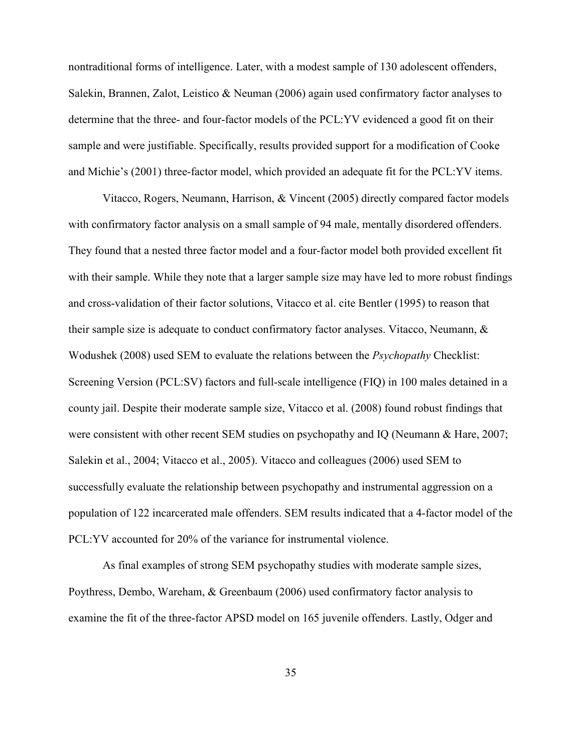nontraditional forms of intelligence. Later, with a modest sample of 130 adolescent offenders, Salekin, Brannen, Zalot, Leistico & Neuman (2006) again used confirmatory factor analyses to determine that the three- and four-factor models of the PCL:YV evidenced a good fit on their sample and were justifiable. Specifically, results provided support for a modification of Cooke and Michie's (2001) three-factor model, which provided an adequate fit for the PCL:YV items.

Vitacco, Rogers, Neumann, Harrison, & Vincent (2005) directly compared factor models with confirmatory factor analysis on a small sample of 94 male, mentally disordered offenders. They found that a nested three factor model and a four-factor model both provided excellent fit with their sample. While they note that a larger sample size may have led to more robust findings and cross-validation of their factor solutions, Vitacco et al. cite Bentler (1995) to reason that their sample size is adequate to conduct confirmatory factor analyses. Vitacco, Neumann, & Wodushek (2008) used SEM to evaluate the relations between the *Psychopathy* Checklist: Screening Version (PCL:SV) factors and full-scale intelligence (FIQ) in 100 males detained in a county jail. Despite their moderate sample size, Vitacco et al. (2008) found robust findings that were consistent with other recent SEM studies on psychopathy and IQ (Neumann & Hare, 2007; Salekin et al., 2004; Vitacco et al., 2005). Vitacco and colleagues (2006) used SEM to successfully evaluate the relationship between psychopathy and instrumental aggression on a population of 122 incarcerated male offenders. SEM results indicated that a 4-factor model of the PCL:YV accounted for 20% of the variance for instrumental violence.

As final examples of strong SEM psychopathy studies with moderate sample sizes, Poythress, Dembo, Wareham, & Greenbaum (2006) used confirmatory factor analysis to examine the fit of the three-factor APSD model on 165 juvenile offenders. Lastly, Odger and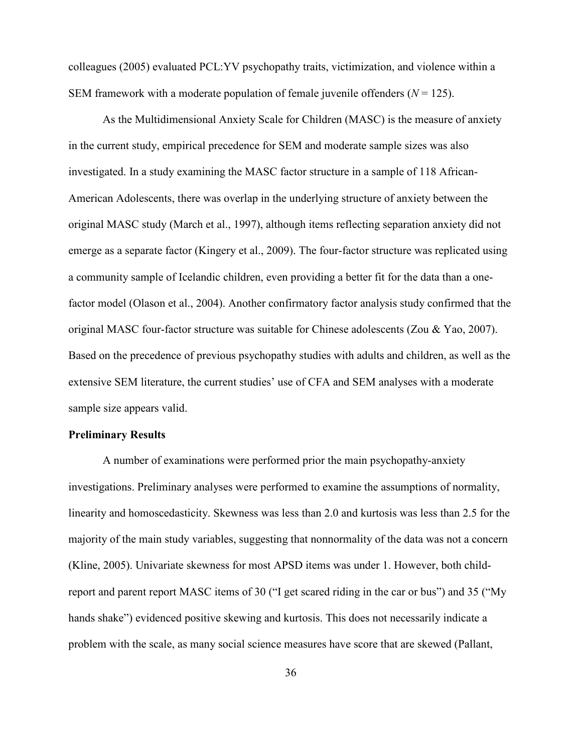colleagues (2005) evaluated PCL:YV psychopathy traits, victimization, and violence within a SEM framework with a moderate population of female juvenile offenders  $(N = 125)$ .

As the Multidimensional Anxiety Scale for Children (MASC) is the measure of anxiety in the current study, empirical precedence for SEM and moderate sample sizes was also investigated. In a study examining the MASC factor structure in a sample of 118 African-American Adolescents, there was overlap in the underlying structure of anxiety between the original MASC study (March et al., 1997), although items reflecting separation anxiety did not emerge as a separate factor (Kingery et al., 2009). The four-factor structure was replicated using a community sample of Icelandic children, even providing a better fit for the data than a onefactor model (Olason et al., 2004). Another confirmatory factor analysis study confirmed that the original MASC four-factor structure was suitable for Chinese adolescents (Zou & Yao, 2007). Based on the precedence of previous psychopathy studies with adults and children, as well as the extensive SEM literature, the current studies' use of CFA and SEM analyses with a moderate sample size appears valid.

# **Preliminary Results**

A number of examinations were performed prior the main psychopathy-anxiety investigations. Preliminary analyses were performed to examine the assumptions of normality, linearity and homoscedasticity. Skewness was less than 2.0 and kurtosis was less than 2.5 for the majority of the main study variables, suggesting that nonnormality of the data was not a concern (Kline, 2005). Univariate skewness for most APSD items was under 1. However, both childreport and parent report MASC items of 30 ("I get scared riding in the car or bus") and 35 ("My hands shake") evidenced positive skewing and kurtosis. This does not necessarily indicate a problem with the scale, as many social science measures have score that are skewed (Pallant,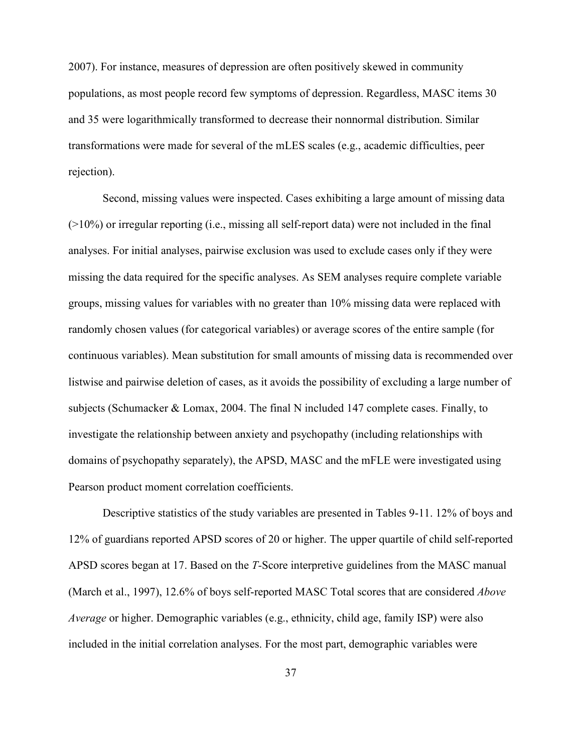2007). For instance, measures of depression are often positively skewed in community populations, as most people record few symptoms of depression. Regardless, MASC items 30 and 35 were logarithmically transformed to decrease their nonnormal distribution. Similar transformations were made for several of the mLES scales (e.g., academic difficulties, peer rejection).

Second, missing values were inspected. Cases exhibiting a large amount of missing data (>10%) or irregular reporting (i.e., missing all self-report data) were not included in the final analyses. For initial analyses, pairwise exclusion was used to exclude cases only if they were missing the data required for the specific analyses. As SEM analyses require complete variable groups, missing values for variables with no greater than 10% missing data were replaced with randomly chosen values (for categorical variables) or average scores of the entire sample (for continuous variables). Mean substitution for small amounts of missing data is recommended over listwise and pairwise deletion of cases, as it avoids the possibility of excluding a large number of subjects (Schumacker & Lomax, 2004. The final N included 147 complete cases. Finally, to investigate the relationship between anxiety and psychopathy (including relationships with domains of psychopathy separately), the APSD, MASC and the mFLE were investigated using Pearson product moment correlation coefficients.

Descriptive statistics of the study variables are presented in Tables 9-11. 12% of boys and 12% of guardians reported APSD scores of 20 or higher. The upper quartile of child self-reported APSD scores began at 17. Based on the *T-*Score interpretive guidelines from the MASC manual (March et al., 1997), 12.6% of boys self-reported MASC Total scores that are considered *Above Average* or higher. Demographic variables (e.g., ethnicity, child age, family ISP) were also included in the initial correlation analyses. For the most part, demographic variables were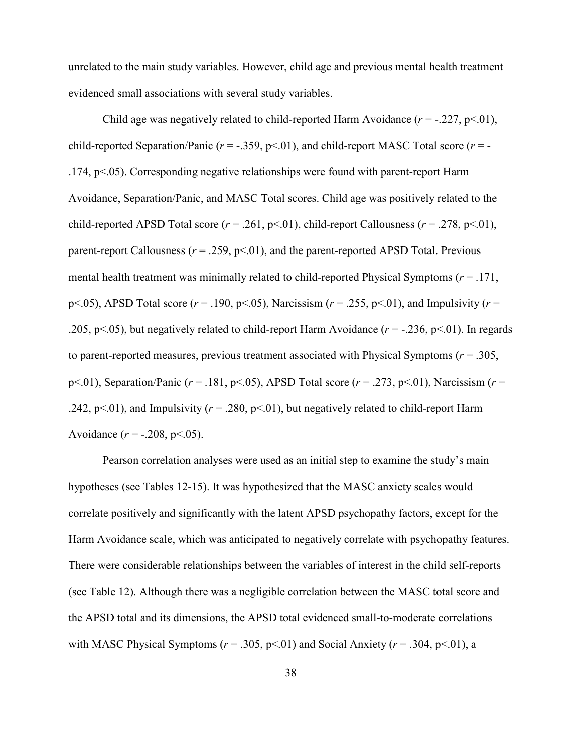unrelated to the main study variables. However, child age and previous mental health treatment evidenced small associations with several study variables.

Child age was negatively related to child-reported Harm Avoidance  $(r = -0.227, p < 0.01)$ , child-reported Separation/Panic  $(r = -.359, p < .01)$ , and child-report MASC Total score  $(r = -$ .174, p<.05). Corresponding negative relationships were found with parent-report Harm Avoidance, Separation/Panic, and MASC Total scores. Child age was positively related to the child-reported APSD Total score  $(r = .261, p < .01)$ , child-report Callousness  $(r = .278, p < .01)$ , parent-report Callousness  $(r = .259, p < .01)$ , and the parent-reported APSD Total. Previous mental health treatment was minimally related to child-reported Physical Symptoms (*r* = .171, p<.05), APSD Total score ( $r = .190$ , p<.05), Narcissism ( $r = .255$ , p<.01), and Impulsivity ( $r =$ .205, p<.05), but negatively related to child-report Harm Avoidance  $(r = -0.236, p < 0.01)$ . In regards to parent-reported measures, previous treatment associated with Physical Symptoms (*r* = .305, p<.01), Separation/Panic (*r* = .181, p<.05), APSD Total score (*r* = .273, p<.01), Narcissism (*r* = .242, p<.01), and Impulsivity ( $r = 0.280$ , p<.01), but negatively related to child-report Harm Avoidance  $(r = -.208, p < .05)$ .

Pearson correlation analyses were used as an initial step to examine the study's main hypotheses (see Tables 12-15). It was hypothesized that the MASC anxiety scales would correlate positively and significantly with the latent APSD psychopathy factors, except for the Harm Avoidance scale, which was anticipated to negatively correlate with psychopathy features. There were considerable relationships between the variables of interest in the child self-reports (see Table 12). Although there was a negligible correlation between the MASC total score and the APSD total and its dimensions, the APSD total evidenced small-to-moderate correlations with MASC Physical Symptoms ( $r = .305$ ,  $p < .01$ ) and Social Anxiety ( $r = .304$ ,  $p < .01$ ), a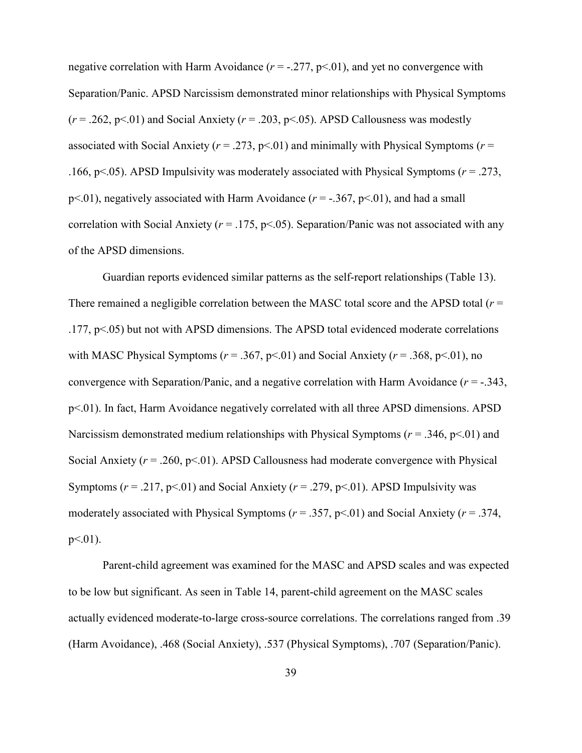negative correlation with Harm Avoidance  $(r = -0.277, p < 0.01)$ , and yet no convergence with Separation/Panic. APSD Narcissism demonstrated minor relationships with Physical Symptoms  $(r = .262, p < .01)$  and Social Anxiety  $(r = .203, p < .05)$ . APSD Callousness was modestly associated with Social Anxiety ( $r = .273$ ,  $p < .01$ ) and minimally with Physical Symptoms ( $r =$ .166, p<.05). APSD Impulsivity was moderately associated with Physical Symptoms (*r* = .273, p<.01), negatively associated with Harm Avoidance  $(r = -.367, p < .01)$ , and had a small correlation with Social Anxiety ( $r = .175$ ,  $p < .05$ ). Separation/Panic was not associated with any of the APSD dimensions.

Guardian reports evidenced similar patterns as the self-report relationships (Table 13). There remained a negligible correlation between the MASC total score and the APSD total (*r* = .177, p<.05) but not with APSD dimensions. The APSD total evidenced moderate correlations with MASC Physical Symptoms ( $r = .367$ ,  $p < .01$ ) and Social Anxiety ( $r = .368$ ,  $p < .01$ ), no convergence with Separation/Panic, and a negative correlation with Harm Avoidance (*r* = -.343, p<.01). In fact, Harm Avoidance negatively correlated with all three APSD dimensions. APSD Narcissism demonstrated medium relationships with Physical Symptoms ( $r = .346$ ,  $p < .01$ ) and Social Anxiety  $(r = .260, p < .01)$ . APSD Callousness had moderate convergence with Physical Symptoms  $(r = .217, p < .01)$  and Social Anxiety  $(r = .279, p < .01)$ . APSD Impulsivity was moderately associated with Physical Symptoms (*r* = .357, p<.01) and Social Anxiety (*r* = .374,  $p<.01$ ).

Parent-child agreement was examined for the MASC and APSD scales and was expected to be low but significant. As seen in Table 14, parent-child agreement on the MASC scales actually evidenced moderate-to-large cross-source correlations. The correlations ranged from .39 (Harm Avoidance), .468 (Social Anxiety), .537 (Physical Symptoms), .707 (Separation/Panic).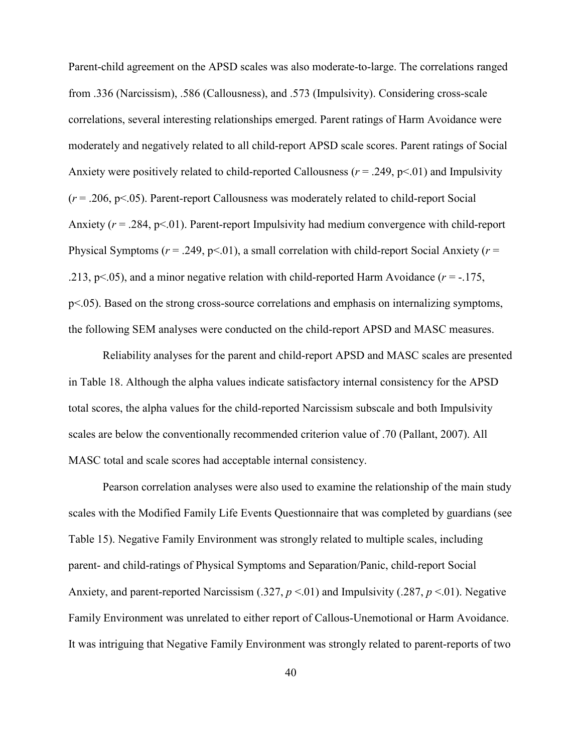Parent-child agreement on the APSD scales was also moderate-to-large. The correlations ranged from .336 (Narcissism), .586 (Callousness), and .573 (Impulsivity). Considering cross-scale correlations, several interesting relationships emerged. Parent ratings of Harm Avoidance were moderately and negatively related to all child-report APSD scale scores. Parent ratings of Social Anxiety were positively related to child-reported Callousness ( $r = .249$ ,  $p < .01$ ) and Impulsivity (*r* = .206, p<.05). Parent-report Callousness was moderately related to child-report Social Anxiety ( $r = 0.284$ ,  $p \le 0.01$ ). Parent-report Impulsivity had medium convergence with child-report Physical Symptoms ( $r = .249$ ,  $p < .01$ ), a small correlation with child-report Social Anxiety ( $r =$ .213, p $\leq$ .05), and a minor negative relation with child-reported Harm Avoidance ( $r = -175$ , p<.05). Based on the strong cross-source correlations and emphasis on internalizing symptoms, the following SEM analyses were conducted on the child-report APSD and MASC measures.

Reliability analyses for the parent and child-report APSD and MASC scales are presented in Table 18. Although the alpha values indicate satisfactory internal consistency for the APSD total scores, the alpha values for the child-reported Narcissism subscale and both Impulsivity scales are below the conventionally recommended criterion value of .70 (Pallant, 2007). All MASC total and scale scores had acceptable internal consistency.

Pearson correlation analyses were also used to examine the relationship of the main study scales with the Modified Family Life Events Questionnaire that was completed by guardians (see Table 15). Negative Family Environment was strongly related to multiple scales, including parent- and child-ratings of Physical Symptoms and Separation/Panic, child-report Social Anxiety, and parent-reported Narcissism (.327, *p* <.01) and Impulsivity (.287, *p* <.01). Negative Family Environment was unrelated to either report of Callous-Unemotional or Harm Avoidance. It was intriguing that Negative Family Environment was strongly related to parent-reports of two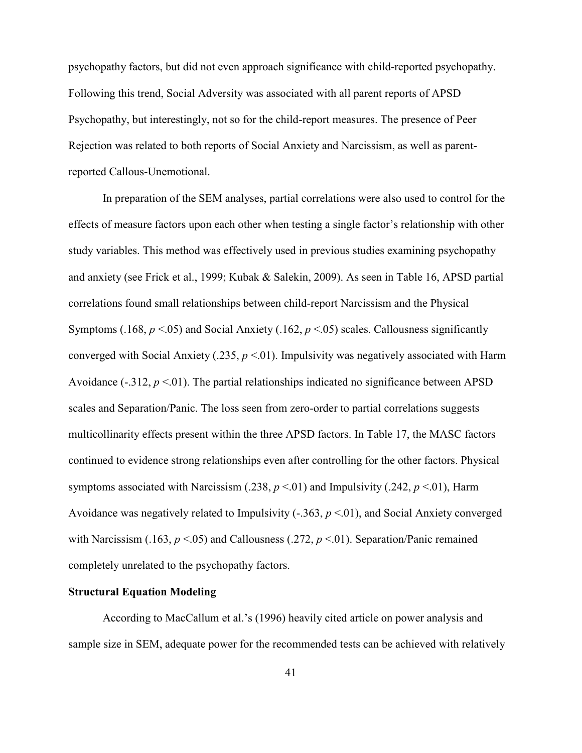psychopathy factors, but did not even approach significance with child-reported psychopathy. Following this trend, Social Adversity was associated with all parent reports of APSD Psychopathy, but interestingly, not so for the child-report measures. The presence of Peer Rejection was related to both reports of Social Anxiety and Narcissism, as well as parentreported Callous-Unemotional.

In preparation of the SEM analyses, partial correlations were also used to control for the effects of measure factors upon each other when testing a single factor's relationship with other study variables. This method was effectively used in previous studies examining psychopathy and anxiety (see Frick et al., 1999; Kubak & Salekin, 2009). As seen in Table 16, APSD partial correlations found small relationships between child-report Narcissism and the Physical Symptoms (.168,  $p < 0.05$ ) and Social Anxiety (.162,  $p < 0.05$ ) scales. Callousness significantly converged with Social Anxiety (.235, *p* <.01). Impulsivity was negatively associated with Harm Avoidance  $(-.312, p \le 01)$ . The partial relationships indicated no significance between APSD scales and Separation/Panic. The loss seen from zero-order to partial correlations suggests multicollinarity effects present within the three APSD factors. In Table 17, the MASC factors continued to evidence strong relationships even after controlling for the other factors. Physical symptoms associated with Narcissism (.238,  $p \le 01$ ) and Impulsivity (.242,  $p \le 01$ ), Harm Avoidance was negatively related to Impulsivity (-.363, *p* <.01), and Social Anxiety converged with Narcissism  $(.163, p < .05)$  and Callousness  $(.272, p < .01)$ . Separation/Panic remained completely unrelated to the psychopathy factors.

# **Structural Equation Modeling**

According to MacCallum et al.'s (1996) heavily cited article on power analysis and sample size in SEM, adequate power for the recommended tests can be achieved with relatively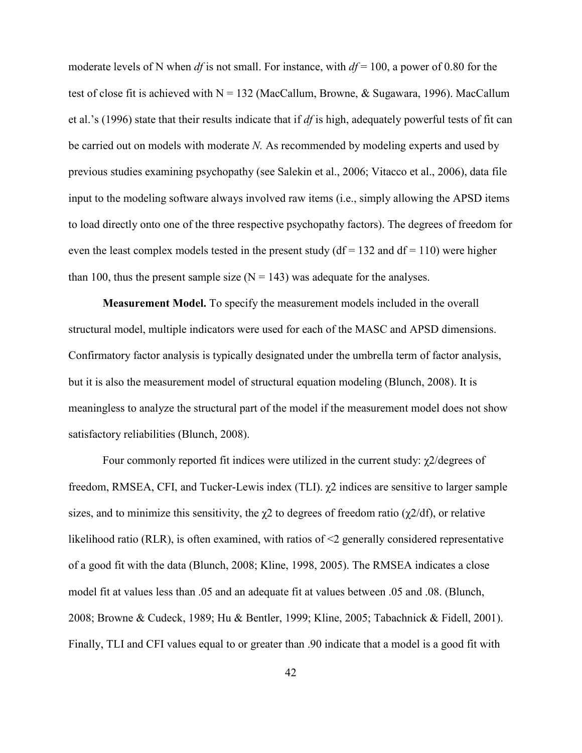moderate levels of N when *df* is not small. For instance, with *df* = 100, a power of 0.80 for the test of close fit is achieved with  $N = 132$  (MacCallum, Browne, & Sugawara, 1996). MacCallum et al.'s (1996) state that their results indicate that if *df* is high, adequately powerful tests of fit can be carried out on models with moderate *N*. As recommended by modeling experts and used by previous studies examining psychopathy (see Salekin et al., 2006; Vitacco et al., 2006), data file input to the modeling software always involved raw items (i.e., simply allowing the APSD items to load directly onto one of the three respective psychopathy factors). The degrees of freedom for even the least complex models tested in the present study ( $df = 132$  and  $df = 110$ ) were higher than 100, thus the present sample size  $(N = 143)$  was adequate for the analyses.

**Measurement Model.** To specify the measurement models included in the overall structural model, multiple indicators were used for each of the MASC and APSD dimensions. Confirmatory factor analysis is typically designated under the umbrella term of factor analysis, but it is also the measurement model of structural equation modeling (Blunch, 2008). It is meaningless to analyze the structural part of the model if the measurement model does not show satisfactory reliabilities (Blunch, 2008).

Four commonly reported fit indices were utilized in the current study: χ2/degrees of freedom, RMSEA, CFI, and Tucker-Lewis index (TLI). χ2 indices are sensitive to larger sample sizes, and to minimize this sensitivity, the  $\chi$ 2 to degrees of freedom ratio ( $\chi$ 2/df), or relative likelihood ratio (RLR), is often examined, with ratios of <2 generally considered representative of a good fit with the data (Blunch, 2008; Kline, 1998, 2005). The RMSEA indicates a close model fit at values less than .05 and an adequate fit at values between .05 and .08. (Blunch, 2008; Browne & Cudeck, 1989; Hu & Bentler, 1999; Kline, 2005; Tabachnick & Fidell, 2001). Finally, TLI and CFI values equal to or greater than .90 indicate that a model is a good fit with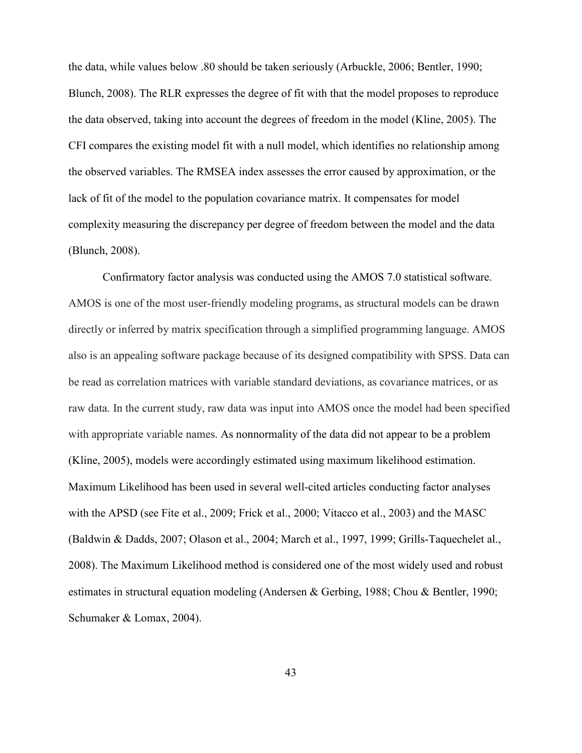the data, while values below .80 should be taken seriously (Arbuckle, 2006; Bentler, 1990; Blunch, 2008). The RLR expresses the degree of fit with that the model proposes to reproduce the data observed, taking into account the degrees of freedom in the model (Kline, 2005). The CFI compares the existing model fit with a null model, which identifies no relationship among the observed variables. The RMSEA index assesses the error caused by approximation, or the lack of fit of the model to the population covariance matrix. It compensates for model complexity measuring the discrepancy per degree of freedom between the model and the data (Blunch, 2008).

Confirmatory factor analysis was conducted using the AMOS 7.0 statistical software. AMOS is one of the most user-friendly modeling programs, as structural models can be drawn directly or inferred by matrix specification through a simplified programming language. AMOS also is an appealing software package because of its designed compatibility with SPSS. Data can be read as correlation matrices with variable standard deviations, as covariance matrices, or as raw data. In the current study, raw data was input into AMOS once the model had been specified with appropriate variable names. As nonnormality of the data did not appear to be a problem (Kline, 2005), models were accordingly estimated using maximum likelihood estimation. Maximum Likelihood has been used in several well-cited articles conducting factor analyses with the APSD (see Fite et al., 2009; Frick et al., 2000; Vitacco et al., 2003) and the MASC (Baldwin & Dadds, 2007; Olason et al., 2004; March et al., 1997, 1999; Grills-Taquechelet al., 2008). The Maximum Likelihood method is considered one of the most widely used and robust estimates in structural equation modeling (Andersen & Gerbing, 1988; Chou & Bentler, 1990; Schumaker & Lomax, 2004).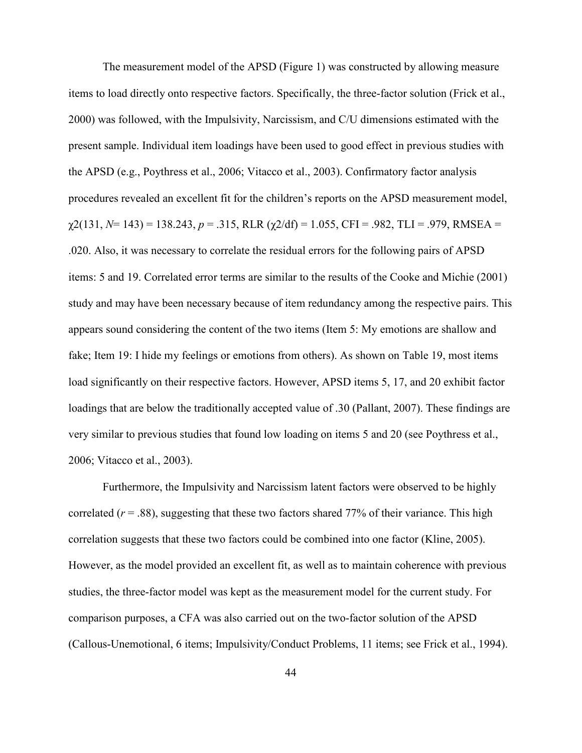The measurement model of the APSD (Figure 1) was constructed by allowing measure items to load directly onto respective factors. Specifically, the three-factor solution (Frick et al., 2000) was followed, with the Impulsivity, Narcissism, and C/U dimensions estimated with the present sample. Individual item loadings have been used to good effect in previous studies with the APSD (e.g., Poythress et al., 2006; Vitacco et al., 2003). Confirmatory factor analysis procedures revealed an excellent fit for the children's reports on the APSD measurement model,  $\chi$ 2(131, *N*= 143) = 138.243, *p* = .315, RLR ( $\chi$ 2/df) = 1.055, CFI = .982, TLI = .979, RMSEA = .020. Also, it was necessary to correlate the residual errors for the following pairs of APSD items: 5 and 19. Correlated error terms are similar to the results of the Cooke and Michie (2001) study and may have been necessary because of item redundancy among the respective pairs. This appears sound considering the content of the two items (Item 5: My emotions are shallow and fake; Item 19: I hide my feelings or emotions from others). As shown on Table 19, most items load significantly on their respective factors. However, APSD items 5, 17, and 20 exhibit factor loadings that are below the traditionally accepted value of .30 (Pallant, 2007). These findings are very similar to previous studies that found low loading on items 5 and 20 (see Poythress et al., 2006; Vitacco et al., 2003).

Furthermore, the Impulsivity and Narcissism latent factors were observed to be highly correlated  $(r = .88)$ , suggesting that these two factors shared 77% of their variance. This high correlation suggests that these two factors could be combined into one factor (Kline, 2005). However, as the model provided an excellent fit, as well as to maintain coherence with previous studies, the three-factor model was kept as the measurement model for the current study. For comparison purposes, a CFA was also carried out on the two-factor solution of the APSD (Callous-Unemotional, 6 items; Impulsivity/Conduct Problems, 11 items; see Frick et al., 1994).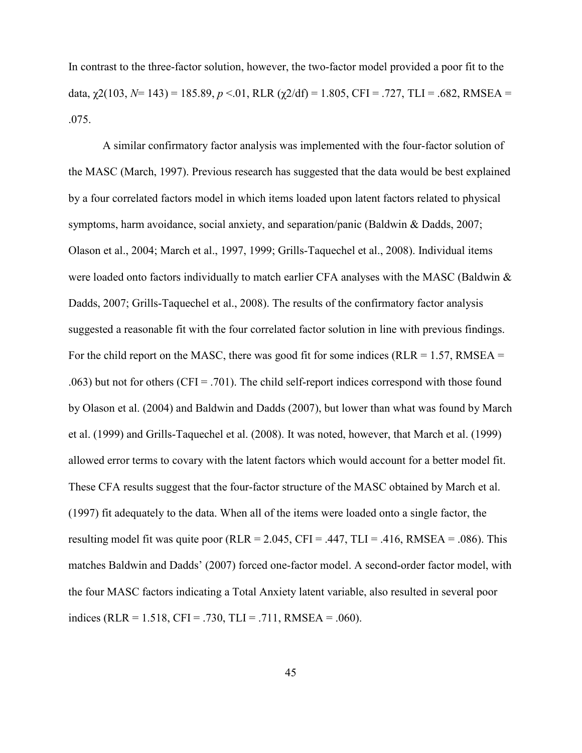In contrast to the three-factor solution, however, the two-factor model provided a poor fit to the data,  $\chi$ 2(103, N = 143) = 185.89,  $p < 0.01$ , RLR ( $\chi$ 2/df) = 1.805, CFI = .727, TLI = .682, RMSEA = .075.

A similar confirmatory factor analysis was implemented with the four-factor solution of the MASC (March, 1997). Previous research has suggested that the data would be best explained by a four correlated factors model in which items loaded upon latent factors related to physical symptoms, harm avoidance, social anxiety, and separation/panic (Baldwin & Dadds, 2007; Olason et al., 2004; March et al., 1997, 1999; Grills-Taquechel et al., 2008). Individual items were loaded onto factors individually to match earlier CFA analyses with the MASC (Baldwin & Dadds, 2007; Grills-Taquechel et al., 2008). The results of the confirmatory factor analysis suggested a reasonable fit with the four correlated factor solution in line with previous findings. For the child report on the MASC, there was good fit for some indices ( $RLR = 1.57$ ,  $RMSEA =$ .063) but not for others ( $CFI = .701$ ). The child self-report indices correspond with those found by Olason et al. (2004) and Baldwin and Dadds (2007), but lower than what was found by March et al. (1999) and Grills-Taquechel et al. (2008). It was noted, however, that March et al. (1999) allowed error terms to covary with the latent factors which would account for a better model fit. These CFA results suggest that the four-factor structure of the MASC obtained by March et al. (1997) fit adequately to the data. When all of the items were loaded onto a single factor, the resulting model fit was quite poor (RLR = 2.045, CFI = .447, TLI = .416, RMSEA = .086). This matches Baldwin and Dadds' (2007) forced one-factor model. A second-order factor model, with the four MASC factors indicating a Total Anxiety latent variable, also resulted in several poor indices (RLR = 1.518, CFI = .730, TLI = .711, RMSEA = .060).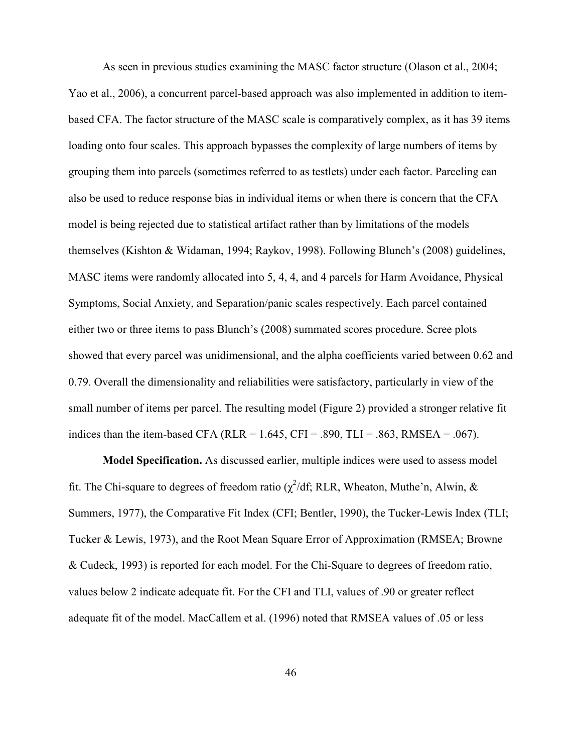As seen in previous studies examining the MASC factor structure (Olason et al., 2004; Yao et al., 2006), a concurrent parcel-based approach was also implemented in addition to itembased CFA. The factor structure of the MASC scale is comparatively complex, as it has 39 items loading onto four scales. This approach bypasses the complexity of large numbers of items by grouping them into parcels (sometimes referred to as testlets) under each factor. Parceling can also be used to reduce response bias in individual items or when there is concern that the CFA model is being rejected due to statistical artifact rather than by limitations of the models themselves (Kishton & Widaman, 1994; Raykov, 1998). Following Blunch's (2008) guidelines, MASC items were randomly allocated into 5, 4, 4, and 4 parcels for Harm Avoidance, Physical Symptoms, Social Anxiety, and Separation/panic scales respectively. Each parcel contained either two or three items to pass Blunch's (2008) summated scores procedure. Scree plots showed that every parcel was unidimensional, and the alpha coefficients varied between 0.62 and 0.79. Overall the dimensionality and reliabilities were satisfactory, particularly in view of the small number of items per parcel. The resulting model (Figure 2) provided a stronger relative fit indices than the item-based CFA (RLR =  $1.645$ , CFI = .890, TLI = .863, RMSEA = .067).

**Model Specification.** As discussed earlier, multiple indices were used to assess model fit. The Chi-square to degrees of freedom ratio ( $\chi^2$ /df; RLR, Wheaton, Muthe'n, Alwin, & Summers, 1977), the Comparative Fit Index (CFI; Bentler, 1990), the Tucker-Lewis Index (TLI; Tucker & Lewis, 1973), and the Root Mean Square Error of Approximation (RMSEA; Browne & Cudeck, 1993) is reported for each model. For the Chi-Square to degrees of freedom ratio, values below 2 indicate adequate fit. For the CFI and TLI, values of .90 or greater reflect adequate fit of the model. MacCallem et al. (1996) noted that RMSEA values of .05 or less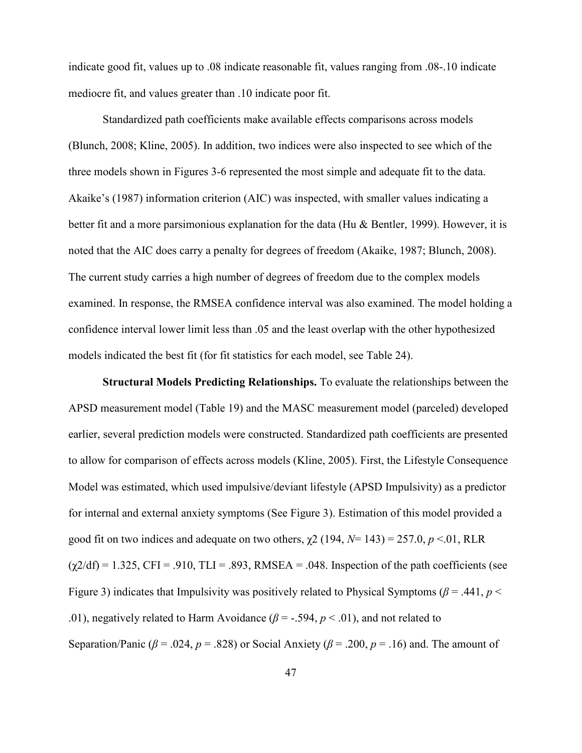indicate good fit, values up to .08 indicate reasonable fit, values ranging from .08-.10 indicate mediocre fit, and values greater than .10 indicate poor fit.

Standardized path coefficients make available effects comparisons across models (Blunch, 2008; Kline, 2005). In addition, two indices were also inspected to see which of the three models shown in Figures 3-6 represented the most simple and adequate fit to the data. Akaike's (1987) information criterion (AIC) was inspected, with smaller values indicating a better fit and a more parsimonious explanation for the data (Hu & Bentler, 1999). However, it is noted that the AIC does carry a penalty for degrees of freedom (Akaike, 1987; Blunch, 2008). The current study carries a high number of degrees of freedom due to the complex models examined. In response, the RMSEA confidence interval was also examined. The model holding a confidence interval lower limit less than .05 and the least overlap with the other hypothesized models indicated the best fit (for fit statistics for each model, see Table 24).

**Structural Models Predicting Relationships.** To evaluate the relationships between the APSD measurement model (Table 19) and the MASC measurement model (parceled) developed earlier, several prediction models were constructed. Standardized path coefficients are presented to allow for comparison of effects across models (Kline, 2005). First, the Lifestyle Consequence Model was estimated, which used impulsive/deviant lifestyle (APSD Impulsivity) as a predictor for internal and external anxiety symptoms (See Figure 3). Estimation of this model provided a good fit on two indices and adequate on two others,  $\gamma$ 2 (194,  $N$ = 143) = 257.0,  $p$  <.01, RLR  $(\gamma 2/df) = 1.325$ , CFI = .910, TLI = .893, RMSEA = .048. Inspection of the path coefficients (see Figure 3) indicates that Impulsivity was positively related to Physical Symptoms ( $\beta$  = .441, *p* < .01), negatively related to Harm Avoidance  $(\beta = -0.594, p < 0.01)$ , and not related to Separation/Panic ( $\beta$  = .024,  $p$  = .828) or Social Anxiety ( $\beta$  = .200,  $p$  = .16) and. The amount of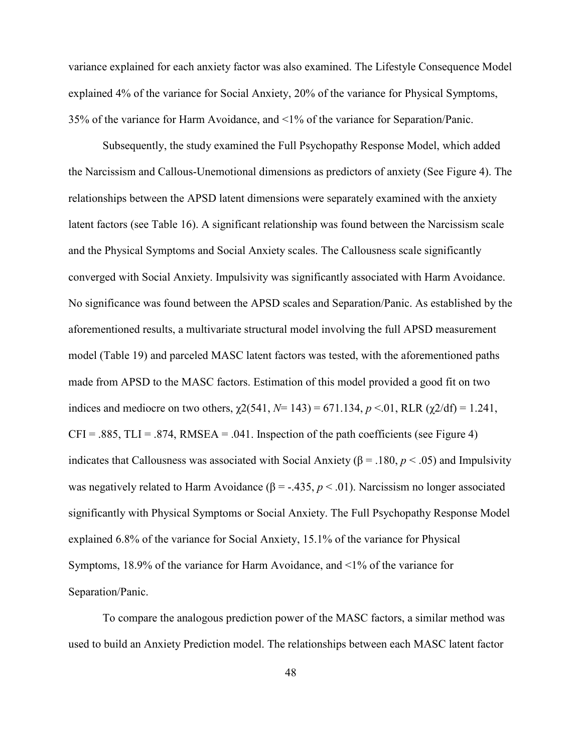variance explained for each anxiety factor was also examined. The Lifestyle Consequence Model explained 4% of the variance for Social Anxiety, 20% of the variance for Physical Symptoms, 35% of the variance for Harm Avoidance, and <1% of the variance for Separation/Panic.

Subsequently, the study examined the Full Psychopathy Response Model, which added the Narcissism and Callous-Unemotional dimensions as predictors of anxiety (See Figure 4). The relationships between the APSD latent dimensions were separately examined with the anxiety latent factors (see Table 16). A significant relationship was found between the Narcissism scale and the Physical Symptoms and Social Anxiety scales. The Callousness scale significantly converged with Social Anxiety. Impulsivity was significantly associated with Harm Avoidance. No significance was found between the APSD scales and Separation/Panic. As established by the aforementioned results, a multivariate structural model involving the full APSD measurement model (Table 19) and parceled MASC latent factors was tested, with the aforementioned paths made from APSD to the MASC factors. Estimation of this model provided a good fit on two indices and mediocre on two others,  $\chi$ 2(541, *N*= 143) = 671.134, *p* <.01, RLR ( $\chi$ 2/df) = 1.241,  $CFI = .885$ ,  $TLI = .874$ , RMSEA = .041. Inspection of the path coefficients (see Figure 4) indicates that Callousness was associated with Social Anxiety (β = .180, *p* < .05) and Impulsivity was negatively related to Harm Avoidance  $(\beta = -435, p < .01)$ . Narcissism no longer associated significantly with Physical Symptoms or Social Anxiety. The Full Psychopathy Response Model explained 6.8% of the variance for Social Anxiety, 15.1% of the variance for Physical Symptoms, 18.9% of the variance for Harm Avoidance, and <1% of the variance for Separation/Panic.

To compare the analogous prediction power of the MASC factors, a similar method was used to build an Anxiety Prediction model. The relationships between each MASC latent factor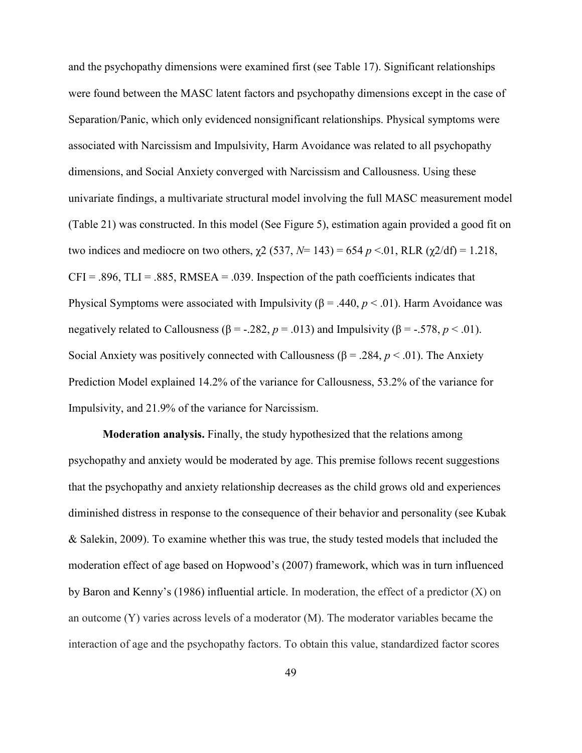and the psychopathy dimensions were examined first (see Table 17). Significant relationships were found between the MASC latent factors and psychopathy dimensions except in the case of Separation/Panic, which only evidenced nonsignificant relationships. Physical symptoms were associated with Narcissism and Impulsivity, Harm Avoidance was related to all psychopathy dimensions, and Social Anxiety converged with Narcissism and Callousness. Using these univariate findings, a multivariate structural model involving the full MASC measurement model (Table 21) was constructed. In this model (See Figure 5), estimation again provided a good fit on two indices and mediocre on two others,  $\chi$ 2 (537, N= 143) = 654 *p* <.01, RLR ( $\chi$ 2/df) = 1.218,  $CFI = .896$ ,  $TLI = .885$ , RMSEA = .039. Inspection of the path coefficients indicates that Physical Symptoms were associated with Impulsivity ( $β = .440, p < .01$ ). Harm Avoidance was negatively related to Callousness ( $\beta$  = -.282,  $p$  = .013) and Impulsivity ( $\beta$  = -.578,  $p$  < .01). Social Anxiety was positively connected with Callousness ( $\beta$  = .284,  $p$  < .01). The Anxiety Prediction Model explained 14.2% of the variance for Callousness, 53.2% of the variance for Impulsivity, and 21.9% of the variance for Narcissism.

**Moderation analysis.** Finally, the study hypothesized that the relations among psychopathy and anxiety would be moderated by age. This premise follows recent suggestions that the psychopathy and anxiety relationship decreases as the child grows old and experiences diminished distress in response to the consequence of their behavior and personality (see Kubak & Salekin, 2009). To examine whether this was true, the study tested models that included the moderation effect of age based on Hopwood's (2007) framework, which was in turn influenced by Baron and Kenny's (1986) influential article. In moderation, the effect of a predictor (X) on an outcome (Y) varies across levels of a moderator (M). The moderator variables became the interaction of age and the psychopathy factors. To obtain this value, standardized factor scores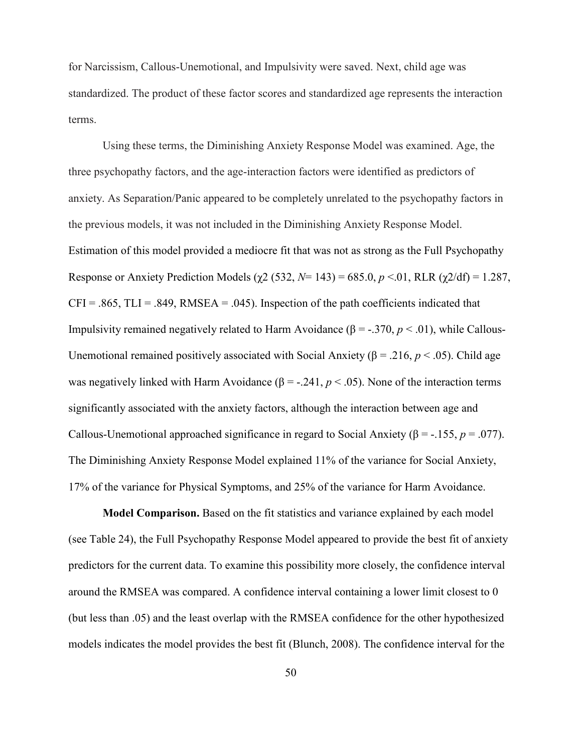for Narcissism, Callous-Unemotional, and Impulsivity were saved. Next, child age was standardized. The product of these factor scores and standardized age represents the interaction terms.

Using these terms, the Diminishing Anxiety Response Model was examined. Age, the three psychopathy factors, and the age-interaction factors were identified as predictors of anxiety. As Separation/Panic appeared to be completely unrelated to the psychopathy factors in the previous models, it was not included in the Diminishing Anxiety Response Model. Estimation of this model provided a mediocre fit that was not as strong as the Full Psychopathy Response or Anxiety Prediction Models (χ2 (532, *"*= 143) = 685.0, *p* <.01, RLR (χ2/df) = 1.287,  $CFI = .865$ ,  $TLI = .849$ , RMSEA = .045). Inspection of the path coefficients indicated that Impulsivity remained negatively related to Harm Avoidance (β = -.370, *p* < .01), while Callous-Unemotional remained positively associated with Social Anxiety (β = .216,  $p$  < .05). Child age was negatively linked with Harm Avoidance ( $\beta$  = -.241,  $p < .05$ ). None of the interaction terms significantly associated with the anxiety factors, although the interaction between age and Callous-Unemotional approached significance in regard to Social Anxiety ( $β = -.155$ ,  $p = .077$ ). The Diminishing Anxiety Response Model explained 11% of the variance for Social Anxiety, 17% of the variance for Physical Symptoms, and 25% of the variance for Harm Avoidance.

**Model Comparison.** Based on the fit statistics and variance explained by each model (see Table 24), the Full Psychopathy Response Model appeared to provide the best fit of anxiety predictors for the current data. To examine this possibility more closely, the confidence interval around the RMSEA was compared. A confidence interval containing a lower limit closest to 0 (but less than .05) and the least overlap with the RMSEA confidence for the other hypothesized models indicates the model provides the best fit (Blunch, 2008). The confidence interval for the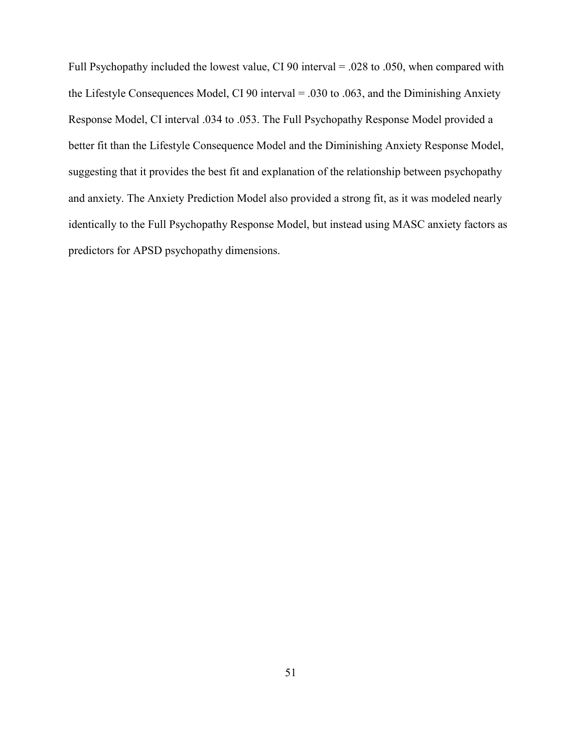Full Psychopathy included the lowest value, CI 90 interval = .028 to .050, when compared with the Lifestyle Consequences Model, CI 90 interval = .030 to .063, and the Diminishing Anxiety Response Model, CI interval .034 to .053. The Full Psychopathy Response Model provided a better fit than the Lifestyle Consequence Model and the Diminishing Anxiety Response Model, suggesting that it provides the best fit and explanation of the relationship between psychopathy and anxiety. The Anxiety Prediction Model also provided a strong fit, as it was modeled nearly identically to the Full Psychopathy Response Model, but instead using MASC anxiety factors as predictors for APSD psychopathy dimensions.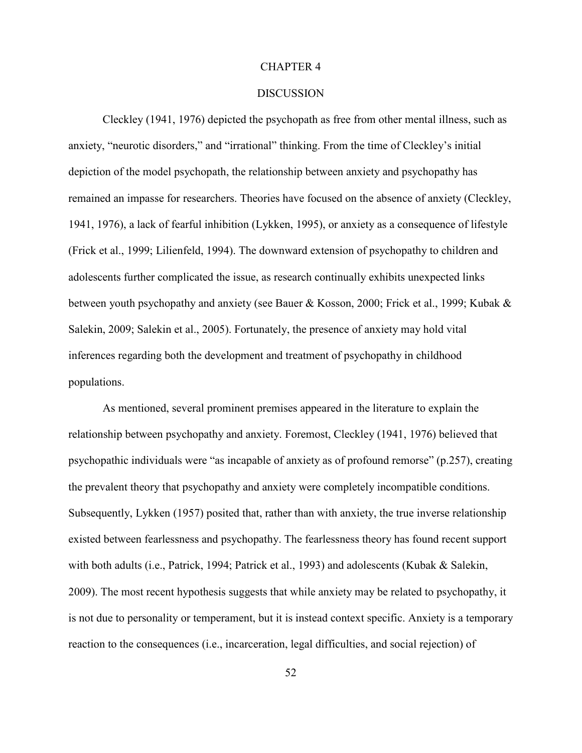#### CHAPTER 4

### **DISCUSSION**

Cleckley (1941, 1976) depicted the psychopath as free from other mental illness, such as anxiety, "neurotic disorders," and "irrational" thinking. From the time of Cleckley's initial depiction of the model psychopath, the relationship between anxiety and psychopathy has remained an impasse for researchers. Theories have focused on the absence of anxiety (Cleckley, 1941, 1976), a lack of fearful inhibition (Lykken, 1995), or anxiety as a consequence of lifestyle (Frick et al., 1999; Lilienfeld, 1994). The downward extension of psychopathy to children and adolescents further complicated the issue, as research continually exhibits unexpected links between youth psychopathy and anxiety (see Bauer & Kosson, 2000; Frick et al., 1999; Kubak & Salekin, 2009; Salekin et al., 2005). Fortunately, the presence of anxiety may hold vital inferences regarding both the development and treatment of psychopathy in childhood populations.

As mentioned, several prominent premises appeared in the literature to explain the relationship between psychopathy and anxiety. Foremost, Cleckley (1941, 1976) believed that psychopathic individuals were "as incapable of anxiety as of profound remorse" (p.257), creating the prevalent theory that psychopathy and anxiety were completely incompatible conditions. Subsequently, Lykken (1957) posited that, rather than with anxiety, the true inverse relationship existed between fearlessness and psychopathy. The fearlessness theory has found recent support with both adults (i.e., Patrick, 1994; Patrick et al., 1993) and adolescents (Kubak & Salekin, 2009). The most recent hypothesis suggests that while anxiety may be related to psychopathy, it is not due to personality or temperament, but it is instead context specific. Anxiety is a temporary reaction to the consequences (i.e., incarceration, legal difficulties, and social rejection) of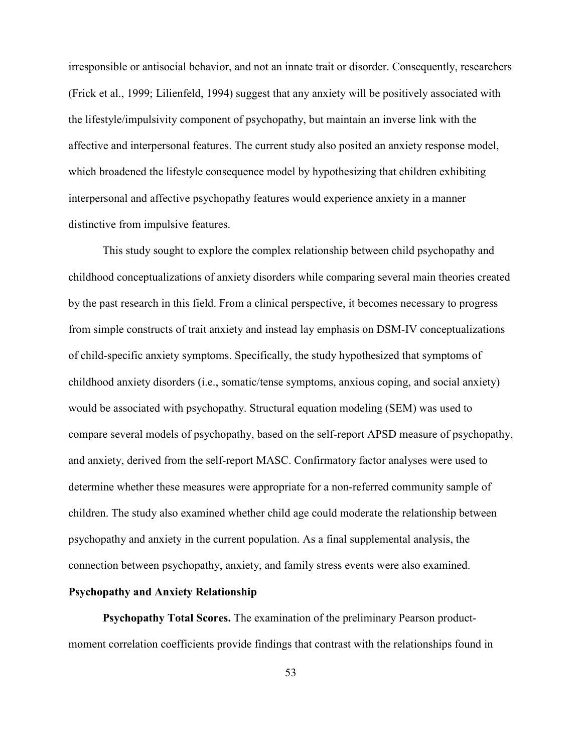irresponsible or antisocial behavior, and not an innate trait or disorder. Consequently, researchers (Frick et al., 1999; Lilienfeld, 1994) suggest that any anxiety will be positively associated with the lifestyle/impulsivity component of psychopathy, but maintain an inverse link with the affective and interpersonal features. The current study also posited an anxiety response model, which broadened the lifestyle consequence model by hypothesizing that children exhibiting interpersonal and affective psychopathy features would experience anxiety in a manner distinctive from impulsive features.

 This study sought to explore the complex relationship between child psychopathy and childhood conceptualizations of anxiety disorders while comparing several main theories created by the past research in this field. From a clinical perspective, it becomes necessary to progress from simple constructs of trait anxiety and instead lay emphasis on DSM-IV conceptualizations of child-specific anxiety symptoms. Specifically, the study hypothesized that symptoms of childhood anxiety disorders (i.e., somatic/tense symptoms, anxious coping, and social anxiety) would be associated with psychopathy. Structural equation modeling (SEM) was used to compare several models of psychopathy, based on the self-report APSD measure of psychopathy, and anxiety, derived from the self-report MASC. Confirmatory factor analyses were used to determine whether these measures were appropriate for a non-referred community sample of children. The study also examined whether child age could moderate the relationship between psychopathy and anxiety in the current population. As a final supplemental analysis, the connection between psychopathy, anxiety, and family stress events were also examined.

### **Psychopathy and Anxiety Relationship**

**Psychopathy Total Scores.** The examination of the preliminary Pearson productmoment correlation coefficients provide findings that contrast with the relationships found in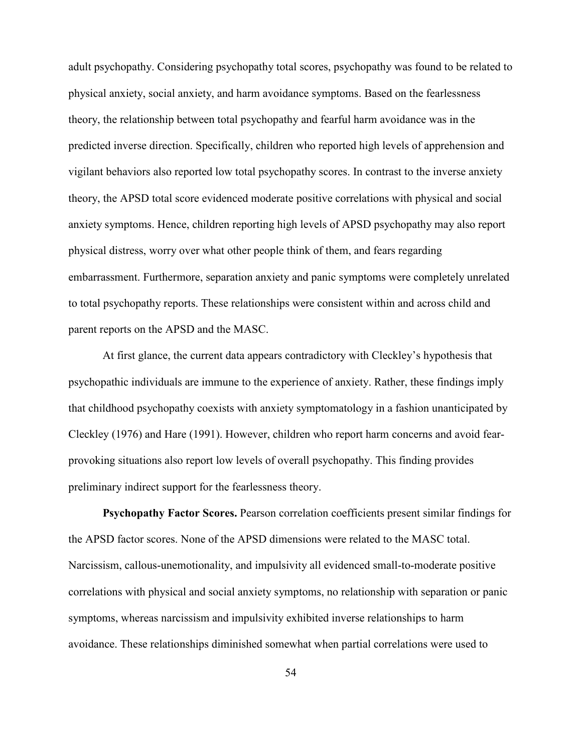adult psychopathy. Considering psychopathy total scores, psychopathy was found to be related to physical anxiety, social anxiety, and harm avoidance symptoms. Based on the fearlessness theory, the relationship between total psychopathy and fearful harm avoidance was in the predicted inverse direction. Specifically, children who reported high levels of apprehension and vigilant behaviors also reported low total psychopathy scores. In contrast to the inverse anxiety theory, the APSD total score evidenced moderate positive correlations with physical and social anxiety symptoms. Hence, children reporting high levels of APSD psychopathy may also report physical distress, worry over what other people think of them, and fears regarding embarrassment. Furthermore, separation anxiety and panic symptoms were completely unrelated to total psychopathy reports. These relationships were consistent within and across child and parent reports on the APSD and the MASC.

At first glance, the current data appears contradictory with Cleckley's hypothesis that psychopathic individuals are immune to the experience of anxiety. Rather, these findings imply that childhood psychopathy coexists with anxiety symptomatology in a fashion unanticipated by Cleckley (1976) and Hare (1991). However, children who report harm concerns and avoid fearprovoking situations also report low levels of overall psychopathy. This finding provides preliminary indirect support for the fearlessness theory.

**Psychopathy Factor Scores.** Pearson correlation coefficients present similar findings for the APSD factor scores. None of the APSD dimensions were related to the MASC total. Narcissism, callous-unemotionality, and impulsivity all evidenced small-to-moderate positive correlations with physical and social anxiety symptoms, no relationship with separation or panic symptoms, whereas narcissism and impulsivity exhibited inverse relationships to harm avoidance. These relationships diminished somewhat when partial correlations were used to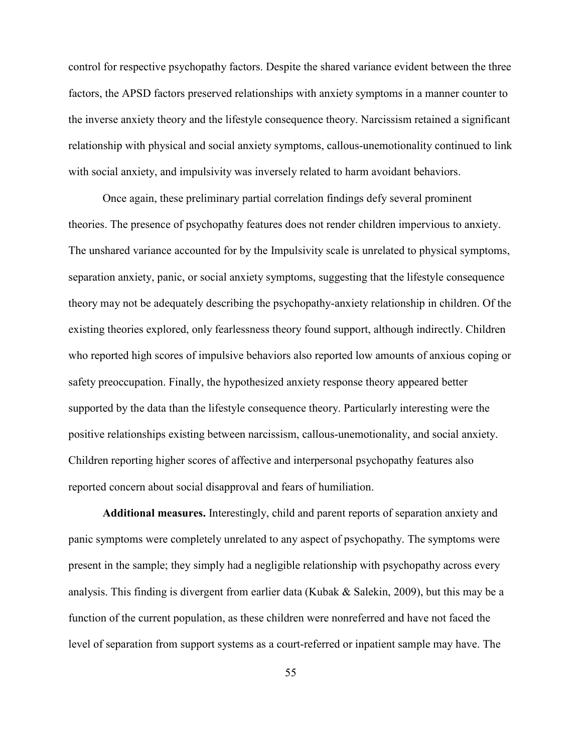control for respective psychopathy factors. Despite the shared variance evident between the three factors, the APSD factors preserved relationships with anxiety symptoms in a manner counter to the inverse anxiety theory and the lifestyle consequence theory. Narcissism retained a significant relationship with physical and social anxiety symptoms, callous-unemotionality continued to link with social anxiety, and impulsivity was inversely related to harm avoidant behaviors.

Once again, these preliminary partial correlation findings defy several prominent theories. The presence of psychopathy features does not render children impervious to anxiety. The unshared variance accounted for by the Impulsivity scale is unrelated to physical symptoms, separation anxiety, panic, or social anxiety symptoms, suggesting that the lifestyle consequence theory may not be adequately describing the psychopathy-anxiety relationship in children. Of the existing theories explored, only fearlessness theory found support, although indirectly. Children who reported high scores of impulsive behaviors also reported low amounts of anxious coping or safety preoccupation. Finally, the hypothesized anxiety response theory appeared better supported by the data than the lifestyle consequence theory. Particularly interesting were the positive relationships existing between narcissism, callous-unemotionality, and social anxiety. Children reporting higher scores of affective and interpersonal psychopathy features also reported concern about social disapproval and fears of humiliation.

**Additional measures.** Interestingly, child and parent reports of separation anxiety and panic symptoms were completely unrelated to any aspect of psychopathy. The symptoms were present in the sample; they simply had a negligible relationship with psychopathy across every analysis. This finding is divergent from earlier data (Kubak & Salekin, 2009), but this may be a function of the current population, as these children were nonreferred and have not faced the level of separation from support systems as a court-referred or inpatient sample may have. The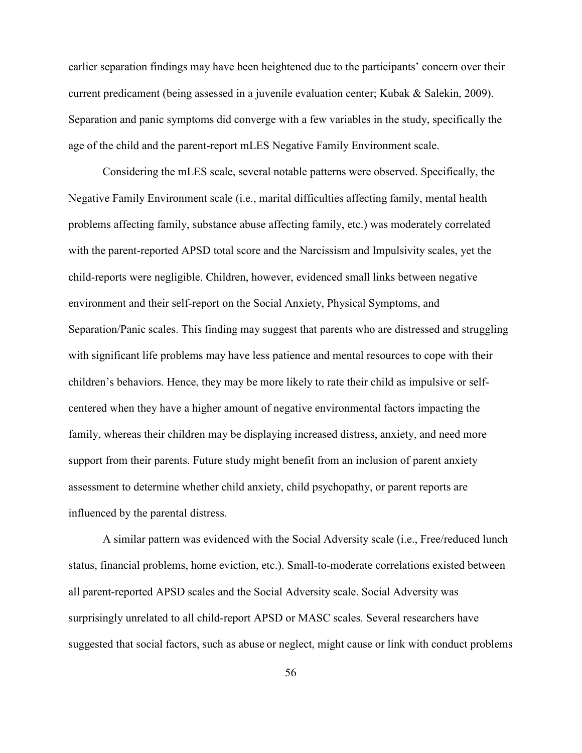earlier separation findings may have been heightened due to the participants' concern over their current predicament (being assessed in a juvenile evaluation center; Kubak & Salekin, 2009). Separation and panic symptoms did converge with a few variables in the study, specifically the age of the child and the parent-report mLES Negative Family Environment scale.

Considering the mLES scale, several notable patterns were observed. Specifically, the Negative Family Environment scale (i.e., marital difficulties affecting family, mental health problems affecting family, substance abuse affecting family, etc.) was moderately correlated with the parent-reported APSD total score and the Narcissism and Impulsivity scales, yet the child-reports were negligible. Children, however, evidenced small links between negative environment and their self-report on the Social Anxiety, Physical Symptoms, and Separation/Panic scales. This finding may suggest that parents who are distressed and struggling with significant life problems may have less patience and mental resources to cope with their children's behaviors. Hence, they may be more likely to rate their child as impulsive or selfcentered when they have a higher amount of negative environmental factors impacting the family, whereas their children may be displaying increased distress, anxiety, and need more support from their parents. Future study might benefit from an inclusion of parent anxiety assessment to determine whether child anxiety, child psychopathy, or parent reports are influenced by the parental distress.

A similar pattern was evidenced with the Social Adversity scale (i.e., Free/reduced lunch status, financial problems, home eviction, etc.). Small-to-moderate correlations existed between all parent-reported APSD scales and the Social Adversity scale. Social Adversity was surprisingly unrelated to all child-report APSD or MASC scales. Several researchers have suggested that social factors, such as abuse or neglect, might cause or link with conduct problems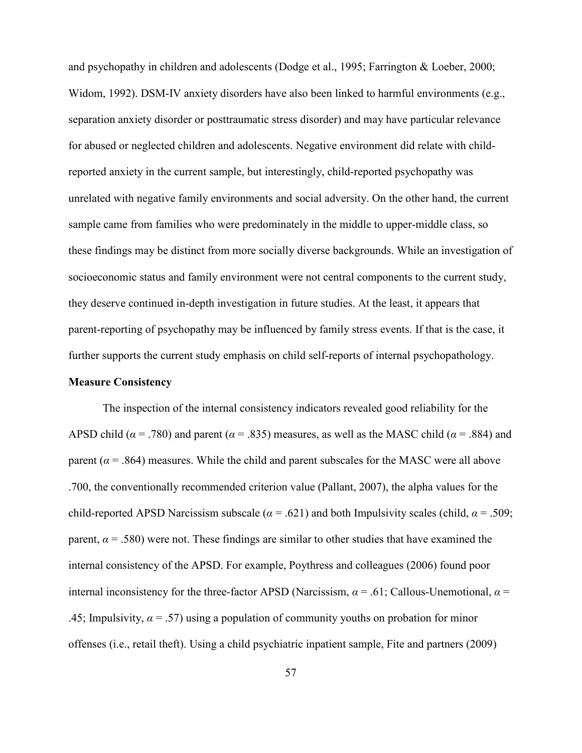and psychopathy in children and adolescents (Dodge et al., 1995; Farrington & Loeber, 2000; Widom, 1992). DSM-IV anxiety disorders have also been linked to harmful environments (e.g., separation anxiety disorder or posttraumatic stress disorder) and may have particular relevance for abused or neglected children and adolescents. Negative environment did relate with childreported anxiety in the current sample, but interestingly, child-reported psychopathy was unrelated with negative family environments and social adversity. On the other hand, the current sample came from families who were predominately in the middle to upper-middle class, so these findings may be distinct from more socially diverse backgrounds. While an investigation of socioeconomic status and family environment were not central components to the current study, they deserve continued in-depth investigation in future studies. At the least, it appears that parent-reporting of psychopathy may be influenced by family stress events. If that is the case, it further supports the current study emphasis on child self-reports of internal psychopathology.

### **Measure Consistency**

The inspection of the internal consistency indicators revealed good reliability for the APSD child ( $\alpha$  = .780) and parent ( $\alpha$  = .835) measures, as well as the MASC child ( $\alpha$  = .884) and parent ( $\alpha$  = .864) measures. While the child and parent subscales for the MASC were all above .700, the conventionally recommended criterion value (Pallant, 2007), the alpha values for the child-reported APSD Narcissism subscale ( $\alpha$  = .621) and both Impulsivity scales (child,  $\alpha$  = .509; parent,  $\alpha$  = .580) were not. These findings are similar to other studies that have examined the internal consistency of the APSD. For example, Poythress and colleagues (2006) found poor internal inconsistency for the three-factor APSD (Narcissism,  $\alpha$  = .61; Callous-Unemotional,  $\alpha$  = .45; Impulsivity,  $\alpha$  = .57) using a population of community youths on probation for minor offenses (i.e., retail theft). Using a child psychiatric inpatient sample, Fite and partners (2009)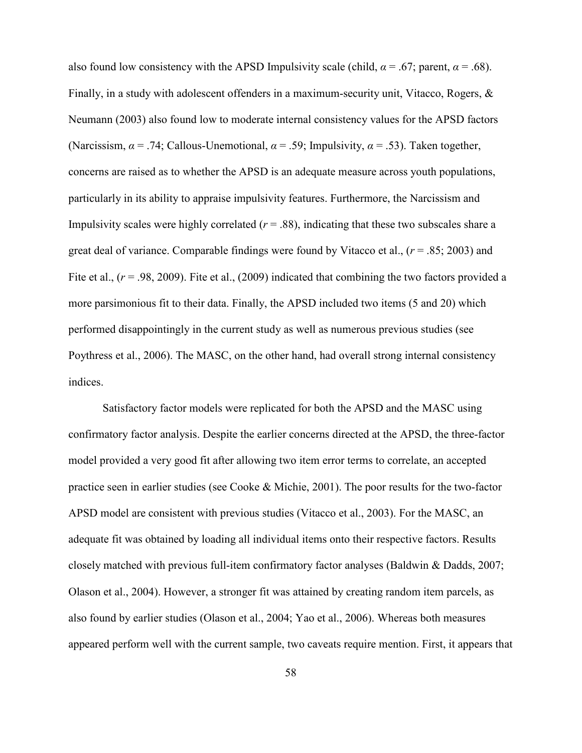also found low consistency with the APSD Impulsivity scale (child,  $\alpha$  = .67; parent,  $\alpha$  = .68). Finally, in a study with adolescent offenders in a maximum-security unit, Vitacco, Rogers, & Neumann (2003) also found low to moderate internal consistency values for the APSD factors (Narcissism, *α* = .74; Callous-Unemotional, *α* = .59; Impulsivity, *α* = .53). Taken together, concerns are raised as to whether the APSD is an adequate measure across youth populations, particularly in its ability to appraise impulsivity features. Furthermore, the Narcissism and Impulsivity scales were highly correlated  $(r = .88)$ , indicating that these two subscales share a great deal of variance. Comparable findings were found by Vitacco et al.,  $(r = .85; 2003)$  and Fite et al., ( $r = .98, 2009$ ). Fite et al., (2009) indicated that combining the two factors provided a more parsimonious fit to their data. Finally, the APSD included two items (5 and 20) which performed disappointingly in the current study as well as numerous previous studies (see Poythress et al., 2006). The MASC, on the other hand, had overall strong internal consistency indices.

Satisfactory factor models were replicated for both the APSD and the MASC using confirmatory factor analysis. Despite the earlier concerns directed at the APSD, the three-factor model provided a very good fit after allowing two item error terms to correlate, an accepted practice seen in earlier studies (see Cooke & Michie, 2001). The poor results for the two-factor APSD model are consistent with previous studies (Vitacco et al., 2003). For the MASC, an adequate fit was obtained by loading all individual items onto their respective factors. Results closely matched with previous full-item confirmatory factor analyses (Baldwin & Dadds, 2007; Olason et al., 2004). However, a stronger fit was attained by creating random item parcels, as also found by earlier studies (Olason et al., 2004; Yao et al., 2006). Whereas both measures appeared perform well with the current sample, two caveats require mention. First, it appears that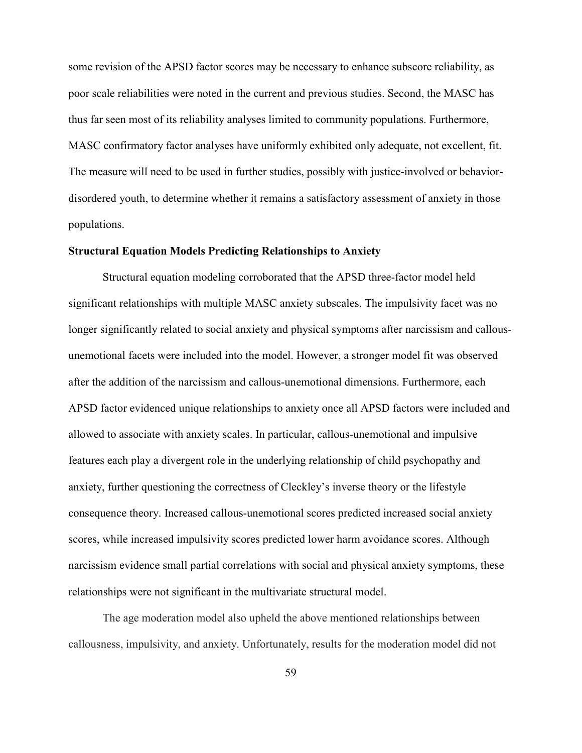some revision of the APSD factor scores may be necessary to enhance subscore reliability, as poor scale reliabilities were noted in the current and previous studies. Second, the MASC has thus far seen most of its reliability analyses limited to community populations. Furthermore, MASC confirmatory factor analyses have uniformly exhibited only adequate, not excellent, fit. The measure will need to be used in further studies, possibly with justice-involved or behaviordisordered youth, to determine whether it remains a satisfactory assessment of anxiety in those populations.

# **Structural Equation Models Predicting Relationships to Anxiety**

 Structural equation modeling corroborated that the APSD three-factor model held significant relationships with multiple MASC anxiety subscales. The impulsivity facet was no longer significantly related to social anxiety and physical symptoms after narcissism and callousunemotional facets were included into the model. However, a stronger model fit was observed after the addition of the narcissism and callous-unemotional dimensions. Furthermore, each APSD factor evidenced unique relationships to anxiety once all APSD factors were included and allowed to associate with anxiety scales. In particular, callous-unemotional and impulsive features each play a divergent role in the underlying relationship of child psychopathy and anxiety, further questioning the correctness of Cleckley's inverse theory or the lifestyle consequence theory. Increased callous-unemotional scores predicted increased social anxiety scores, while increased impulsivity scores predicted lower harm avoidance scores. Although narcissism evidence small partial correlations with social and physical anxiety symptoms, these relationships were not significant in the multivariate structural model.

The age moderation model also upheld the above mentioned relationships between callousness, impulsivity, and anxiety. Unfortunately, results for the moderation model did not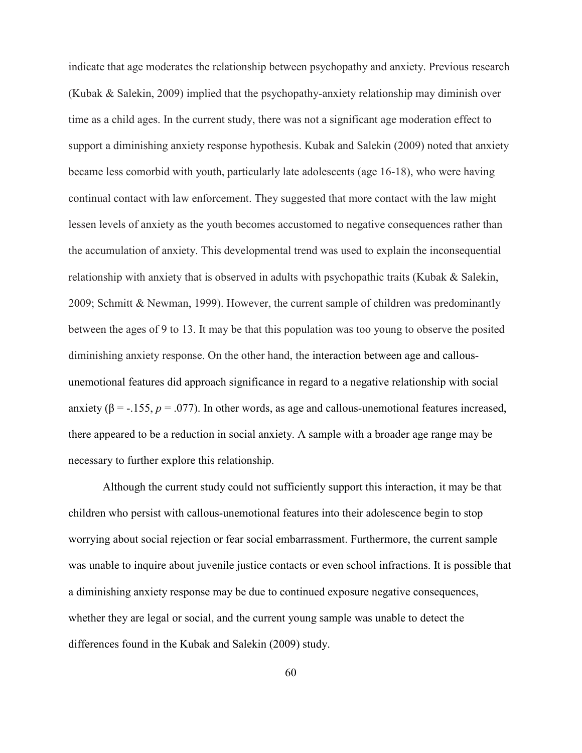indicate that age moderates the relationship between psychopathy and anxiety. Previous research (Kubak & Salekin, 2009) implied that the psychopathy-anxiety relationship may diminish over time as a child ages. In the current study, there was not a significant age moderation effect to support a diminishing anxiety response hypothesis. Kubak and Salekin (2009) noted that anxiety became less comorbid with youth, particularly late adolescents (age 16-18), who were having continual contact with law enforcement. They suggested that more contact with the law might lessen levels of anxiety as the youth becomes accustomed to negative consequences rather than the accumulation of anxiety. This developmental trend was used to explain the inconsequential relationship with anxiety that is observed in adults with psychopathic traits (Kubak & Salekin, 2009; Schmitt & Newman, 1999). However, the current sample of children was predominantly between the ages of 9 to 13. It may be that this population was too young to observe the posited diminishing anxiety response. On the other hand, the interaction between age and callousunemotional features did approach significance in regard to a negative relationship with social anxiety ( $\beta$  = -.155,  $p = .077$ ). In other words, as age and callous-unemotional features increased, there appeared to be a reduction in social anxiety. A sample with a broader age range may be necessary to further explore this relationship.

Although the current study could not sufficiently support this interaction, it may be that children who persist with callous-unemotional features into their adolescence begin to stop worrying about social rejection or fear social embarrassment. Furthermore, the current sample was unable to inquire about juvenile justice contacts or even school infractions. It is possible that a diminishing anxiety response may be due to continued exposure negative consequences, whether they are legal or social, and the current young sample was unable to detect the differences found in the Kubak and Salekin (2009) study.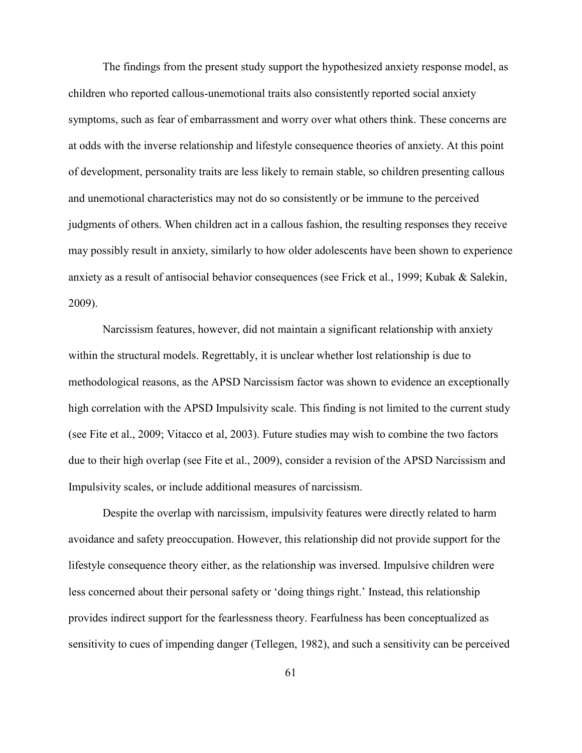The findings from the present study support the hypothesized anxiety response model, as children who reported callous-unemotional traits also consistently reported social anxiety symptoms, such as fear of embarrassment and worry over what others think. These concerns are at odds with the inverse relationship and lifestyle consequence theories of anxiety. At this point of development, personality traits are less likely to remain stable, so children presenting callous and unemotional characteristics may not do so consistently or be immune to the perceived judgments of others. When children act in a callous fashion, the resulting responses they receive may possibly result in anxiety, similarly to how older adolescents have been shown to experience anxiety as a result of antisocial behavior consequences (see Frick et al., 1999; Kubak & Salekin, 2009).

Narcissism features, however, did not maintain a significant relationship with anxiety within the structural models. Regrettably, it is unclear whether lost relationship is due to methodological reasons, as the APSD Narcissism factor was shown to evidence an exceptionally high correlation with the APSD Impulsivity scale. This finding is not limited to the current study (see Fite et al., 2009; Vitacco et al, 2003). Future studies may wish to combine the two factors due to their high overlap (see Fite et al., 2009), consider a revision of the APSD Narcissism and Impulsivity scales, or include additional measures of narcissism.

Despite the overlap with narcissism, impulsivity features were directly related to harm avoidance and safety preoccupation. However, this relationship did not provide support for the lifestyle consequence theory either, as the relationship was inversed. Impulsive children were less concerned about their personal safety or 'doing things right.' Instead, this relationship provides indirect support for the fearlessness theory. Fearfulness has been conceptualized as sensitivity to cues of impending danger (Tellegen, 1982), and such a sensitivity can be perceived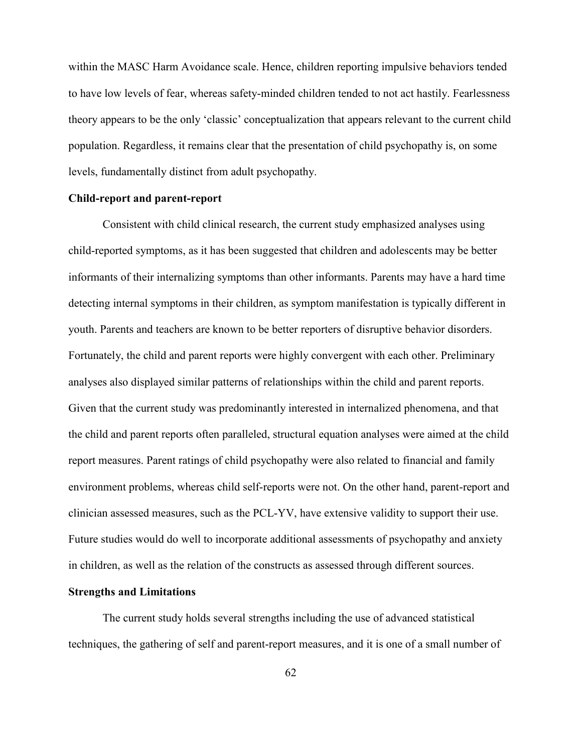within the MASC Harm Avoidance scale. Hence, children reporting impulsive behaviors tended to have low levels of fear, whereas safety-minded children tended to not act hastily. Fearlessness theory appears to be the only 'classic' conceptualization that appears relevant to the current child population. Regardless, it remains clear that the presentation of child psychopathy is, on some levels, fundamentally distinct from adult psychopathy.

### **Child-report and parent-report**

Consistent with child clinical research, the current study emphasized analyses using child-reported symptoms, as it has been suggested that children and adolescents may be better informants of their internalizing symptoms than other informants. Parents may have a hard time detecting internal symptoms in their children, as symptom manifestation is typically different in youth. Parents and teachers are known to be better reporters of disruptive behavior disorders. Fortunately, the child and parent reports were highly convergent with each other. Preliminary analyses also displayed similar patterns of relationships within the child and parent reports. Given that the current study was predominantly interested in internalized phenomena, and that the child and parent reports often paralleled, structural equation analyses were aimed at the child report measures. Parent ratings of child psychopathy were also related to financial and family environment problems, whereas child self-reports were not. On the other hand, parent-report and clinician assessed measures, such as the PCL-YV, have extensive validity to support their use. Future studies would do well to incorporate additional assessments of psychopathy and anxiety in children, as well as the relation of the constructs as assessed through different sources.

# **Strengths and Limitations**

The current study holds several strengths including the use of advanced statistical techniques, the gathering of self and parent-report measures, and it is one of a small number of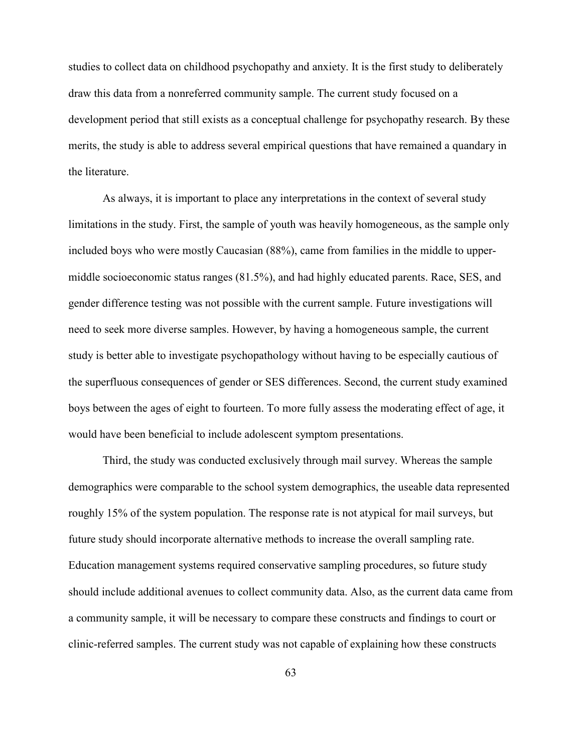studies to collect data on childhood psychopathy and anxiety. It is the first study to deliberately draw this data from a nonreferred community sample. The current study focused on a development period that still exists as a conceptual challenge for psychopathy research. By these merits, the study is able to address several empirical questions that have remained a quandary in the literature.

As always, it is important to place any interpretations in the context of several study limitations in the study. First, the sample of youth was heavily homogeneous, as the sample only included boys who were mostly Caucasian (88%), came from families in the middle to uppermiddle socioeconomic status ranges (81.5%), and had highly educated parents. Race, SES, and gender difference testing was not possible with the current sample. Future investigations will need to seek more diverse samples. However, by having a homogeneous sample, the current study is better able to investigate psychopathology without having to be especially cautious of the superfluous consequences of gender or SES differences. Second, the current study examined boys between the ages of eight to fourteen. To more fully assess the moderating effect of age, it would have been beneficial to include adolescent symptom presentations.

Third, the study was conducted exclusively through mail survey. Whereas the sample demographics were comparable to the school system demographics, the useable data represented roughly 15% of the system population. The response rate is not atypical for mail surveys, but future study should incorporate alternative methods to increase the overall sampling rate. Education management systems required conservative sampling procedures, so future study should include additional avenues to collect community data. Also, as the current data came from a community sample, it will be necessary to compare these constructs and findings to court or clinic-referred samples. The current study was not capable of explaining how these constructs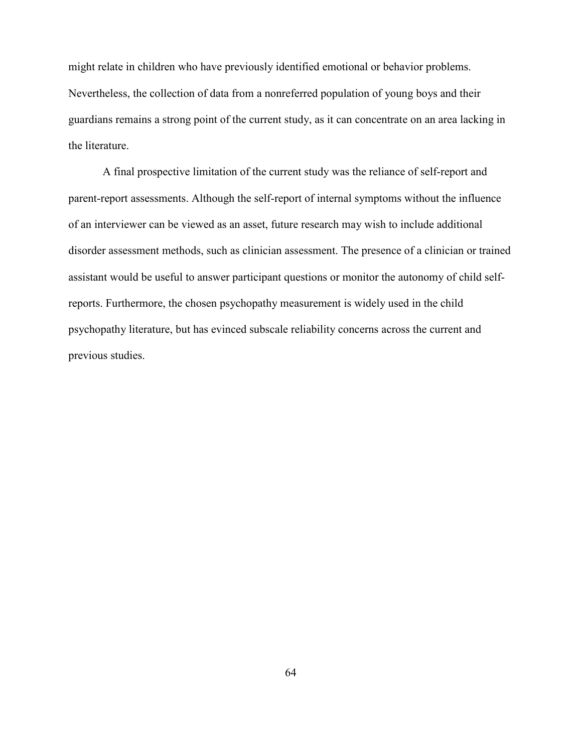might relate in children who have previously identified emotional or behavior problems. Nevertheless, the collection of data from a nonreferred population of young boys and their guardians remains a strong point of the current study, as it can concentrate on an area lacking in the literature.

A final prospective limitation of the current study was the reliance of self-report and parent-report assessments. Although the self-report of internal symptoms without the influence of an interviewer can be viewed as an asset, future research may wish to include additional disorder assessment methods, such as clinician assessment. The presence of a clinician or trained assistant would be useful to answer participant questions or monitor the autonomy of child selfreports. Furthermore, the chosen psychopathy measurement is widely used in the child psychopathy literature, but has evinced subscale reliability concerns across the current and previous studies.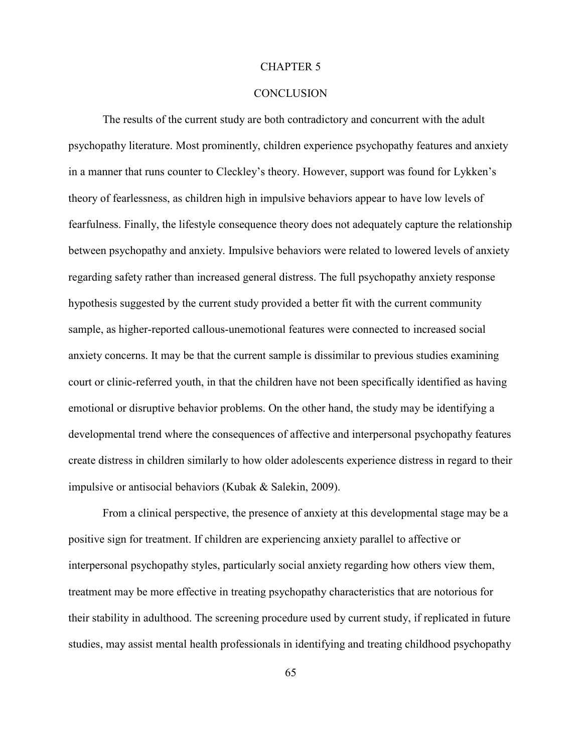#### CHAPTER 5

#### **CONCLUSION**

The results of the current study are both contradictory and concurrent with the adult psychopathy literature. Most prominently, children experience psychopathy features and anxiety in a manner that runs counter to Cleckley's theory. However, support was found for Lykken's theory of fearlessness, as children high in impulsive behaviors appear to have low levels of fearfulness. Finally, the lifestyle consequence theory does not adequately capture the relationship between psychopathy and anxiety. Impulsive behaviors were related to lowered levels of anxiety regarding safety rather than increased general distress. The full psychopathy anxiety response hypothesis suggested by the current study provided a better fit with the current community sample, as higher-reported callous-unemotional features were connected to increased social anxiety concerns. It may be that the current sample is dissimilar to previous studies examining court or clinic-referred youth, in that the children have not been specifically identified as having emotional or disruptive behavior problems. On the other hand, the study may be identifying a developmental trend where the consequences of affective and interpersonal psychopathy features create distress in children similarly to how older adolescents experience distress in regard to their impulsive or antisocial behaviors (Kubak & Salekin, 2009).

From a clinical perspective, the presence of anxiety at this developmental stage may be a positive sign for treatment. If children are experiencing anxiety parallel to affective or interpersonal psychopathy styles, particularly social anxiety regarding how others view them, treatment may be more effective in treating psychopathy characteristics that are notorious for their stability in adulthood. The screening procedure used by current study, if replicated in future studies, may assist mental health professionals in identifying and treating childhood psychopathy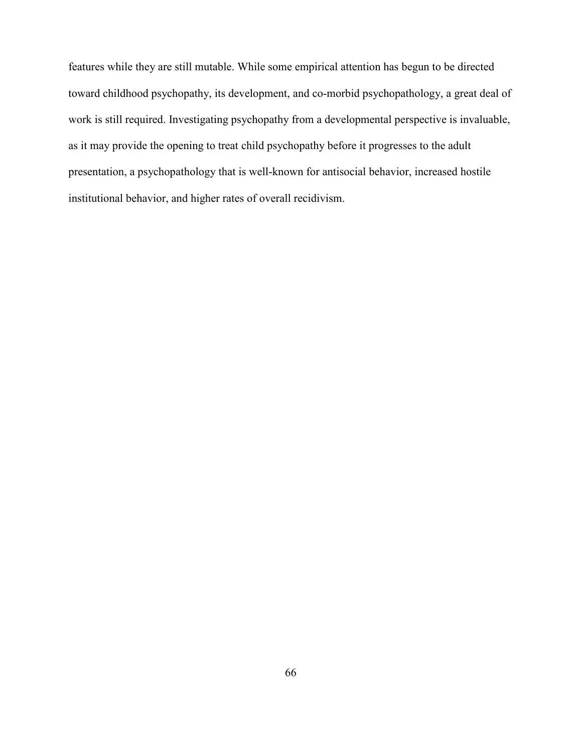features while they are still mutable. While some empirical attention has begun to be directed toward childhood psychopathy, its development, and co-morbid psychopathology, a great deal of work is still required. Investigating psychopathy from a developmental perspective is invaluable, as it may provide the opening to treat child psychopathy before it progresses to the adult presentation, a psychopathology that is well-known for antisocial behavior, increased hostile institutional behavior, and higher rates of overall recidivism.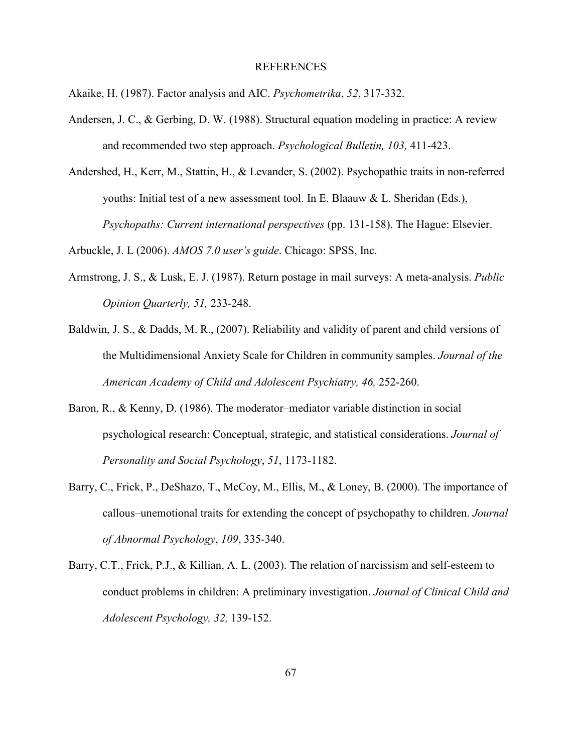#### REFERENCES

Akaike, H. (1987). Factor analysis and AIC. *Psychometrika*, *52*, 317-332.

- Andersen, J. C., & Gerbing, D. W. (1988). Structural equation modeling in practice: A review and recommended two step approach. *Psychological Bulletin, 103,* 411-423.
- Andershed, H., Kerr, M., Stattin, H., & Levander, S. (2002). Psychopathic traits in non-referred youths: Initial test of a new assessment tool. In E. Blaauw & L. Sheridan (Eds.), *Psychopaths: Current international perspectives* (pp. 131-158). The Hague: Elsevier.

Arbuckle, J. L (2006). *AMOS 7.0 user's guide*. Chicago: SPSS, Inc.

- Armstrong, J. S., & Lusk, E. J. (1987). Return postage in mail surveys: A meta-analysis. *Public Opinion Quarterly, 51,* 233-248.
- Baldwin, J. S., & Dadds, M. R., (2007). Reliability and validity of parent and child versions of the Multidimensional Anxiety Scale for Children in community samples. *Journal of the American Academy of Child and Adolescent Psychiatry, 46,* 252-260.
- Baron, R., & Kenny, D. (1986). The moderator–mediator variable distinction in social psychological research: Conceptual, strategic, and statistical considerations. *Journal of Personality and Social Psychology*, *51*, 1173-1182.
- Barry, C., Frick, P., DeShazo, T., McCoy, M., Ellis, M., & Loney, B. (2000). The importance of callous–unemotional traits for extending the concept of psychopathy to children. *Journal of Abnormal Psychology*, *109*, 335-340.
- Barry, C.T., Frick, P.J., & Killian, A. L. (2003). The relation of narcissism and self-esteem to conduct problems in children: A preliminary investigation. *Journal of Clinical Child and Adolescent Psychology, 32,* 139-152.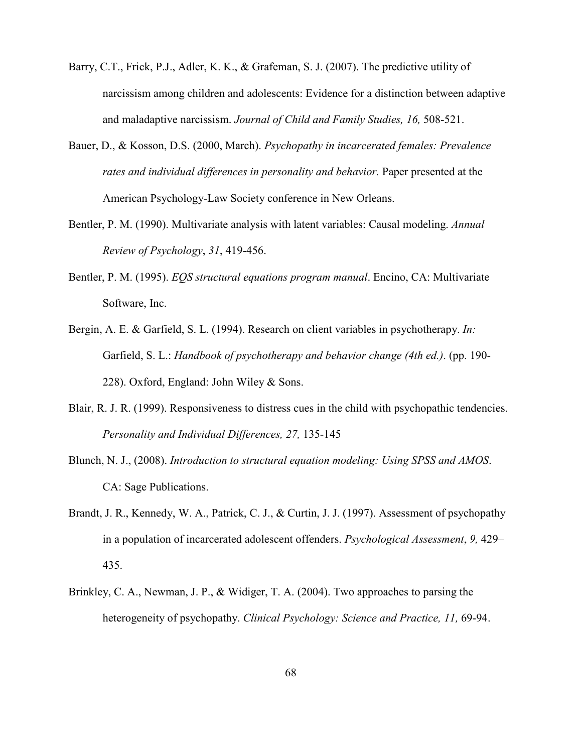- Barry, C.T., Frick, P.J., Adler, K. K., & Grafeman, S. J. (2007). The predictive utility of narcissism among children and adolescents: Evidence for a distinction between adaptive and maladaptive narcissism. *Journal of Child and Family Studies, 16,* 508-521.
- Bauer, D., & Kosson, D.S. (2000, March). *Psychopathy in incarcerated females: Prevalence rates and individual differences in personality and behavior.* Paper presented at the American Psychology-Law Society conference in New Orleans.
- Bentler, P. M. (1990). Multivariate analysis with latent variables: Causal modeling. *Annual Review of Psychology*, *31*, 419-456.
- Bentler, P. M. (1995). *EQS structural equations program manual*. Encino, CA: Multivariate Software, Inc.
- Bergin, A. E. & Garfield, S. L. (1994). Research on client variables in psychotherapy. *In:*  Garfield, S. L.: *Handbook of psychotherapy and behavior change (4th ed.)*. (pp. 190- 228). Oxford, England: John Wiley & Sons.
- Blair, R. J. R. (1999). Responsiveness to distress cues in the child with psychopathic tendencies. *Personality and Individual Differences, 27,* 135-145
- Blunch, N. J., (2008). *Introduction to structural equation modeling: Using SPSS and AMOS*. CA: Sage Publications.
- Brandt, J. R., Kennedy, W. A., Patrick, C. J., & Curtin, J. J. (1997). Assessment of psychopathy in a population of incarcerated adolescent offenders. *Psychological Assessment*, *9,* 429– 435.
- Brinkley, C. A., Newman, J. P., & Widiger, T. A. (2004). Two approaches to parsing the heterogeneity of psychopathy. *Clinical Psychology: Science and Practice, 11,* 69-94.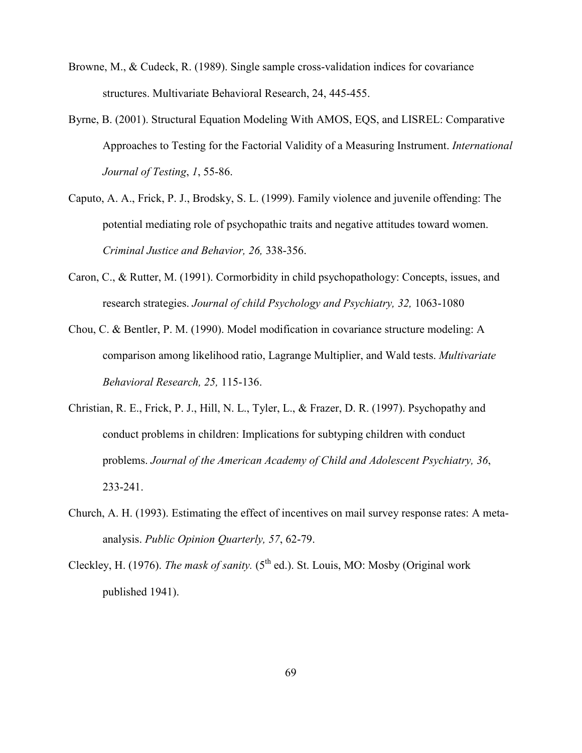- Browne, M., & Cudeck, R. (1989). Single sample cross-validation indices for covariance structures. Multivariate Behavioral Research, 24, 445-455.
- Byrne, B. (2001). Structural Equation Modeling With AMOS, EQS, and LISREL: Comparative Approaches to Testing for the Factorial Validity of a Measuring Instrument. *International Journal of Testing*, *1*, 55-86.
- Caputo, A. A., Frick, P. J., Brodsky, S. L. (1999). Family violence and juvenile offending: The potential mediating role of psychopathic traits and negative attitudes toward women. *Criminal Justice and Behavior, 26,* 338-356.
- Caron, C., & Rutter, M. (1991). Cormorbidity in child psychopathology: Concepts, issues, and research strategies. *Journal of child Psychology and Psychiatry, 32,* 1063-1080
- Chou, C. & Bentler, P. M. (1990). Model modification in covariance structure modeling: A comparison among likelihood ratio, Lagrange Multiplier, and Wald tests. *Multivariate Behavioral Research, 25,* 115-136.
- Christian, R. E., Frick, P. J., Hill, N. L., Tyler, L., & Frazer, D. R. (1997). Psychopathy and conduct problems in children: Implications for subtyping children with conduct problems. *Journal of the American Academy of Child and Adolescent Psychiatry, 36*, 233-241.
- Church, A. H. (1993). Estimating the effect of incentives on mail survey response rates: A metaanalysis. *Public Opinion Quarterly, 57*, 62-79.
- Cleckley, H. (1976). *The mask of sanity.* (5<sup>th</sup> ed.). St. Louis, MO: Mosby (Original work published 1941).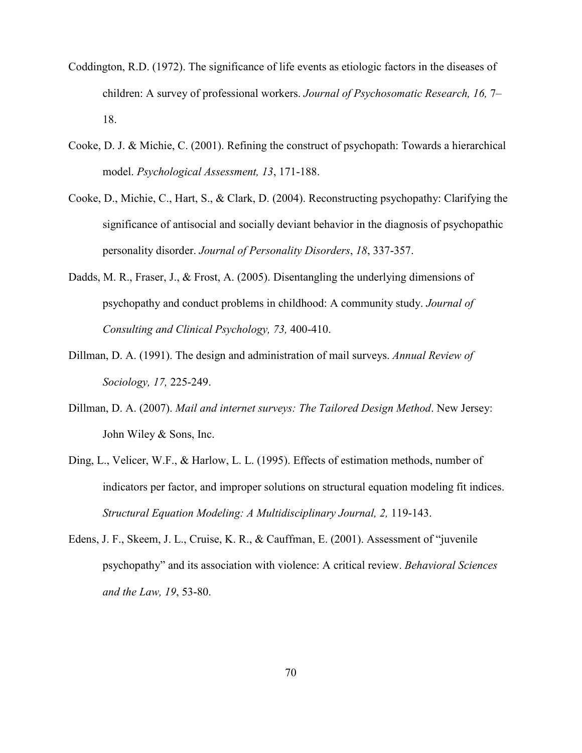- Coddington, R.D. (1972). The significance of life events as etiologic factors in the diseases of children: A survey of professional workers. *Journal of Psychosomatic Research, 16,* 7– 18.
- Cooke, D. J. & Michie, C. (2001). Refining the construct of psychopath: Towards a hierarchical model. *Psychological Assessment, 13*, 171-188.
- Cooke, D., Michie, C., Hart, S., & Clark, D. (2004). Reconstructing psychopathy: Clarifying the significance of antisocial and socially deviant behavior in the diagnosis of psychopathic personality disorder. *Journal of Personality Disorders*, *18*, 337-357.
- Dadds, M. R., Fraser, J., & Frost, A. (2005). Disentangling the underlying dimensions of psychopathy and conduct problems in childhood: A community study. *Journal of Consulting and Clinical Psychology, 73,* 400-410.
- Dillman, D. A. (1991). The design and administration of mail surveys. *Annual Review of Sociology, 17,* 225-249.
- Dillman, D. A. (2007). *Mail and internet surveys: The Tailored Design Method*. New Jersey: John Wiley & Sons, Inc.
- Ding, L., Velicer, W.F., & Harlow, L. L. (1995). Effects of estimation methods, number of indicators per factor, and improper solutions on structural equation modeling fit indices. *Structural Equation Modeling: A Multidisciplinary Journal, 2,* 119-143.
- Edens, J. F., Skeem, J. L., Cruise, K. R., & Cauffman, E. (2001). Assessment of "juvenile psychopathy" and its association with violence: A critical review. *Behavioral Sciences and the Law, 19*, 53-80.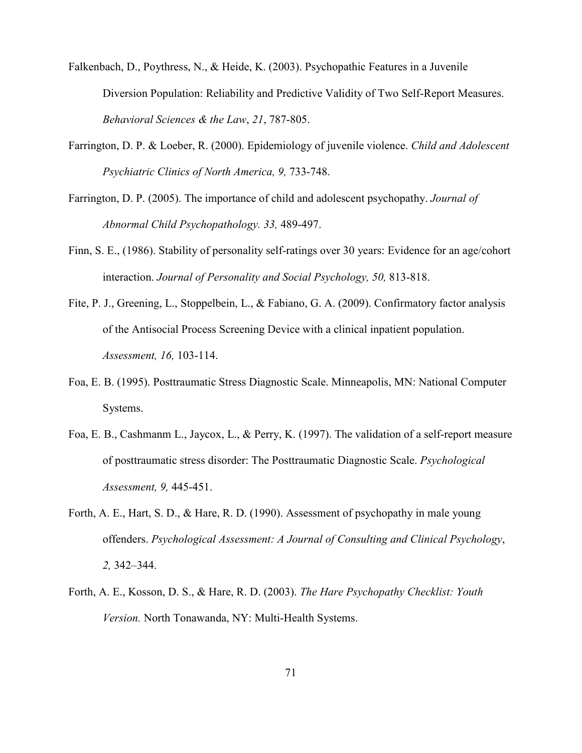Falkenbach, D., Poythress, N., & Heide, K. (2003). Psychopathic Features in a Juvenile Diversion Population: Reliability and Predictive Validity of Two Self-Report Measures. *Behavioral Sciences & the Law*, *21*, 787-805.

- Farrington, D. P. & Loeber, R. (2000). Epidemiology of juvenile violence. *Child and Adolescent Psychiatric Clinics of North America, 9, 733-748.*
- Farrington, D. P. (2005). The importance of child and adolescent psychopathy. *Journal of Abnormal Child Psychopathology. 33,* 489-497.
- Finn, S. E., (1986). Stability of personality self-ratings over 30 years: Evidence for an age/cohort interaction. *Journal of Personality and Social Psychology, 50,* 813-818.
- Fite, P. J., Greening, L., Stoppelbein, L., & Fabiano, G. A. (2009). Confirmatory factor analysis of the Antisocial Process Screening Device with a clinical inpatient population. *Assessment, 16,* 103-114.
- Foa, E. B. (1995). Posttraumatic Stress Diagnostic Scale. Minneapolis, MN: National Computer Systems.
- Foa, E. B., Cashmanm L., Jaycox, L., & Perry, K. (1997). The validation of a self-report measure of posttraumatic stress disorder: The Posttraumatic Diagnostic Scale. *Psychological Assessment, 9,* 445-451.
- Forth, A. E., Hart, S. D., & Hare, R. D. (1990). Assessment of psychopathy in male young offenders. *Psychological Assessment: A Journal of Consulting and Clinical Psychology*, *2,* 342–344.
- Forth, A. E., Kosson, D. S., & Hare, R. D. (2003). *The Hare Psychopathy Checklist: Youth Version.* North Tonawanda, NY: Multi-Health Systems.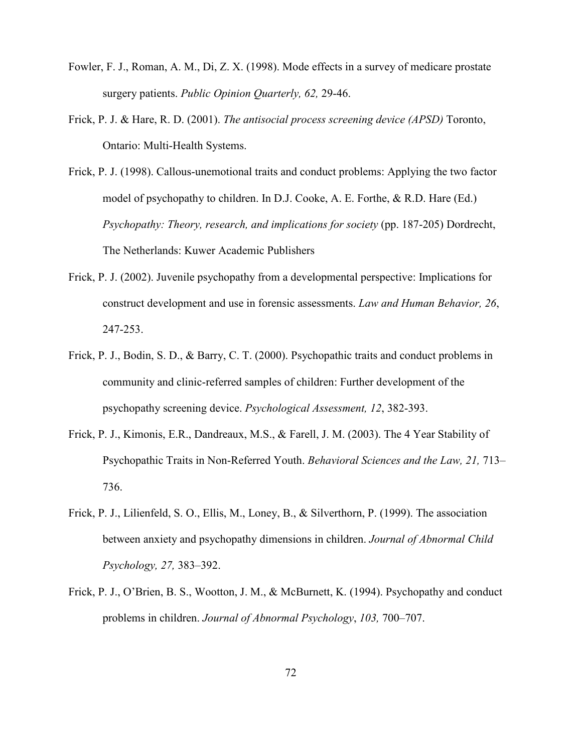- Fowler, F. J., Roman, A. M., Di, Z. X. (1998). Mode effects in a survey of medicare prostate surgery patients. *Public Opinion Quarterly, 62,* 29-46.
- Frick, P. J. & Hare, R. D. (2001). *The antisocial process screening device (APSD)* Toronto, Ontario: Multi-Health Systems.
- Frick, P. J. (1998). Callous-unemotional traits and conduct problems: Applying the two factor model of psychopathy to children. In D.J. Cooke, A. E. Forthe, & R.D. Hare (Ed.) *Psychopathy: Theory, research, and implications for society* (pp. 187-205) Dordrecht, The Netherlands: Kuwer Academic Publishers
- Frick, P. J. (2002). Juvenile psychopathy from a developmental perspective: Implications for construct development and use in forensic assessments. *Law and Human Behavior, 26*, 247-253.
- Frick, P. J., Bodin, S. D., & Barry, C. T. (2000). Psychopathic traits and conduct problems in community and clinic-referred samples of children: Further development of the psychopathy screening device. *Psychological Assessment, 12*, 382-393.
- Frick, P. J., Kimonis, E.R., Dandreaux, M.S., & Farell, J. M. (2003). The 4 Year Stability of Psychopathic Traits in Non-Referred Youth. *Behavioral Sciences and the Law, 21,* 713– 736.
- Frick, P. J., Lilienfeld, S. O., Ellis, M., Loney, B., & Silverthorn, P. (1999). The association between anxiety and psychopathy dimensions in children. *Journal of Abnormal Child Psychology, 27,* 383–392.
- Frick, P. J., O'Brien, B. S., Wootton, J. M., & McBurnett, K. (1994). Psychopathy and conduct problems in children. *Journal of Abnormal Psychology*, *103,* 700–707.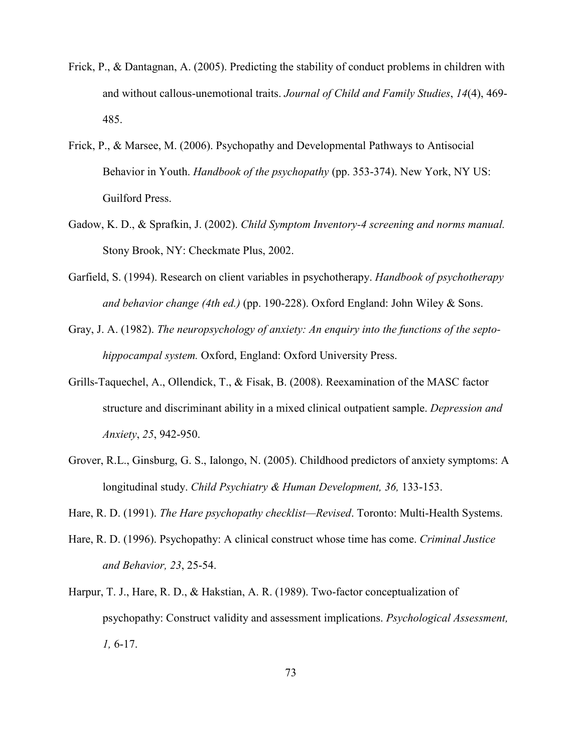- Frick, P., & Dantagnan, A. (2005). Predicting the stability of conduct problems in children with and without callous-unemotional traits. *Journal of Child and Family Studies*, *14*(4), 469- 485.
- Frick, P., & Marsee, M. (2006). Psychopathy and Developmental Pathways to Antisocial Behavior in Youth. *Handbook of the psychopathy* (pp. 353-374). New York, NY US: Guilford Press.
- Gadow, K. D., & Sprafkin, J. (2002). *Child Symptom Inventory-4 screening and norms manual.*  Stony Brook, NY: Checkmate Plus, 2002.
- Garfield, S. (1994). Research on client variables in psychotherapy. *Handbook of psychotherapy and behavior change (4th ed.)* (pp. 190-228). Oxford England: John Wiley & Sons.
- Gray, J. A. (1982). *The neuropsychology of anxiety: An enquiry into the functions of the septohippocampal system.* Oxford, England: Oxford University Press.
- Grills-Taquechel, A., Ollendick, T., & Fisak, B. (2008). Reexamination of the MASC factor structure and discriminant ability in a mixed clinical outpatient sample. *Depression and Anxiety*, *25*, 942-950.
- Grover, R.L., Ginsburg, G. S., Ialongo, N. (2005). Childhood predictors of anxiety symptoms: A longitudinal study. *Child Psychiatry & Human Development, 36,* 133-153.
- Hare, R. D. (1991). *The Hare psychopathy checklist—Revised*. Toronto: Multi-Health Systems.
- Hare, R. D. (1996). Psychopathy: A clinical construct whose time has come. *Criminal Justice and Behavior, 23*, 25-54.
- Harpur, T. J., Hare, R. D., & Hakstian, A. R. (1989). Two-factor conceptualization of psychopathy: Construct validity and assessment implications. *Psychological Assessment, 1,* 6-17.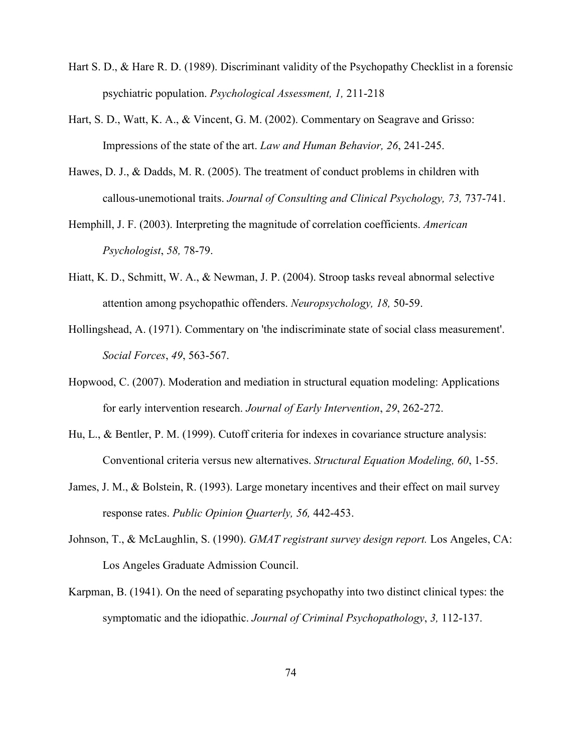- Hart S. D., & Hare R. D. (1989). Discriminant validity of the Psychopathy Checklist in a forensic psychiatric population. *Psychological Assessment, 1,* 211-218
- Hart, S. D., Watt, K. A., & Vincent, G. M. (2002). Commentary on Seagrave and Grisso: Impressions of the state of the art. *Law and Human Behavior, 26*, 241-245.
- Hawes, D. J., & Dadds, M. R. (2005). The treatment of conduct problems in children with callous-unemotional traits. *Journal of Consulting and Clinical Psychology, 73,* 737-741.
- Hemphill, J. F. (2003). Interpreting the magnitude of correlation coefficients. *American Psychologist*, *58,* 78-79.
- Hiatt, K. D., Schmitt, W. A., & Newman, J. P. (2004). Stroop tasks reveal abnormal selective attention among psychopathic offenders. *Neuropsychology*, 18, 50-59.
- Hollingshead, A. (1971). Commentary on 'the indiscriminate state of social class measurement'. *Social Forces*, *49*, 563-567.
- Hopwood, C. (2007). Moderation and mediation in structural equation modeling: Applications for early intervention research. *Journal of Early Intervention*, *29*, 262-272.
- Hu, L., & Bentler, P. M. (1999). Cutoff criteria for indexes in covariance structure analysis: Conventional criteria versus new alternatives. *Structural Equation Modeling, 60*, 1-55.
- James, J. M., & Bolstein, R. (1993). Large monetary incentives and their effect on mail survey response rates. *Public Opinion Quarterly, 56,* 442-453.
- Johnson, T., & McLaughlin, S. (1990). *GMAT registrant survey design report.* Los Angeles, CA: Los Angeles Graduate Admission Council.
- Karpman, B. (1941). On the need of separating psychopathy into two distinct clinical types: the symptomatic and the idiopathic. *Journal of Criminal Psychopathology*, *3,* 112-137.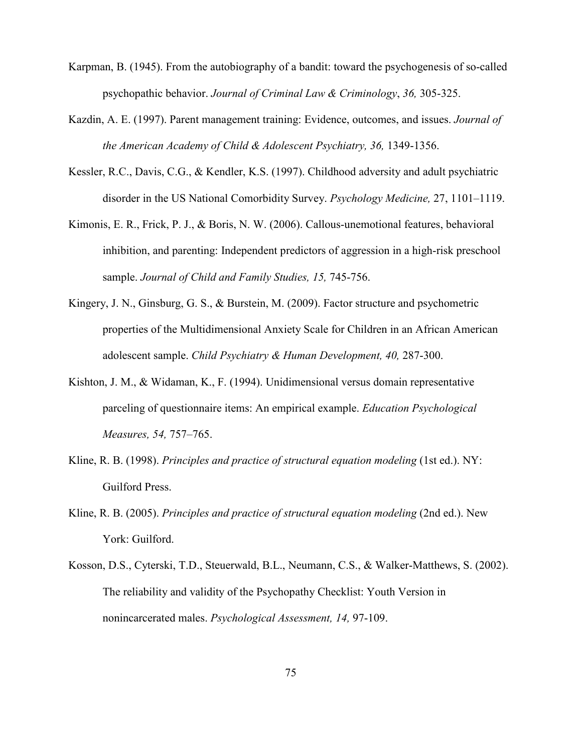- Karpman, B. (1945). From the autobiography of a bandit: toward the psychogenesis of so-called psychopathic behavior. *Journal of Criminal Law & Criminology*, *36,* 305-325.
- Kazdin, A. E. (1997). Parent management training: Evidence, outcomes, and issues. *Journal of the American Academy of Child & Adolescent Psychiatry, 36,* 1349-1356.
- Kessler, R.C., Davis, C.G., & Kendler, K.S. (1997). Childhood adversity and adult psychiatric disorder in the US National Comorbidity Survey. *Psychology Medicine,* 27, 1101–1119.
- Kimonis, E. R., Frick, P. J., & Boris, N. W. (2006). Callous-unemotional features, behavioral inhibition, and parenting: Independent predictors of aggression in a high-risk preschool sample. *Journal of Child and Family Studies, 15,* 745-756.
- Kingery, J. N., Ginsburg, G. S., & Burstein, M. (2009). Factor structure and psychometric properties of the Multidimensional Anxiety Scale for Children in an African American adolescent sample. *Child Psychiatry & Human Development, 40,* 287-300.
- Kishton, J. M., & Widaman, K., F. (1994). Unidimensional versus domain representative parceling of questionnaire items: An empirical example. *Education Psychological Measures, 54,* 757–765.
- Kline, R. B. (1998). *Principles and practice of structural equation modeling* (1st ed.). NY: Guilford Press.
- Kline, R. B. (2005). *Principles and practice of structural equation modeling* (2nd ed.). New York: Guilford.
- Kosson, D.S., Cyterski, T.D., Steuerwald, B.L., Neumann, C.S., & Walker-Matthews, S. (2002). The reliability and validity of the Psychopathy Checklist: Youth Version in nonincarcerated males. *Psychological Assessment, 14,* 97-109.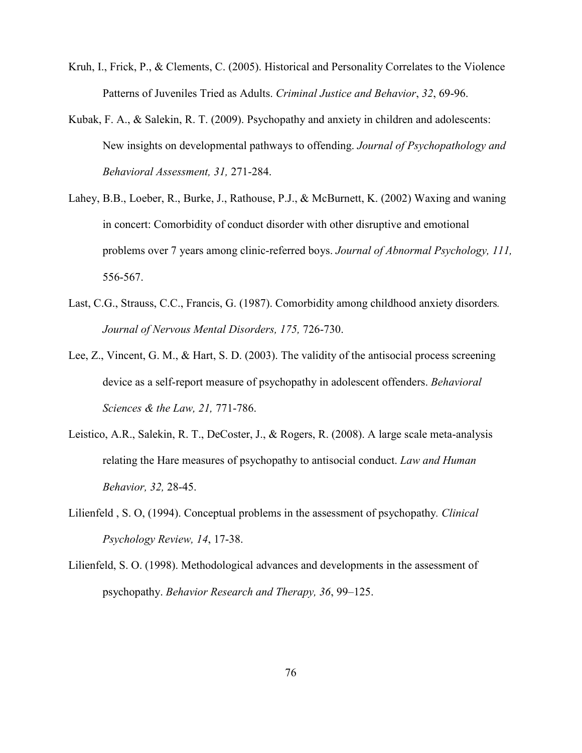- Kruh, I., Frick, P., & Clements, C. (2005). Historical and Personality Correlates to the Violence Patterns of Juveniles Tried as Adults. *Criminal Justice and Behavior*, *32*, 69-96.
- Kubak, F. A., & Salekin, R. T. (2009). Psychopathy and anxiety in children and adolescents: New insights on developmental pathways to offending. *Journal of Psychopathology and Behavioral Assessment, 31,* 271-284.
- Lahey, B.B., Loeber, R., Burke, J., Rathouse, P.J., & McBurnett, K. (2002) Waxing and waning in concert: Comorbidity of conduct disorder with other disruptive and emotional problems over 7 years among clinic-referred boys. *Journal of Abnormal Psychology, 111,*  556-567.
- Last, C.G., Strauss, C.C., Francis, G. (1987). Comorbidity among childhood anxiety disorders*.*  Journal of Nervous Mental Disorders, 175, 726-730.
- Lee, Z., Vincent, G. M., & Hart, S. D. (2003). The validity of the antisocial process screening device as a self-report measure of psychopathy in adolescent offenders. *Behavioral Sciences & the Law, 21,* 771-786.
- Leistico, A.R., Salekin, R. T., DeCoster, J., & Rogers, R. (2008). A large scale meta-analysis relating the Hare measures of psychopathy to antisocial conduct. *Law and Human Behavior, 32,* 28-45.
- Lilienfeld , S. O, (1994). Conceptual problems in the assessment of psychopathy*. Clinical Psychology Review, 14*, 17-38.
- Lilienfeld, S. O. (1998). Methodological advances and developments in the assessment of psychopathy. *Behavior Research and Therapy, 36*, 99–125.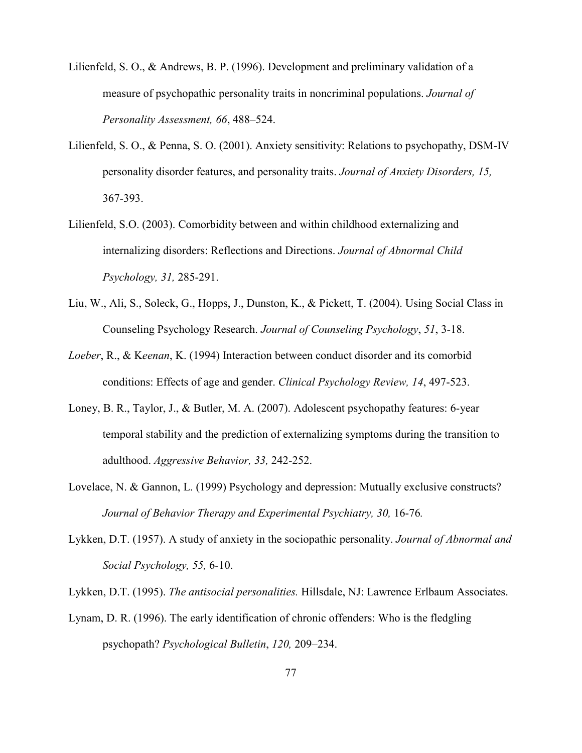Lilienfeld, S. O., & Andrews, B. P. (1996). Development and preliminary validation of a measure of psychopathic personality traits in noncriminal populations. *Journal of Personality Assessment, 66*, 488–524.

- Lilienfeld, S. O., & Penna, S. O. (2001). Anxiety sensitivity: Relations to psychopathy, DSM-IV personality disorder features, and personality traits. *Journal of Anxiety Disorders, 15,*  367-393.
- Lilienfeld, S.O. (2003). Comorbidity between and within childhood externalizing and internalizing disorders: Reflections and Directions. *Journal of Abnormal Child Psychology, 31,* 285-291.
- Liu, W., Ali, S., Soleck, G., Hopps, J., Dunston, K., & Pickett, T. (2004). Using Social Class in Counseling Psychology Research. *Journal of Counseling Psychology*, *51*, 3-18.
- *Loeber*, R., & K*eenan*, K. (1994) Interaction between conduct disorder and its comorbid conditions: Effects of age and gender. *Clinical Psychology Review, 14*, 497-523.
- Loney, B. R., Taylor, J., & Butler, M. A. (2007). Adolescent psychopathy features: 6-year temporal stability and the prediction of externalizing symptoms during the transition to adulthood. *Aggressive Behavior, 33,* 242-252.
- Lovelace, N. & Gannon, L. (1999) Psychology and depression: Mutually exclusive constructs? *Journal of Behavior Therapy and Experimental Psychiatry, 30, 16-76.*
- Lykken, D.T. (1957). A study of anxiety in the sociopathic personality. *Journal of Abnormal and Social Psychology, 55,* 6-10.

Lykken, D.T. (1995). *The antisocial personalities.* Hillsdale, NJ: Lawrence Erlbaum Associates.

Lynam, D. R. (1996). The early identification of chronic offenders: Who is the fledgling psychopath? *Psychological Bulletin*, *120,* 209–234.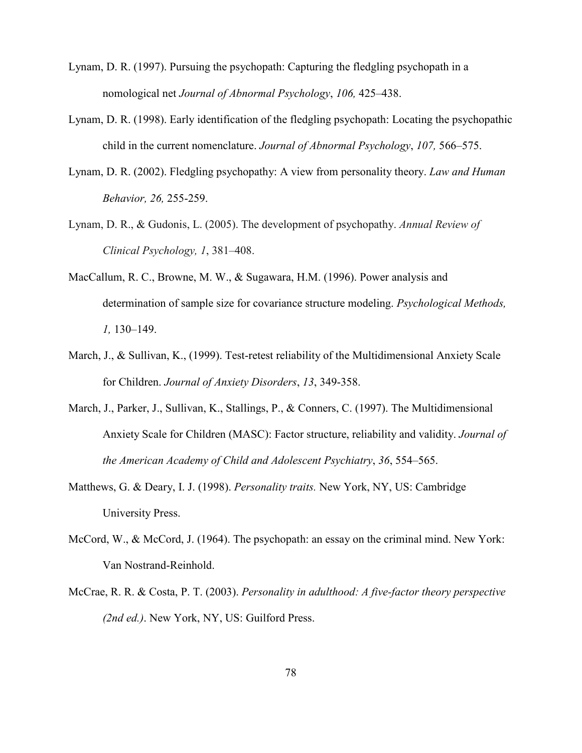- Lynam, D. R. (1997). Pursuing the psychopath: Capturing the fledgling psychopath in a nomological net *Journal of Abnormal Psychology*, *106,* 425–438.
- Lynam, D. R. (1998). Early identification of the fledgling psychopath: Locating the psychopathic child in the current nomenclature. *Journal of Abnormal Psychology*, *107,* 566–575.
- Lynam, D. R. (2002). Fledgling psychopathy: A view from personality theory. *Law and Human Behavior, 26,* 255-259.
- Lynam, D. R., & Gudonis, L. (2005). The development of psychopathy. *Annual Review of Clinical Psychology, 1*, 381–408.
- MacCallum, R. C., Browne, M. W., & Sugawara, H.M. (1996). Power analysis and determination of sample size for covariance structure modeling. *Psychological Methods, 1,* 130–149.
- March, J., & Sullivan, K., (1999). Test-retest reliability of the Multidimensional Anxiety Scale for Children. *Journal of Anxiety Disorders*, *13*, 349-358.
- March, J., Parker, J., Sullivan, K., Stallings, P., & Conners, C. (1997). The Multidimensional Anxiety Scale for Children (MASC): Factor structure, reliability and validity. *Journal of the American Academy of Child and Adolescent Psychiatry*, *36*, 554–565.
- Matthews, G. & Deary, I. J. (1998). *Personality traits.* New York, NY, US: Cambridge University Press.
- McCord, W., & McCord, J. (1964). The psychopath: an essay on the criminal mind. New York: Van Nostrand-Reinhold.
- McCrae, R. R. & Costa, P. T. (2003). *Personality in adulthood: A five-factor theory perspective (2nd ed.)*. New York, NY, US: Guilford Press.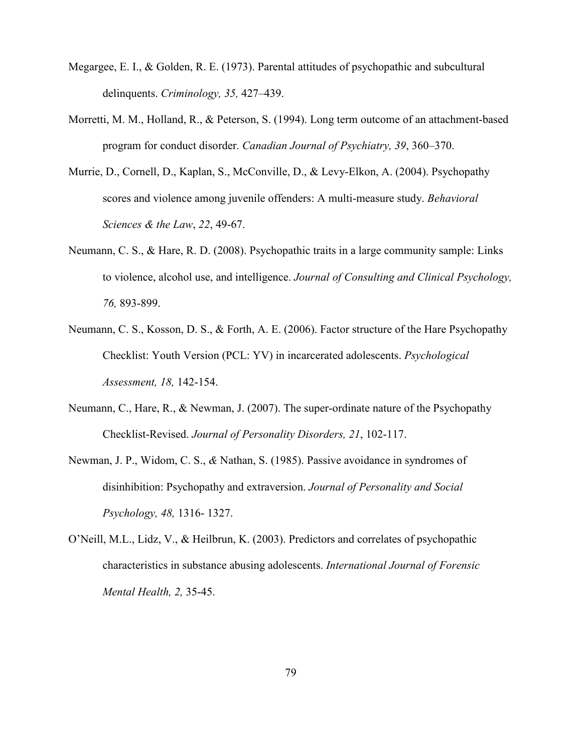- Megargee, E. I., & Golden, R. E. (1973). Parental attitudes of psychopathic and subcultural delinquents. *Criminology, 35,* 427–439.
- Morretti, M. M., Holland, R., & Peterson, S. (1994). Long term outcome of an attachment-based program for conduct disorder. *Canadian Journal of Psychiatry, 39*, 360–370.
- Murrie, D., Cornell, D., Kaplan, S., McConville, D., & Levy-Elkon, A. (2004). Psychopathy scores and violence among juvenile offenders: A multi-measure study. *Behavioral Sciences & the Law*, *22*, 49-67.
- Neumann, C. S., & Hare, R. D. (2008). Psychopathic traits in a large community sample: Links to violence, alcohol use, and intelligence. *Journal of Consulting and Clinical Psychology, 76,* 893-899.
- Neumann, C. S., Kosson, D. S., & Forth, A. E. (2006). Factor structure of the Hare Psychopathy Checklist: Youth Version (PCL: YV) in incarcerated adolescents. *Psychological Assessment, 18,* 142-154.
- Neumann, C., Hare, R., & Newman, J. (2007). The super-ordinate nature of the Psychopathy Checklist-Revised. *Journal of Personality Disorders, 21*, 102-117.
- Newman, J. P., Widom, C. S., *&* Nathan, S. (1985). Passive avoidance in syndromes of disinhibition: Psychopathy and extraversion. *Journal of Personality and Social Psychology, 48,* 1316- 1327.
- O'Neill, M.L., Lidz, V., & Heilbrun, K. (2003). Predictors and correlates of psychopathic characteristics in substance abusing adolescents. *International Journal of Forensic Mental Health, 2,* 35-45.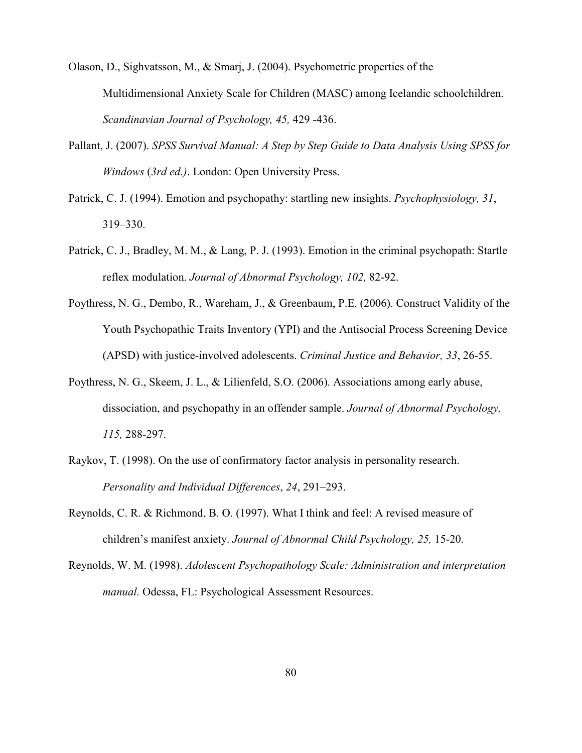Olason, D., Sighvatsson, M., & Smarj, J. (2004). Psychometric properties of the Multidimensional Anxiety Scale for Children (MASC) among Icelandic schoolchildren. *Scandinavian Journal of Psychology, 45,* 429 -436.

- Pallant, J. (2007). *SPSS Survival Manual: A Step by Step Guide to Data Analysis Using SPSS for Windows* (*3rd ed.)*. London: Open University Press.
- Patrick, C. J. (1994). Emotion and psychopathy: startling new insights. *Psychophysiology, 31*, 319–330.
- Patrick, C. J., Bradley, M. M., & Lang, P. J. (1993). Emotion in the criminal psychopath: Startle reflex modulation. *Journal of Abnormal Psychology, 102,* 82-92.
- Poythress, N. G., Dembo, R., Wareham, J., & Greenbaum, P.E. (2006). Construct Validity of the Youth Psychopathic Traits Inventory (YPI) and the Antisocial Process Screening Device (APSD) with justice-involved adolescents. *Criminal Justice and Behavior, 33*, 26-55.
- Poythress, N. G., Skeem, J. L., & Lilienfeld, S.O. (2006). Associations among early abuse, dissociation, and psychopathy in an offender sample. *Journal of Abnormal Psychology, 115,* 288-297.
- Raykov, T. (1998). On the use of confirmatory factor analysis in personality research. *Personality and Individual Differences*, *24*, 291–293.
- Reynolds, C. R. & Richmond, B. O. (1997). What I think and feel: A revised measure of children's manifest anxiety. *Journal of Abnormal Child Psychology, 25,* 15-20.
- Reynolds, W. M. (1998). *Adolescent Psychopathology Scale: Administration and interpretation manual.* Odessa, FL: Psychological Assessment Resources.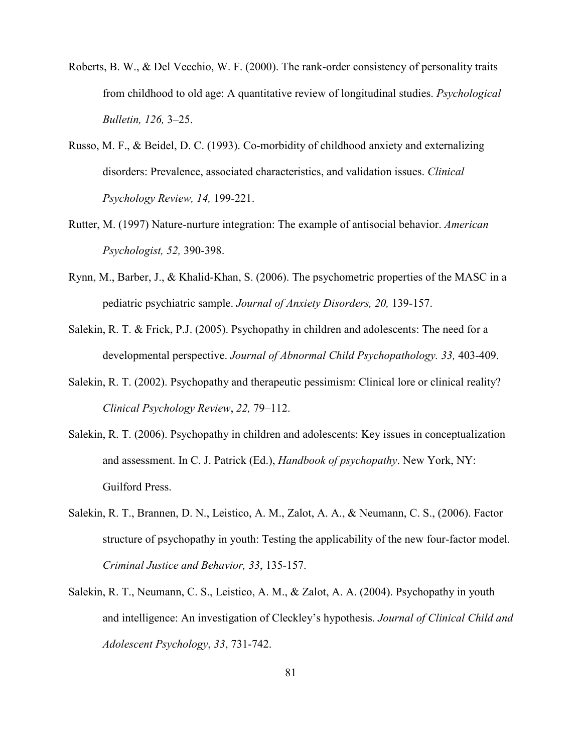- Roberts, B. W., & Del Vecchio, W. F. (2000). The rank-order consistency of personality traits from childhood to old age: A quantitative review of longitudinal studies. *Psychological Bulletin, 126,* 3–25.
- Russo, M. F., & Beidel, D. C. (1993). Co-morbidity of childhood anxiety and externalizing disorders: Prevalence, associated characteristics, and validation issues. *Clinical Psychology Review, 14,* 199-221.
- Rutter, M. (1997) Nature-nurture integration: The example of antisocial behavior. *American Psychologist, 52,* 390-398.
- Rynn, M., Barber, J., & Khalid-Khan, S. (2006). The psychometric properties of the MASC in a pediatric psychiatric sample. *Journal of Anxiety Disorders, 20,* 139-157.
- Salekin, R. T. & Frick, P.J. (2005). Psychopathy in children and adolescents: The need for a developmental perspective. *Journal of Abnormal Child Psychopathology. 33,* 403-409.
- Salekin, R. T. (2002). Psychopathy and therapeutic pessimism: Clinical lore or clinical reality? *Clinical Psychology Review*, *22,* 79–112.
- Salekin, R. T. (2006). Psychopathy in children and adolescents: Key issues in conceptualization and assessment. In C. J. Patrick (Ed.), *Handbook of psychopathy*. New York, NY: Guilford Press.
- Salekin, R. T., Brannen, D. N., Leistico, A. M., Zalot, A. A., & Neumann, C. S., (2006). Factor structure of psychopathy in youth: Testing the applicability of the new four-factor model. *Criminal Justice and Behavior, 33*, 135-157.
- Salekin, R. T., Neumann, C. S., Leistico, A. M., & Zalot, A. A. (2004). Psychopathy in youth and intelligence: An investigation of Cleckley's hypothesis. *Journal of Clinical Child and Adolescent Psychology*, *33*, 731-742.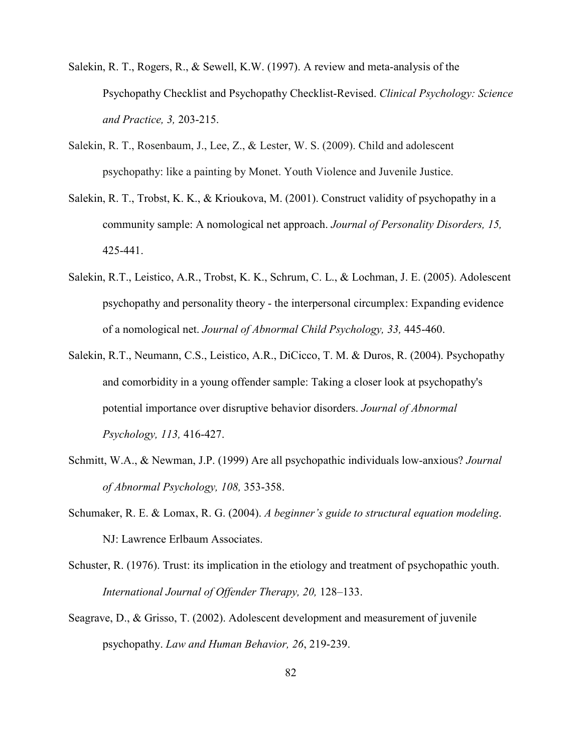- Salekin, R. T., Rogers, R., & Sewell, K.W. (1997). A review and meta-analysis of the Psychopathy Checklist and Psychopathy Checklist-Revised. *Clinical Psychology: Science and Practice, 3,* 203-215.
- Salekin, R. T., Rosenbaum, J., Lee, Z., & Lester, W. S. (2009). Child and adolescent psychopathy: like a painting by Monet. Youth Violence and Juvenile Justice.
- Salekin, R. T., Trobst, K. K., & Krioukova, M. (2001). Construct validity of psychopathy in a community sample: A nomological net approach. *Journal of Personality Disorders, 15,*  425-441.
- Salekin, R.T., Leistico, A.R., Trobst, K. K., Schrum, C. L., & Lochman, J. E. (2005). Adolescent psychopathy and personality theory - the interpersonal circumplex: Expanding evidence of a nomological net. *Journal of Abnormal Child Psychology, 33,* 445-460.
- Salekin, R.T., Neumann, C.S., Leistico, A.R., DiCicco, T. M. & Duros, R. (2004). Psychopathy and comorbidity in a young offender sample: Taking a closer look at psychopathy's potential importance over disruptive behavior disorders. *Journal of Abnormal Psychology, 113,* 416-427.
- Schmitt, W.A., & Newman, J.P. (1999) Are all psychopathic individuals low-anxious? *Journal of Abnormal Psychology, 108,* 353-358.
- Schumaker, R. E. & Lomax, R. G. (2004). *A beginner's guide to structural equation modeling*. NJ: Lawrence Erlbaum Associates.
- Schuster, R. (1976). Trust: its implication in the etiology and treatment of psychopathic youth. *International Journal of Offender Therapy, 20,* 128–133.
- Seagrave, D., & Grisso, T. (2002). Adolescent development and measurement of juvenile psychopathy. *Law and Human Behavior, 26*, 219-239.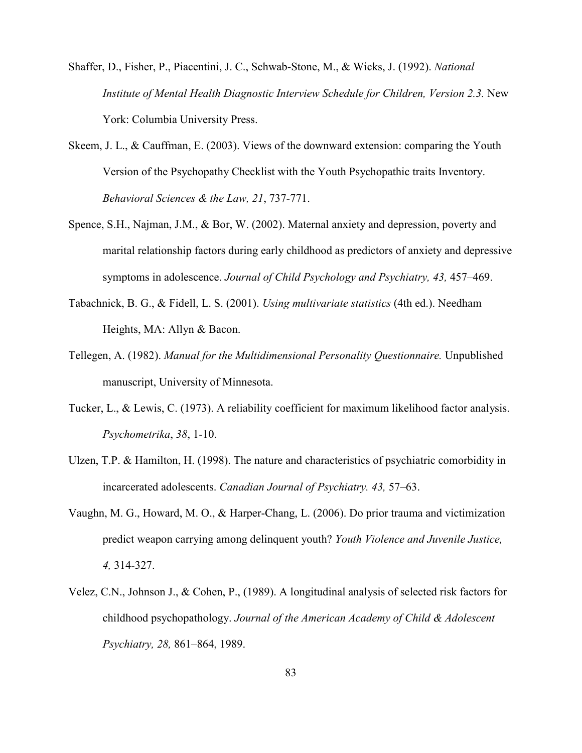- Shaffer, D., Fisher, P., Piacentini, J. C., Schwab-Stone, M., & Wicks, J. (1992). *National Institute of Mental Health Diagnostic Interview Schedule for Children, Version 2.3.* New York: Columbia University Press.
- Skeem, J. L., & Cauffman, E. (2003). Views of the downward extension: comparing the Youth Version of the Psychopathy Checklist with the Youth Psychopathic traits Inventory. *Behavioral Sciences & the Law, 21*, 737-771.
- Spence, S.H., Najman, J.M., & Bor, W. (2002). Maternal anxiety and depression, poverty and marital relationship factors during early childhood as predictors of anxiety and depressive symptoms in adolescence. *Journal of Child Psychology and Psychiatry, 43,* 457–469.
- Tabachnick, B. G., & Fidell, L. S. (2001). *Using multivariate statistics* (4th ed.). Needham Heights, MA: Allyn & Bacon.
- Tellegen, A. (1982). *Manual for the Multidimensional Personality Questionnaire.* Unpublished manuscript, University of Minnesota.
- Tucker, L., & Lewis, C. (1973). A reliability coefficient for maximum likelihood factor analysis. *Psychometrika*, *38*, 1-10.
- Ulzen, T.P. & Hamilton, H. (1998). The nature and characteristics of psychiatric comorbidity in incarcerated adolescents. *Canadian Journal of Psychiatry. 43,* 57–63.
- Vaughn, M. G., Howard, M. O., & Harper-Chang, L. (2006). Do prior trauma and victimization predict weapon carrying among delinquent youth? *Youth Violence and Juvenile Justice, 4,* 314-327.
- Velez, C.N., Johnson J., & Cohen, P., (1989). A longitudinal analysis of selected risk factors for childhood psychopathology. *Journal of the American Academy of Child & Adolescent Psychiatry, 28,* 861–864, 1989.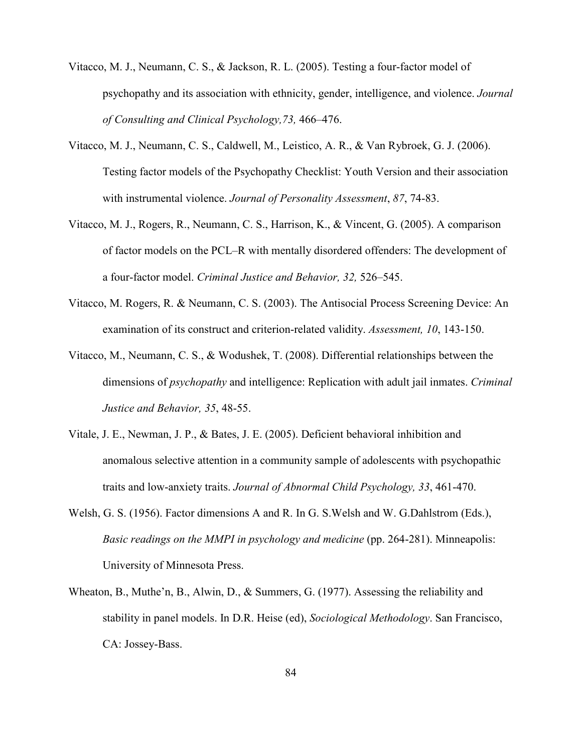- Vitacco, M. J., Neumann, C. S., & Jackson, R. L. (2005). Testing a four-factor model of psychopathy and its association with ethnicity, gender, intelligence, and violence. *Journal of Consulting and Clinical Psychology,73,* 466–476.
- Vitacco, M. J., Neumann, C. S., Caldwell, M., Leistico, A. R., & Van Rybroek, G. J. (2006). Testing factor models of the Psychopathy Checklist: Youth Version and their association with instrumental violence. *Journal of Personality Assessment*, *87*, 74-83.
- Vitacco, M. J., Rogers, R., Neumann, C. S., Harrison, K., & Vincent, G. (2005). A comparison of factor models on the PCL–R with mentally disordered offenders: The development of a four-factor model. *Criminal Justice and Behavior, 32,* 526–545.
- Vitacco, M. Rogers, R. & Neumann, C. S. (2003). The Antisocial Process Screening Device: An examination of its construct and criterion-related validity. *Assessment, 10*, 143-150.
- Vitacco, M., Neumann, C. S., & Wodushek, T. (2008). Differential relationships between the dimensions of *psychopathy* and intelligence: Replication with adult jail inmates. *Criminal Justice and Behavior, 35*, 48-55.
- Vitale, J. E., Newman, J. P., & Bates, J. E. (2005). Deficient behavioral inhibition and anomalous selective attention in a community sample of adolescents with psychopathic traits and low-anxiety traits. *Journal of Abnormal Child Psychology, 33*, 461-470.
- Welsh, G. S. (1956). Factor dimensions A and R. In G. S.Welsh and W. G.Dahlstrom (Eds.), *Basic readings on the MMPI in psychology and medicine* (pp. 264-281). Minneapolis: University of Minnesota Press.
- Wheaton, B., Muthe'n, B., Alwin, D., & Summers, G. (1977). Assessing the reliability and stability in panel models. In D.R. Heise (ed), *Sociological Methodology*. San Francisco, CA: Jossey-Bass.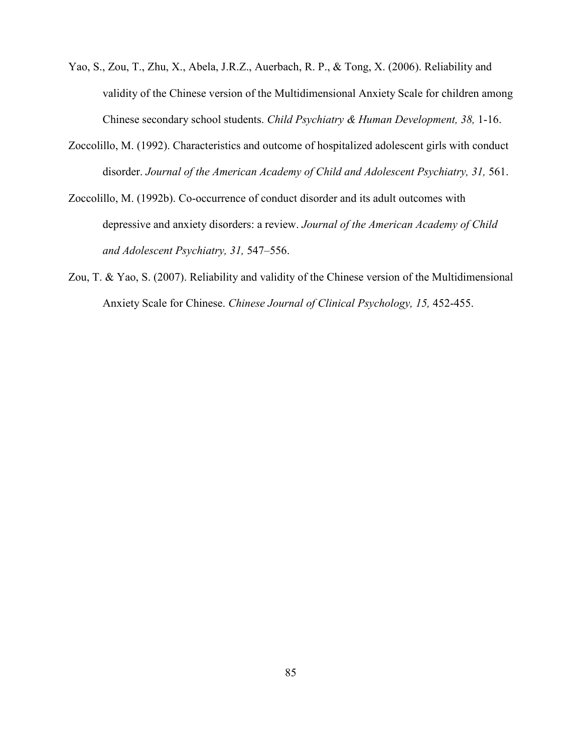- Yao, S., Zou, T., Zhu, X., Abela, J.R.Z., Auerbach, R. P., & Tong, X. (2006). Reliability and validity of the Chinese version of the Multidimensional Anxiety Scale for children among Chinese secondary school students. *Child Psychiatry & Human Development, 38,* 1-16.
- Zoccolillo, M. (1992). Characteristics and outcome of hospitalized adolescent girls with conduct disorder. *Journal of the American Academy of Child and Adolescent Psychiatry, 31,* 561.
- Zoccolillo, M. (1992b). Co-occurrence of conduct disorder and its adult outcomes with depressive and anxiety disorders: a review. *Journal of the American Academy of Child and Adolescent Psychiatry, 31,* 547–556.
- Zou, T. & Yao, S. (2007). Reliability and validity of the Chinese version of the Multidimensional Anxiety Scale for Chinese. *Chinese Journal of Clinical Psychology, 15,* 452-455.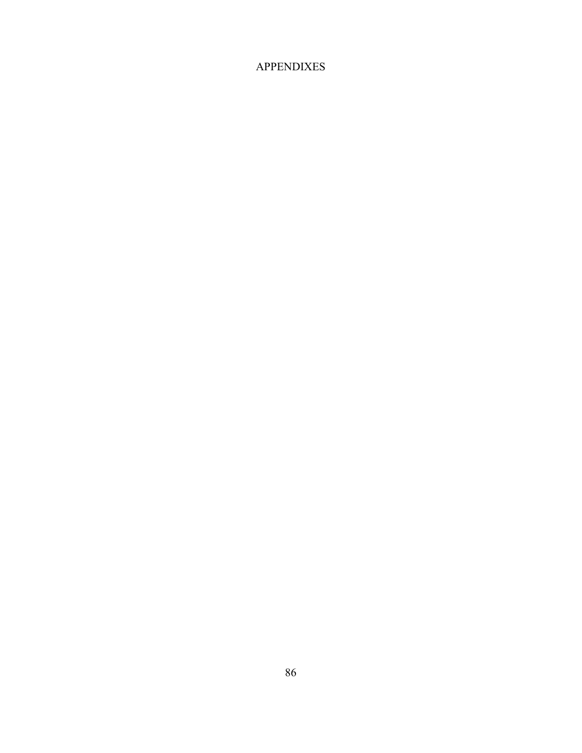## APPENDIXES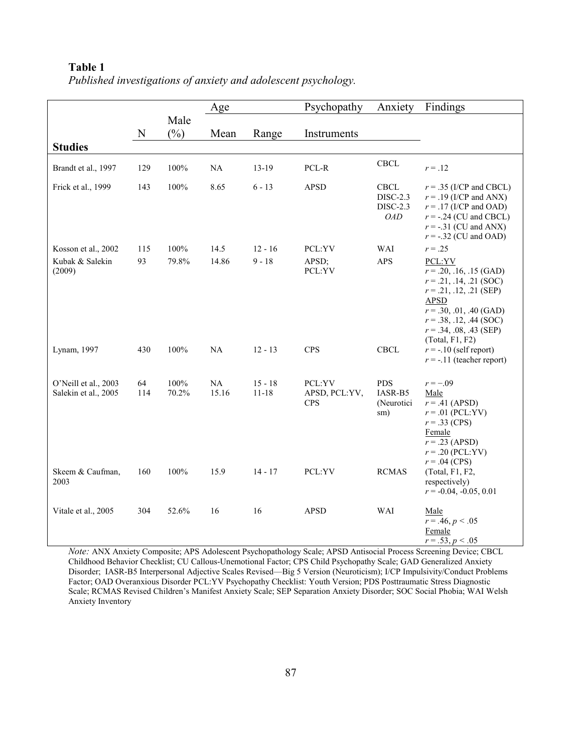|                                              |             |                | Age         |                        | Psychopathy                           | Anxiety                                                         | Findings                                                                                                                                                                                                               |
|----------------------------------------------|-------------|----------------|-------------|------------------------|---------------------------------------|-----------------------------------------------------------------|------------------------------------------------------------------------------------------------------------------------------------------------------------------------------------------------------------------------|
|                                              | $\mathbf N$ | Male<br>$(\%)$ | Mean        | Range                  | Instruments                           |                                                                 |                                                                                                                                                                                                                        |
| <b>Studies</b>                               |             |                |             |                        |                                       |                                                                 |                                                                                                                                                                                                                        |
| Brandt et al., 1997                          | 129         | 100%           | NA          | $13-19$                | PCL-R                                 | <b>CBCL</b>                                                     | $r = .12$                                                                                                                                                                                                              |
| Frick et al., 1999                           | 143         | 100%           | 8.65        | $6 - 13$               | <b>APSD</b>                           | <b>CBCL</b><br><b>DISC-2.3</b><br><b>DISC-2.3</b><br><b>OAD</b> | $r = .35$ (I/CP and CBCL)<br>$r = .19$ (I/CP and ANX)<br>$r = .17$ (I/CP and OAD)<br>$r = -.24$ (CU and CBCL)<br>$r = -.31$ (CU and ANX)<br>$r = -.32$ (CU and OAD)                                                    |
| Kosson et al., 2002                          | 115         | 100%           | 14.5        | $12 - 16$              | PCL:YV                                | WAI                                                             | $r = .25$                                                                                                                                                                                                              |
| Kubak & Salekin<br>(2009)                    | 93          | 79.8%          | 14.86       | $9 - 18$               | APSD;<br>PCL:YV                       | <b>APS</b>                                                      | PCL:YV<br>$r = .20, .16, .15$ (GAD)<br>$r = .21, .14, .21$ (SOC)<br>$r = .21, .12, .21$ (SEP)<br><b>APSD</b><br>$r = .30, .01, .40$ (GAD)<br>$r = .38, .12, .44$ (SOC)<br>$r = .34, .08, .43$ (SEP)<br>(Total, F1, F2) |
| Lynam, 1997                                  | 430         | 100%           | NA          | $12 - 13$              | <b>CPS</b>                            | CBCL                                                            | $r = -10$ (self report)<br>$r = -.11$ (teacher report)                                                                                                                                                                 |
| O'Neill et al., 2003<br>Salekin et al., 2005 | 64<br>114   | 100%<br>70.2%  | NA<br>15.16 | $15 - 18$<br>$11 - 18$ | PCL:YV<br>APSD, PCL:YV,<br><b>CPS</b> | <b>PDS</b><br>IASR-B5<br>(Neurotici<br>sm)                      | $r = -.09$<br>Male<br>$r = .41$ (APSD)<br>$r = .01$ (PCL:YV)<br>$r = .33$ (CPS)<br>Female<br>$r = .23$ (APSD)<br>$r = .20$ (PCL:YV)<br>$r = .04$ (CPS)                                                                 |
| Skeem & Caufman,<br>2003                     | 160         | 100%           | 15.9        | $14 - 17$              | PCL:YV                                | <b>RCMAS</b>                                                    | (Total, F1, F2,<br>respectively)<br>$r = -0.04, -0.05, 0.01$                                                                                                                                                           |
| Vitale et al., 2005                          | 304         | 52.6%          | 16          | 16                     | <b>APSD</b>                           | WAI                                                             | Male<br>$r = .46, p < .05$<br>Female<br>$r = .53, p < .05$                                                                                                                                                             |

*Published investigations of anxiety and adolescent psychology.* 

*"ote:* ANX Anxiety Composite; APS Adolescent Psychopathology Scale; APSD Antisocial Process Screening Device; CBCL Childhood Behavior Checklist; CU Callous-Unemotional Factor; CPS Child Psychopathy Scale; GAD Generalized Anxiety Disorder; IASR-B5 Interpersonal Adjective Scales Revised—Big 5 Version (Neuroticism); I/CP Impulsivity/Conduct Problems Factor; OAD Overanxious Disorder PCL:YV Psychopathy Checklist: Youth Version; PDS Posttraumatic Stress Diagnostic Scale; RCMAS Revised Children's Manifest Anxiety Scale; SEP Separation Anxiety Disorder; SOC Social Phobia; WAI Welsh Anxiety Inventory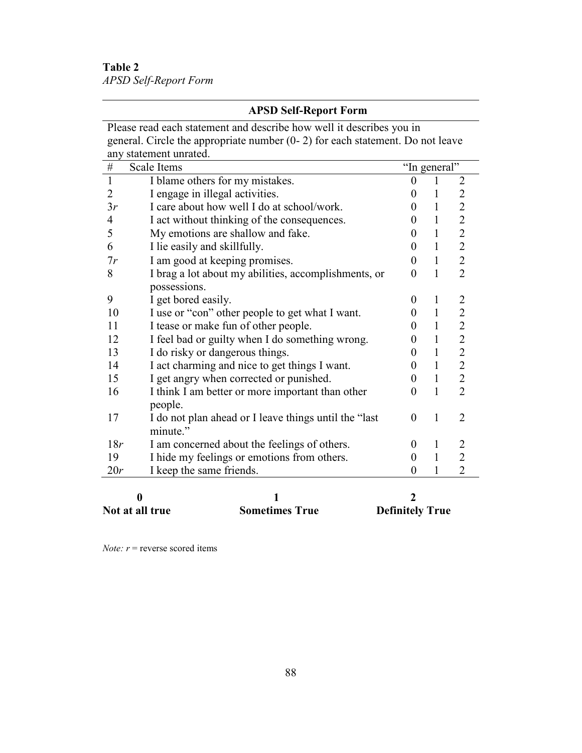**Table 2**  *APSD Self-Report Form*

|                | <b>APSD Self-Report Form</b>                                                      |                |              |                |
|----------------|-----------------------------------------------------------------------------------|----------------|--------------|----------------|
|                | Please read each statement and describe how well it describes you in              |                |              |                |
|                | general. Circle the appropriate number $(0 - 2)$ for each statement. Do not leave |                |              |                |
|                | any statement unrated.                                                            |                |              |                |
| $\#$           | Scale Items                                                                       | "In general"   |              |                |
| $\mathbf{1}$   | I blame others for my mistakes.                                                   | $\theta$       | 1            | 2              |
| $\overline{2}$ | I engage in illegal activities.                                                   | $\Omega$       | 1            | $\overline{2}$ |
| 3r             | I care about how well I do at school/work.                                        | 0              | 1            | $\overline{2}$ |
| $\overline{4}$ | I act without thinking of the consequences.                                       | 0              | 1            | $\overline{c}$ |
| 5              | My emotions are shallow and fake.                                                 | $\Omega$       | $\mathbf{1}$ | $\overline{2}$ |
| 6              | I lie easily and skillfully.                                                      | $\theta$       | 1            | $\overline{2}$ |
| 7r             | I am good at keeping promises.                                                    | $\Omega$       | $\mathbf{1}$ | $\overline{2}$ |
| 8              | I brag a lot about my abilities, accomplishments, or                              | $\theta$       | $\mathbf{1}$ | $\overline{2}$ |
|                | possessions.                                                                      |                |              |                |
| 9              | I get bored easily.                                                               | $\theta$       | 1            | $\overline{2}$ |
| 10             | I use or "con" other people to get what I want.                                   | $\theta$       | $\mathbf{1}$ | $\overline{2}$ |
| 11             | I tease or make fun of other people.                                              | 0              | $\mathbf{1}$ | $\overline{2}$ |
| 12             | I feel bad or guilty when I do something wrong.                                   | 0              | $\mathbf{1}$ | $\overline{2}$ |
| 13             | I do risky or dangerous things.                                                   | $\Omega$       | 1            | $\overline{2}$ |
| 14             | I act charming and nice to get things I want.                                     | $\overline{0}$ | $\mathbf{1}$ | $\overline{2}$ |
| 15             | I get angry when corrected or punished.                                           | $\Omega$       | $\mathbf{1}$ | $\overline{2}$ |
| 16             | I think I am better or more important than other                                  | 0              | $\mathbf{1}$ | $\overline{2}$ |
|                | people.                                                                           |                |              |                |
| 17             | I do not plan ahead or I leave things until the "last"                            | $\theta$       | 1            | $\overline{2}$ |
|                | minute."                                                                          |                |              |                |
| 18r            | I am concerned about the feelings of others.                                      | $\Omega$       | 1            | $\overline{2}$ |
| 19             | I hide my feelings or emotions from others.                                       | 0              | 1            | $\overline{2}$ |
| 20r            | I keep the same friends.                                                          | 0              | 1            | $\overline{2}$ |
|                |                                                                                   |                |              |                |
| $\mathbf{v}$   | 1                                                                                 | າ              |              |                |

|  |  | Not at all true |  |
|--|--|-----------------|--|
|  |  |                 |  |

### 0 1 2<br>all true Sometimes True Definitely True **For a set and the Sometimes True Sometimes True**

*Note:*  $r$  = reverse scored items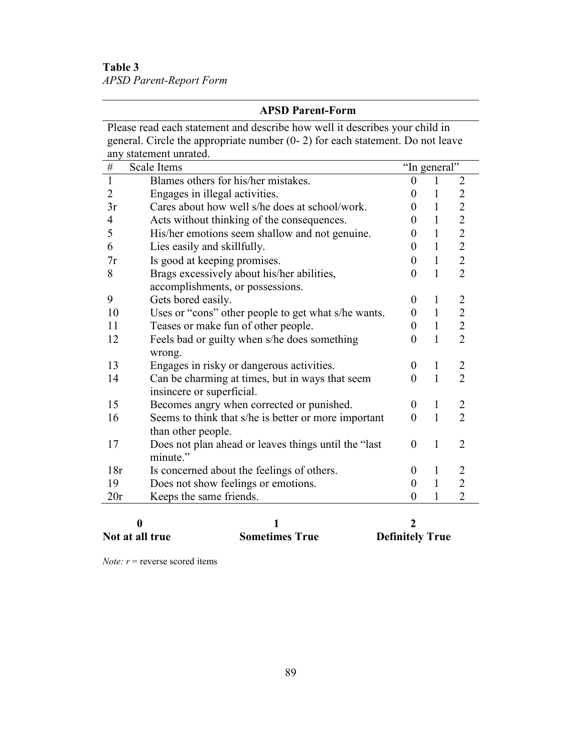**Table 3**  *APSD Parent-Report Form*

#### **APSD Parent-Form**

Please read each statement and describe how well it describes your child in general. Circle the appropriate number (0- 2) for each statement. Do not leave any statement unrated.

| $\overline{\#}$ | Scale Items                                           | "In general"     |              |                |
|-----------------|-------------------------------------------------------|------------------|--------------|----------------|
| $\mathbf{1}$    | Blames others for his/her mistakes.                   | 0                | $\mathbf{1}$ | $\overline{2}$ |
| $\overline{2}$  | Engages in illegal activities.                        | 0                | 1            | $\overline{2}$ |
| 3r              | Cares about how well s/he does at school/work.        | 0                | 1            | $\overline{2}$ |
| $\overline{4}$  | Acts without thinking of the consequences.            | $\Omega$         | $\mathbf{1}$ | $\overline{2}$ |
| 5               | His/her emotions seem shallow and not genuine.        | $\theta$         | $\mathbf{1}$ | $\overline{2}$ |
| 6               | Lies easily and skillfully.                           | 0                | $\mathbf{1}$ | $\overline{2}$ |
| 7r              | Is good at keeping promises.                          | 0                | $\mathbf{1}$ | $\overline{2}$ |
| 8               | Brags excessively about his/her abilities,            | $\boldsymbol{0}$ | $\mathbf{1}$ | $\overline{2}$ |
|                 | accomplishments, or possessions.                      |                  |              |                |
| 9               | Gets bored easily.                                    | 0                | 1            | $\overline{c}$ |
| 10              | Uses or "cons" other people to get what s/he wants.   | 0                | $\mathbf{1}$ | $\overline{2}$ |
| 11              | Teases or make fun of other people.                   | 0                | $\mathbf{1}$ | $\overline{2}$ |
| 12              | Feels bad or guilty when s/he does something          | $\theta$         | $\mathbf{1}$ | $\overline{2}$ |
|                 | wrong.                                                |                  |              |                |
| 13              | Engages in risky or dangerous activities.             | 0                | $\mathbf{1}$ | $\overline{2}$ |
| 14              | Can be charming at times, but in ways that seem       | 0                | $\mathbf{1}$ | $\overline{2}$ |
|                 | insincere or superficial.                             |                  |              |                |
| 15              | Becomes angry when corrected or punished.             | 0                | $\mathbf{1}$ | 2              |
| 16              | Seems to think that s/he is better or more important  | $\theta$         | $\mathbf{1}$ | $\overline{2}$ |
|                 | than other people.                                    |                  |              |                |
| 17              | Does not plan ahead or leaves things until the "last" | $\theta$         | $\mathbf{1}$ | $\overline{2}$ |
|                 | minute."                                              |                  |              |                |
| 18r             | Is concerned about the feelings of others.            | 0                | $\mathbf{1}$ | 2              |
| 19              | Does not show feelings or emotions.                   | 0                | $\mathbf{1}$ | $\overline{2}$ |
| 20r             | Keeps the same friends.                               | $\theta$         | 1            | $\overline{2}$ |
|                 |                                                       |                  |              |                |

| <b>Not at all true</b> | <b>Sometimes True</b> | <b>Definitely True</b> |
|------------------------|-----------------------|------------------------|

*Note:*  $r$  = reverse scored items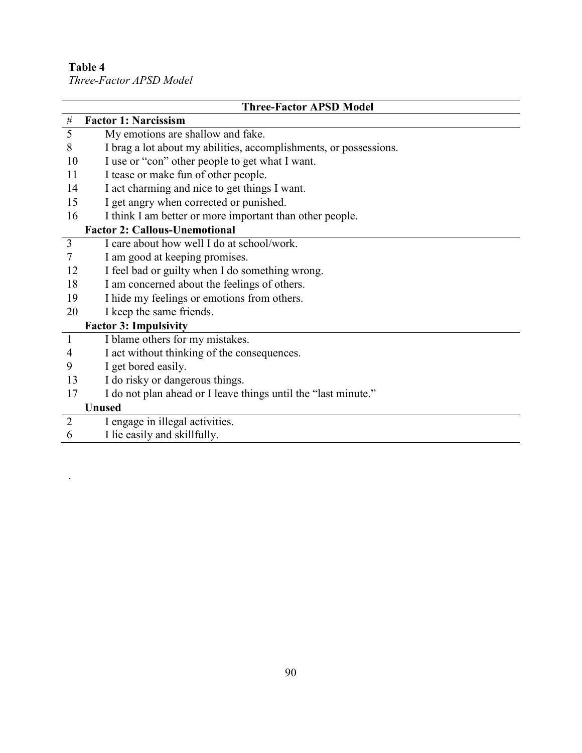.

*Three-Factor APSD Model* 

|                | <b>Three-Factor APSD Model</b>                                    |
|----------------|-------------------------------------------------------------------|
| $\#$           | <b>Factor 1: Narcissism</b>                                       |
| 5              | My emotions are shallow and fake.                                 |
| 8              | I brag a lot about my abilities, accomplishments, or possessions. |
| 10             | I use or "con" other people to get what I want.                   |
| 11             | I tease or make fun of other people.                              |
| 14             | I act charming and nice to get things I want.                     |
| 15             | I get angry when corrected or punished.                           |
| 16             | I think I am better or more important than other people.          |
|                | <b>Factor 2: Callous-Unemotional</b>                              |
| 3              | I care about how well I do at school/work.                        |
| $\overline{7}$ | I am good at keeping promises.                                    |
| 12             | I feel bad or guilty when I do something wrong.                   |
| 18             | I am concerned about the feelings of others.                      |
| 19             | I hide my feelings or emotions from others.                       |
| 20             | I keep the same friends.                                          |
|                | <b>Factor 3: Impulsivity</b>                                      |
| $\mathbf{1}$   | I blame others for my mistakes.                                   |
| 4              | I act without thinking of the consequences.                       |
| 9              | I get bored easily.                                               |
| 13             | I do risky or dangerous things.                                   |
| 17             | I do not plan ahead or I leave things until the "last minute."    |
|                | <b>Unused</b>                                                     |
| $\overline{2}$ | I engage in illegal activities.                                   |
| 6              | I lie easily and skillfully.                                      |
|                |                                                                   |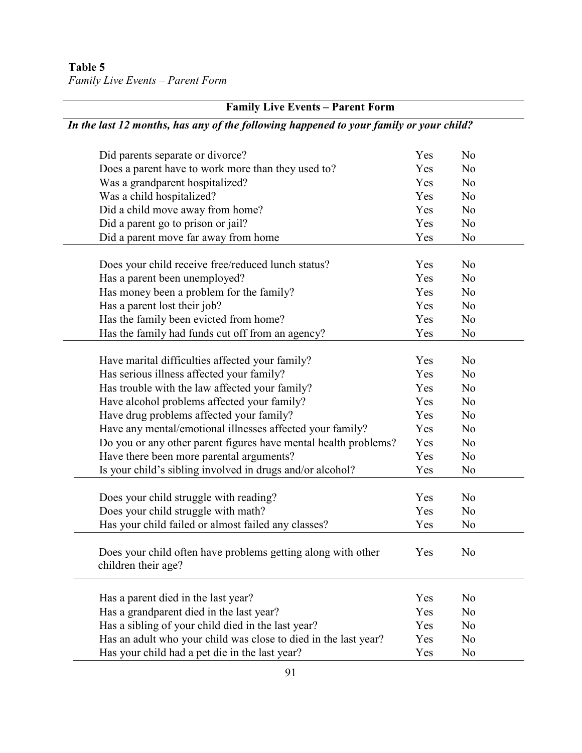|  |  | Family Live Events – Parent Form |
|--|--|----------------------------------|
|--|--|----------------------------------|

| <b>Family Live Events - Parent Form</b>                                                |     |                |  |
|----------------------------------------------------------------------------------------|-----|----------------|--|
| In the last 12 months, has any of the following happened to your family or your child? |     |                |  |
| Did parents separate or divorce?                                                       | Yes | N <sub>0</sub> |  |
| Does a parent have to work more than they used to?                                     | Yes | N <sub>0</sub> |  |
| Was a grandparent hospitalized?                                                        | Yes | N <sub>o</sub> |  |
| Was a child hospitalized?                                                              | Yes | N <sub>0</sub> |  |
| Did a child move away from home?                                                       | Yes | N <sub>0</sub> |  |
| Did a parent go to prison or jail?                                                     | Yes | N <sub>o</sub> |  |
| Did a parent move far away from home                                                   | Yes | N <sub>0</sub> |  |
| Does your child receive free/reduced lunch status?                                     | Yes | N <sub>o</sub> |  |
| Has a parent been unemployed?                                                          | Yes | N <sub>o</sub> |  |
| Has money been a problem for the family?                                               | Yes | N <sub>0</sub> |  |
| Has a parent lost their job?                                                           | Yes | N <sub>0</sub> |  |
| Has the family been evicted from home?                                                 | Yes | N <sub>0</sub> |  |
| Has the family had funds cut off from an agency?                                       | Yes | N <sub>0</sub> |  |
|                                                                                        |     |                |  |
| Have marital difficulties affected your family?                                        | Yes | N <sub>o</sub> |  |
| Has serious illness affected your family?                                              | Yes | N <sub>o</sub> |  |
| Has trouble with the law affected your family?                                         | Yes | N <sub>o</sub> |  |
| Have alcohol problems affected your family?                                            | Yes | N <sub>0</sub> |  |
| Have drug problems affected your family?                                               | Yes | N <sub>0</sub> |  |
| Have any mental/emotional illnesses affected your family?                              | Yes | N <sub>0</sub> |  |
| Do you or any other parent figures have mental health problems?                        | Yes | N <sub>0</sub> |  |
| Have there been more parental arguments?                                               | Yes | N <sub>0</sub> |  |
| Is your child's sibling involved in drugs and/or alcohol?                              | Yes | N <sub>0</sub> |  |
| Does your child struggle with reading?                                                 | Yes | N <sub>0</sub> |  |
| Does your child struggle with math?                                                    | Yes | N <sub>o</sub> |  |
| Has your child failed or almost failed any classes?                                    | Yes | No             |  |
| Does your child often have problems getting along with other<br>children their age?    | Yes | N <sub>0</sub> |  |
|                                                                                        |     |                |  |
| Has a parent died in the last year?                                                    | Yes | N <sub>0</sub> |  |
| Has a grandparent died in the last year?                                               | Yes | N <sub>0</sub> |  |
| Has a sibling of your child died in the last year?                                     | Yes | N <sub>o</sub> |  |
| Has an adult who your child was close to died in the last year?                        | Yes | N <sub>0</sub> |  |
| Has your child had a pet die in the last year?                                         | Yes | N <sub>0</sub> |  |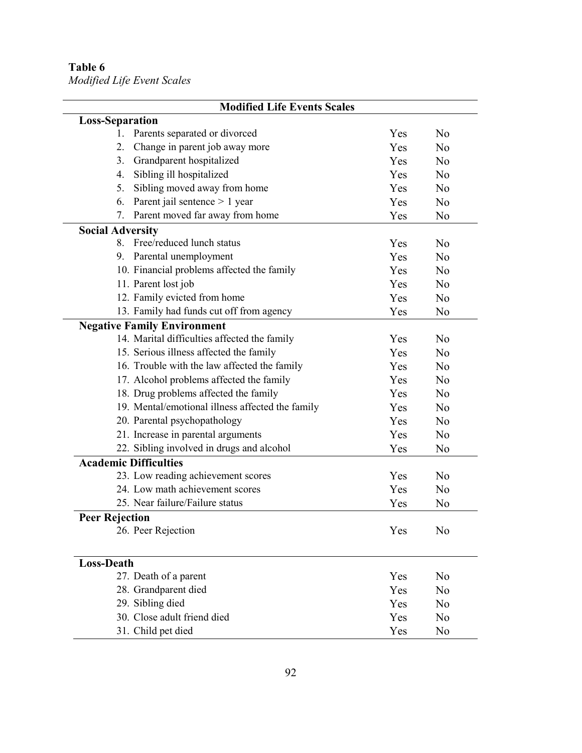*Modified Life Event Scales* 

| Yes | N <sub>o</sub>                  |
|-----|---------------------------------|
| Yes | N <sub>0</sub>                  |
| Yes | N <sub>0</sub>                  |
| Yes | N <sub>o</sub>                  |
| Yes | N <sub>0</sub>                  |
| Yes | N <sub>o</sub>                  |
| Yes | N <sub>0</sub>                  |
|     |                                 |
| Yes | N <sub>0</sub>                  |
| Yes | N <sub>0</sub>                  |
| Yes | N <sub>o</sub>                  |
| Yes | N <sub>0</sub>                  |
| Yes | N <sub>0</sub>                  |
| Yes | No                              |
|     |                                 |
| Yes | N <sub>o</sub>                  |
| Yes | No                              |
| Yes | N <sub>0</sub>                  |
| Yes | N <sub>o</sub>                  |
| Yes | N <sub>o</sub>                  |
| Yes | N <sub>o</sub>                  |
| Yes | N <sub>0</sub>                  |
| Yes | N <sub>0</sub>                  |
| Yes | No                              |
|     |                                 |
| Yes | N <sub>o</sub>                  |
| Yes | N <sub>0</sub>                  |
| Yes | N <sub>0</sub>                  |
|     |                                 |
| Yes | No                              |
|     |                                 |
|     | N <sub>0</sub>                  |
|     | N <sub>o</sub>                  |
|     | No                              |
|     | N <sub>o</sub>                  |
|     | No                              |
|     | Yes<br>Yes<br>Yes<br>Yes<br>Yes |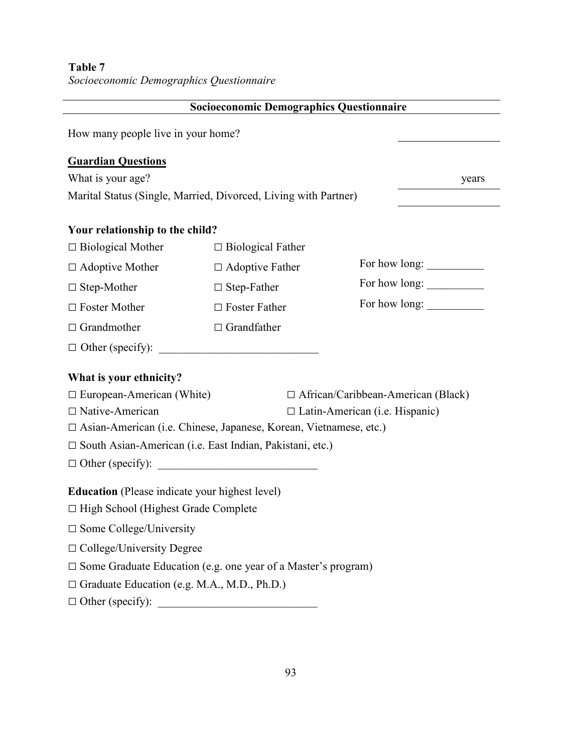| Table 7<br>Socioeconomic Demographics Questionnaire   |                                                                          |                                           |
|-------------------------------------------------------|--------------------------------------------------------------------------|-------------------------------------------|
|                                                       | <b>Socioeconomic Demographics Questionnaire</b>                          |                                           |
| How many people live in your home?                    |                                                                          |                                           |
| <b>Guardian Questions</b><br>What is your age?        | Marital Status (Single, Married, Divorced, Living with Partner)          | years                                     |
| Your relationship to the child?                       |                                                                          |                                           |
| $\Box$ Biological Mother                              | $\Box$ Biological Father                                                 |                                           |
| $\Box$ Adoptive Mother                                | $\Box$ Adoptive Father                                                   |                                           |
| $\Box$ Step-Mother                                    | $\Box$ Step-Father                                                       |                                           |
| $\Box$ Foster Mother                                  | $\Box$ Foster Father                                                     | For how long:                             |
| $\Box$ Grandmother                                    | $\Box$ Grandfather                                                       |                                           |
| $\Box$ Other (specify): $\Box$                        |                                                                          |                                           |
| What is your ethnicity?                               |                                                                          |                                           |
| $\Box$ European-American (White)                      |                                                                          | $\Box$ African/Caribbean-American (Black) |
| $\Box$ Native-American                                |                                                                          | □ Latin-American (i.e. Hispanic)          |
|                                                       | $\Box$ Asian-American (i.e. Chinese, Japanese, Korean, Vietnamese, etc.) |                                           |
|                                                       | □ South Asian-American (i.e. East Indian, Pakistani, etc.)               |                                           |
| $\Box$ Other (specify):                               | <u> 1980 - Jan Barbara Barbara, manazarta da </u>                        |                                           |
| <b>Education</b> (Please indicate your highest level) |                                                                          |                                           |
| $\Box$ High School (Highest Grade Complete            |                                                                          |                                           |
| $\square$ Some College/University                     |                                                                          |                                           |
| $\Box$ College/University Degree                      |                                                                          |                                           |
|                                                       | $\Box$ Some Graduate Education (e.g. one year of a Master's program)     |                                           |
| $\Box$ Graduate Education (e.g. M.A., M.D., Ph.D.)    |                                                                          |                                           |
| $\Box$ Other (specify):                               |                                                                          |                                           |

-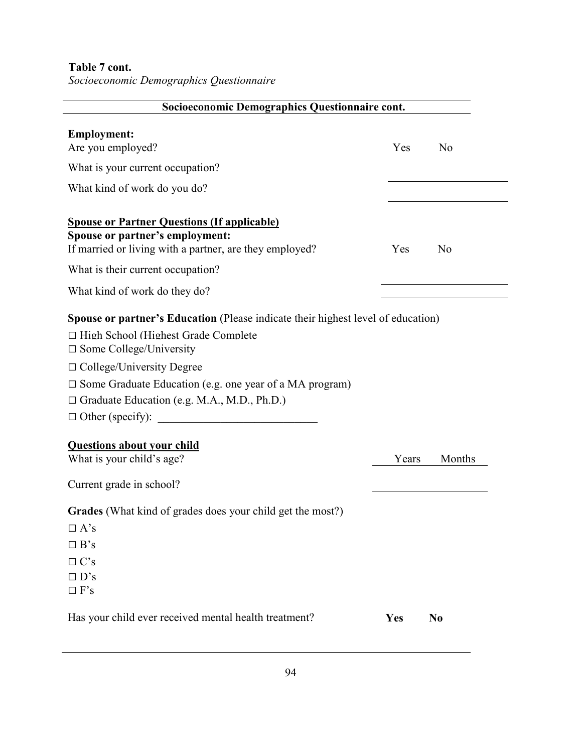**Table 7 cont.** 

*Socioeconomic Demographics Questionnaire* 

| Socioeconomic Demographics Questionnaire cont.                                                                                                                                                                                                                                                                                      |       |                |
|-------------------------------------------------------------------------------------------------------------------------------------------------------------------------------------------------------------------------------------------------------------------------------------------------------------------------------------|-------|----------------|
| <b>Employment:</b><br>Are you employed?                                                                                                                                                                                                                                                                                             | Yes   | N <sub>0</sub> |
| What is your current occupation?                                                                                                                                                                                                                                                                                                    |       |                |
| What kind of work do you do?                                                                                                                                                                                                                                                                                                        |       |                |
| <b>Spouse or Partner Questions (If applicable)</b><br>Spouse or partner's employment:<br>If married or living with a partner, are they employed?                                                                                                                                                                                    | Yes   | N <sub>0</sub> |
| What is their current occupation?                                                                                                                                                                                                                                                                                                   |       |                |
| What kind of work do they do?                                                                                                                                                                                                                                                                                                       |       |                |
| <b>Spouse or partner's Education</b> (Please indicate their highest level of education)<br>$\Box$ High School (Highest Grade Complete<br>$\Box$ Some College/University<br>$\Box$ College/University Degree<br>$\Box$ Some Graduate Education (e.g. one year of a MA program)<br>$\Box$ Graduate Education (e.g. M.A., M.D., Ph.D.) |       |                |
| <b>Questions about your child</b><br>What is your child's age?                                                                                                                                                                                                                                                                      | Years | Months         |
| Current grade in school?                                                                                                                                                                                                                                                                                                            |       |                |
| Grades (What kind of grades does your child get the most?)<br>$\Box$ A's<br>$\Box$ B's<br>$\Box C$ 's<br>$\Box$ D's<br>$\Box$ F's                                                                                                                                                                                                   |       |                |
| Has your child ever received mental health treatment?                                                                                                                                                                                                                                                                               | Yes   | N <sub>0</sub> |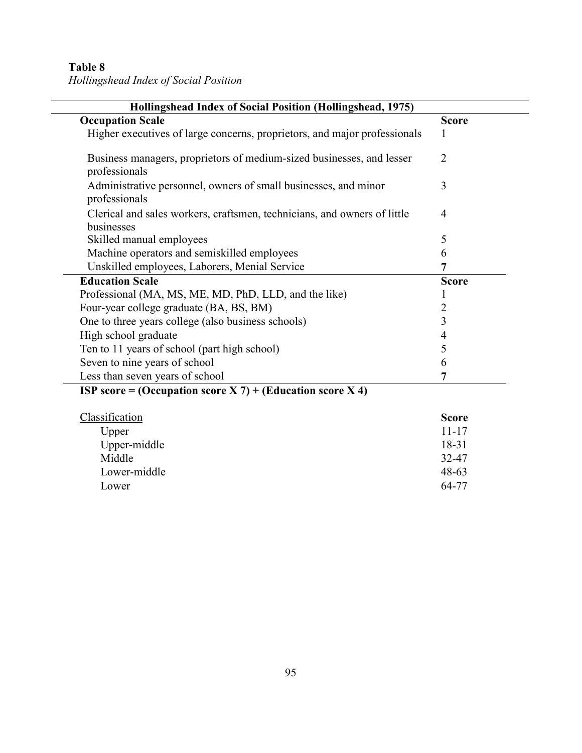*Hollingshead Index of Social Position* 

| Hollingshead Index of Social Position (Hollingshead, 1975)<br><b>Occupation Scale</b>  | <b>Score</b> |
|----------------------------------------------------------------------------------------|--------------|
| Higher executives of large concerns, proprietors, and major professionals              | 1            |
| Business managers, proprietors of medium-sized businesses, and lesser<br>professionals | 2            |
| Administrative personnel, owners of small businesses, and minor<br>professionals       | 3            |
| Clerical and sales workers, craftsmen, technicians, and owners of little<br>businesses | 4            |
| Skilled manual employees                                                               | 5            |
| Machine operators and semiskilled employees                                            | 6            |
| Unskilled employees, Laborers, Menial Service                                          |              |
| <b>Education Scale</b>                                                                 | <b>Score</b> |
| Professional (MA, MS, ME, MD, PhD, LLD, and the like)                                  |              |
| Four-year college graduate (BA, BS, BM)                                                |              |
| One to three years college (also business schools)                                     | 3            |
| High school graduate                                                                   | 4            |
| Ten to 11 years of school (part high school)                                           | 5            |
| Seven to nine years of school                                                          | 6            |
| Less than seven years of school                                                        |              |

#### **ISP score = (Occupation score X 7) + (Education score X 4)**

| Classification | <b>Score</b> |
|----------------|--------------|
| Upper          | $11 - 17$    |
| Upper-middle   | 18-31        |
| Middle         | 32-47        |
| Lower-middle   | $48 - 63$    |
| Lower          | 64-77        |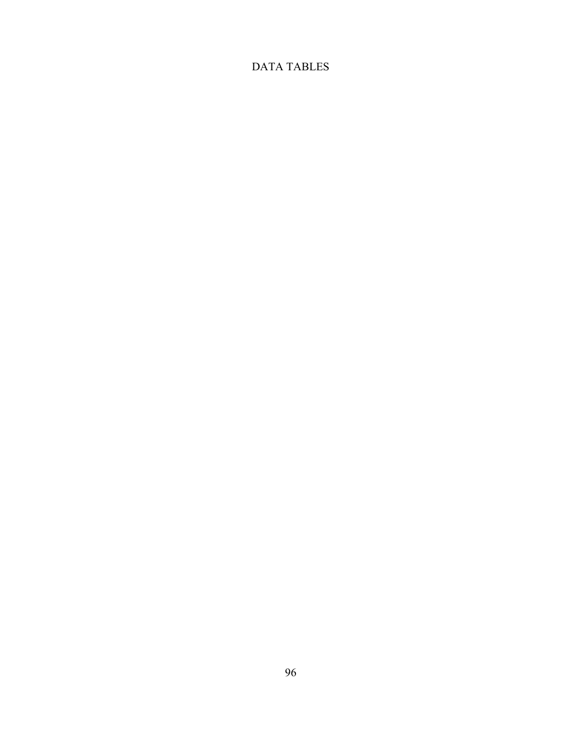## DATA TABLES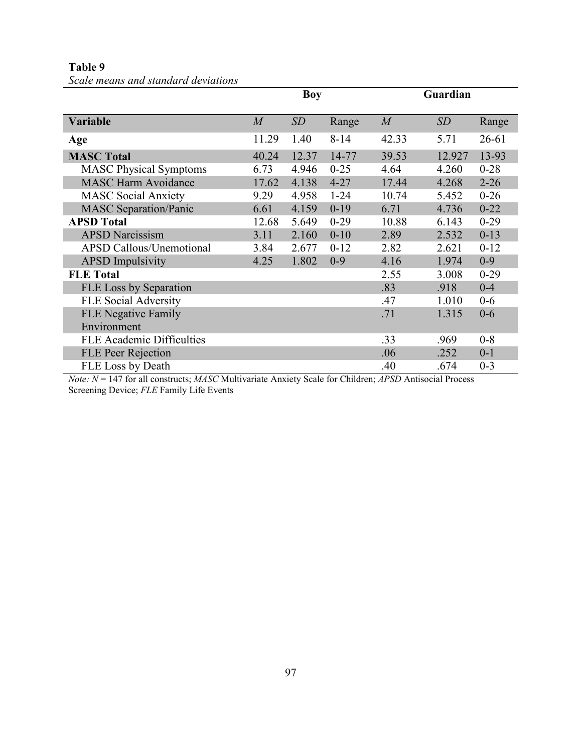**Table 9** 

| Scale means and standard deviations |  |  |  |
|-------------------------------------|--|--|--|
|-------------------------------------|--|--|--|

|                                  | <b>Boy</b>     |       |          | Guardian         |        |           |
|----------------------------------|----------------|-------|----------|------------------|--------|-----------|
| <b>Variable</b>                  | $\overline{M}$ | SD    | Range    | $\boldsymbol{M}$ | SD     | Range     |
| Age                              | 11.29          | 1.40  | $8 - 14$ | 42.33            | 5.71   | $26 - 61$ |
| <b>MASC Total</b>                | 40.24          | 12.37 | 14-77    | 39.53            | 12.927 | 13-93     |
| <b>MASC Physical Symptoms</b>    | 6.73           | 4.946 | $0 - 25$ | 4.64             | 4.260  | $0 - 28$  |
| <b>MASC Harm Avoidance</b>       | 17.62          | 4.138 | $4 - 27$ | 17.44            | 4.268  | $2 - 26$  |
| <b>MASC Social Anxiety</b>       | 9.29           | 4.958 | $1 - 24$ | 10.74            | 5.452  | $0 - 26$  |
| <b>MASC Separation/Panic</b>     | 6.61           | 4.159 | $0-19$   | 6.71             | 4.736  | $0 - 22$  |
| <b>APSD Total</b>                | 12.68          | 5.649 | $0 - 29$ | 10.88            | 6.143  | $0 - 29$  |
| <b>APSD Narcissism</b>           | 3.11           | 2.160 | $0 - 10$ | 2.89             | 2.532  | $0 - 13$  |
| <b>APSD Callous/Unemotional</b>  | 3.84           | 2.677 | $0 - 12$ | 2.82             | 2.621  | $0 - 12$  |
| <b>APSD</b> Impulsivity          | 4.25           | 1.802 | $0 - 9$  | 4.16             | 1.974  | $0 - 9$   |
| <b>FLE</b> Total                 |                |       |          | 2.55             | 3.008  | $0-29$    |
| FLE Loss by Separation           |                |       |          | .83              | .918   | $0 - 4$   |
| <b>FLE Social Adversity</b>      |                |       |          | .47              | 1.010  | $0-6$     |
| <b>FLE Negative Family</b>       |                |       |          | .71              | 1.315  | $0 - 6$   |
| Environment                      |                |       |          |                  |        |           |
| <b>FLE Academic Difficulties</b> |                |       |          | .33              | .969   | $0 - 8$   |
| <b>FLE Peer Rejection</b>        |                |       |          | .06              | .252   | $0 - 1$   |
| FLE Loss by Death                |                |       |          | .40              | .674   | $0 - 3$   |

*"ote: "* = 147 for all constructs; *MASC* Multivariate Anxiety Scale for Children; *APSD* Antisocial Process Screening Device; *FLE* Family Life Events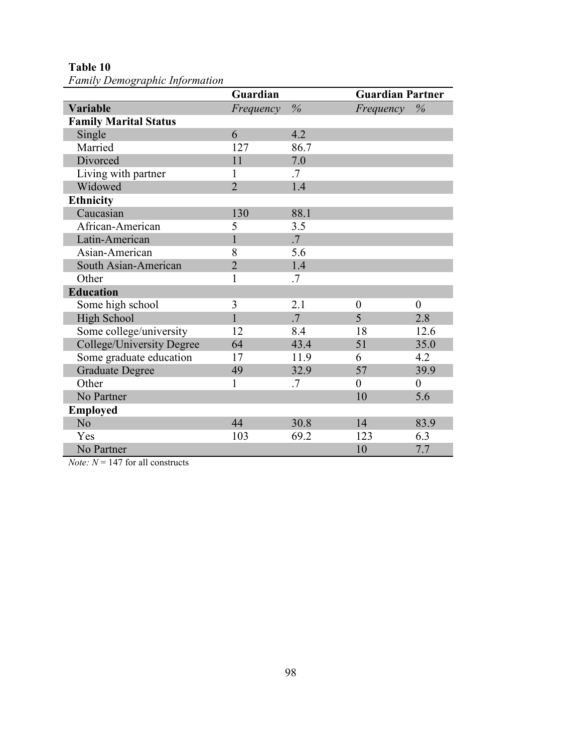**Table 10** 

*Family Demographic Information* 

|                              | Guardian       |        | <b>Guardian Partner</b> |                  |  |
|------------------------------|----------------|--------|-------------------------|------------------|--|
| <b>Variable</b>              | Frequency      | $\%$   | Frequency               | $\%$             |  |
| <b>Family Marital Status</b> |                |        |                         |                  |  |
| Single                       | 6              | 4.2    |                         |                  |  |
| Married                      | 127            | 86.7   |                         |                  |  |
| Divorced                     | 11             | 7.0    |                         |                  |  |
| Living with partner          | 1              | .7     |                         |                  |  |
| Widowed                      | $\overline{2}$ | 1.4    |                         |                  |  |
| <b>Ethnicity</b>             |                |        |                         |                  |  |
| Caucasian                    | 130            | 88.1   |                         |                  |  |
| African-American             | 5              | 3.5    |                         |                  |  |
| Latin-American               |                | $.7\,$ |                         |                  |  |
| Asian-American               | 8              | 5.6    |                         |                  |  |
| South Asian-American         | $\overline{2}$ | 1.4    |                         |                  |  |
| Other                        | 1              | .7     |                         |                  |  |
| <b>Education</b>             |                |        |                         |                  |  |
| Some high school             | 3              | 2.1    | $\boldsymbol{0}$        | $\boldsymbol{0}$ |  |
| High School                  | $\mathbf{1}$   | $.7\,$ | 5                       | 2.8              |  |
| Some college/university      | 12             | 8.4    | 18                      | 12.6             |  |
| College/University Degree    | 64             | 43.4   | 51                      | 35.0             |  |
| Some graduate education      | 17             | 11.9   | 6                       | 4.2              |  |
| <b>Graduate Degree</b>       | 49             | 32.9   | 57                      | 39.9             |  |
| Other                        | 1              | .7     | $\boldsymbol{0}$        | $\boldsymbol{0}$ |  |
| No Partner                   |                |        | 10                      | 5.6              |  |
| <b>Employed</b>              |                |        |                         |                  |  |
| N <sub>o</sub>               | 44             | 30.8   | 14                      | 83.9             |  |
| Yes                          | 103            | 69.2   | 123                     | 6.3              |  |
| No Partner                   |                |        | 10                      | 7.7              |  |

*Note:*  $N = 147$  for all constructs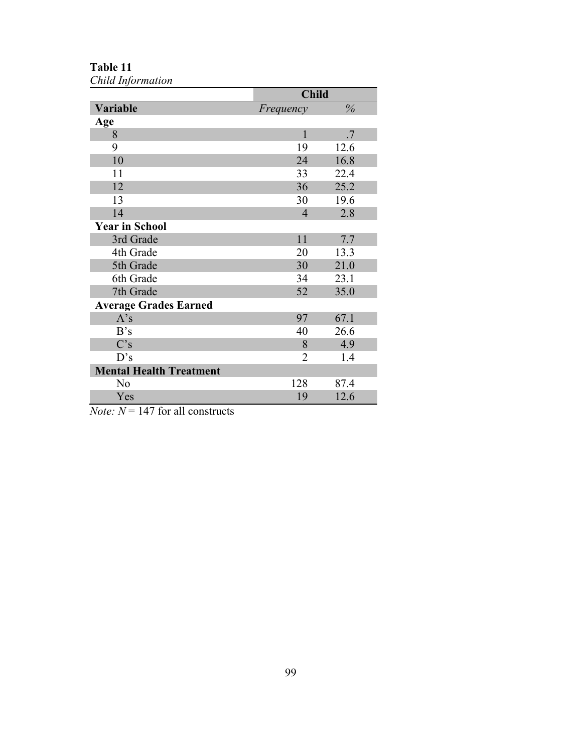**Table 11**  *Child Information* 

|                                | <b>Child</b>   |      |
|--------------------------------|----------------|------|
| Variable                       | Frequency      | $\%$ |
| Age                            |                |      |
| 8                              | 1              | .7   |
| 9                              | 19             | 12.6 |
| 10                             | 24             | 16.8 |
| 11                             | 33             | 22.4 |
| 12                             | 36             | 25.2 |
| 13                             | 30             | 19.6 |
| 14                             | $\overline{4}$ | 2.8  |
| <b>Year in School</b>          |                |      |
| 3rd Grade                      | 11             | 7.7  |
| 4th Grade                      | 20             | 13.3 |
| 5th Grade                      | 30             | 21.0 |
| 6th Grade                      | 34             | 23.1 |
| 7th Grade                      | 52             | 35.0 |
| <b>Average Grades Earned</b>   |                |      |
| A's                            | 97             | 67.1 |
| B's                            | 40             | 26.6 |
| C's                            | 8              | 4.9  |
| D's                            | $\overline{2}$ | 1.4  |
| <b>Mental Health Treatment</b> |                |      |
| N <sub>0</sub>                 | 128            | 87.4 |
| Yes                            | 19             | 12.6 |

*Note:*  $N = 147$  for all constructs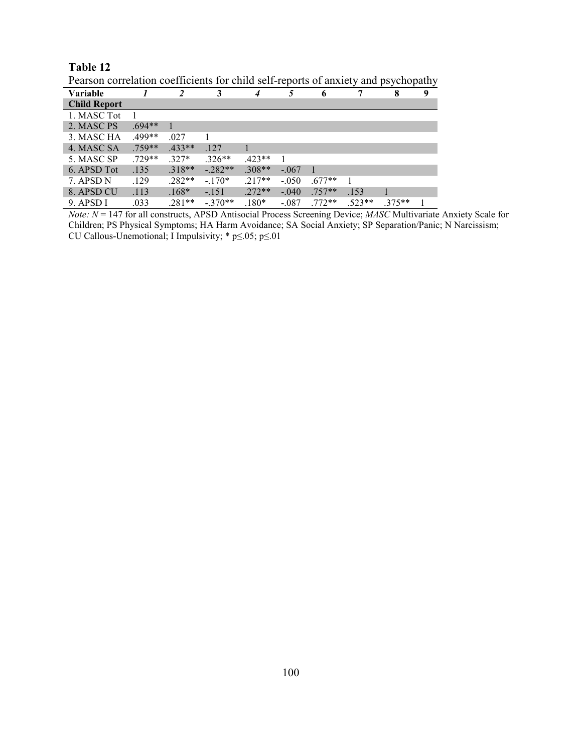| Pearson correlation coefficients for child self-reports of anxiety and psychopathy |          |          |          |          |         |          |          |          |   |
|------------------------------------------------------------------------------------|----------|----------|----------|----------|---------|----------|----------|----------|---|
| <b>Variable</b>                                                                    |          |          | 3        |          |         | 6        |          | 8        | 9 |
| <b>Child Report</b>                                                                |          |          |          |          |         |          |          |          |   |
| 1. MASC Tot                                                                        |          |          |          |          |         |          |          |          |   |
| 2. MASC PS                                                                         | $.694**$ |          |          |          |         |          |          |          |   |
| 3. MASC HA                                                                         | .499**   | .027     |          |          |         |          |          |          |   |
| 4. MASC SA                                                                         | $.759**$ | $.433**$ | .127     |          |         |          |          |          |   |
| 5. MASC SP                                                                         | $.729**$ | $.327*$  | $.326**$ | $.423**$ |         |          |          |          |   |
| 6. APSD Tot                                                                        | .135     | $.318**$ | $-282**$ | $.308**$ | $-.067$ |          |          |          |   |
| 7. APSD N                                                                          | .129     | $.282**$ | $-.170*$ | $.217**$ | $-.050$ | $.677**$ |          |          |   |
| 8. APSD CU                                                                         | .113     | $.168*$  | $-.151$  | $.272**$ | $-.040$ | $.757**$ | .153     |          |   |
| 9. APSD I                                                                          | .033     | 281**    | $-370**$ | $180*$   | $-.087$ | $.772**$ | $.523**$ | $.375**$ |   |

 $cc$  .  $\epsilon$  $1.111$  $\overline{10}$  $\mathbf{r}$ .  $\sim$  $\mathbf{1}$  $\overline{\mathbf{r}}$ <u>thy</u>

Table 12

Note:  $N = 147$  for all constructs, APSD Antisocial Process Screening Device; MASC Multivariate Anxiety Scale for Children; PS Physical Symptoms; HA Harm Avoidance; SA Social Anxiety; SP Separation/Panic; N Narcissism; CU Callous-Unemotional; I Impulsivity;  $* p \le 0.05$ ;  $p \le 0.01$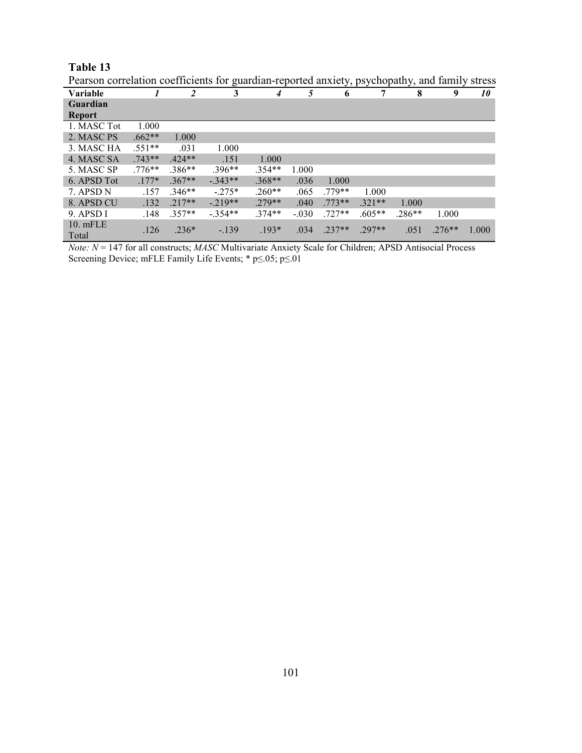| Pearson correlation coefficients for guardian-reported anxiety, psychopathy, and family stress |          |                |          |          |         |          |          |          |          |       |
|------------------------------------------------------------------------------------------------|----------|----------------|----------|----------|---------|----------|----------|----------|----------|-------|
| <b>Variable</b>                                                                                |          | $\overline{2}$ | 3        | 4        | 5       | 6        | 7        | 8        | 9        | 10    |
| Guardian                                                                                       |          |                |          |          |         |          |          |          |          |       |
| <b>Report</b>                                                                                  |          |                |          |          |         |          |          |          |          |       |
| 1. MASC Tot                                                                                    | 1.000    |                |          |          |         |          |          |          |          |       |
| 2. MASC PS                                                                                     | $.662**$ | 1.000          |          |          |         |          |          |          |          |       |
| 3. MASC HA                                                                                     | $.551**$ | .031           | 1.000    |          |         |          |          |          |          |       |
| 4. MASC SA                                                                                     | $.743**$ | $.424**$       | .151     | 1.000    |         |          |          |          |          |       |
| 5. MASC SP                                                                                     | $.776**$ | $.386**$       | $.396**$ | $.354**$ | 1.000   |          |          |          |          |       |
| 6. APSD Tot                                                                                    | $.177*$  | $.367**$       | $-343**$ | $.368**$ | .036    | 1.000    |          |          |          |       |
| 7. APSD N                                                                                      | .157     | $.346**$       | $-275*$  | $.260**$ | .065    | $.779**$ | 1.000    |          |          |       |
| 8. APSD CU                                                                                     | .132     | $.217**$       | $-219**$ | $.279**$ | .040    | $.773**$ | $.321**$ | 1.000    |          |       |
| 9. APSD I                                                                                      | .148     | $.357**$       | $-354**$ | $.374**$ | $-.030$ | $.727**$ | $.605**$ | $.286**$ | 1.000    |       |
| 10. mFLE<br>Total                                                                              | .126     | $.236*$        | $-139$   | $.193*$  | .034    | $.237**$ | $.297**$ | .051     | $.276**$ | 1.000 |

*Note: N* = 147 for all constructs; *MASC* Multivariate Anxiety Scale for Children; APSD Antisocial Process Screening Device; mFLE Family Life Events; \* p≤.05; p≤.01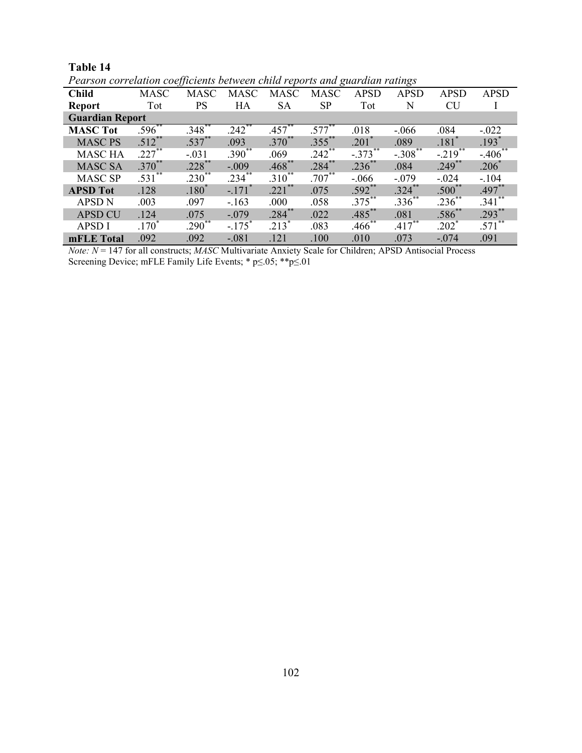|                        | T earson correlation coefficients between child reports and guaralan ratings |             |                      |             |             |                     |             |                       |             |  |  |
|------------------------|------------------------------------------------------------------------------|-------------|----------------------|-------------|-------------|---------------------|-------------|-----------------------|-------------|--|--|
| <b>Child</b>           | <b>MASC</b>                                                                  | <b>MASC</b> | <b>MASC</b>          | <b>MASC</b> | <b>MASC</b> | <b>APSD</b>         | <b>APSD</b> | <b>APSD</b>           | <b>APSD</b> |  |  |
| <b>Report</b>          | Tot                                                                          | <b>PS</b>   | HA                   | <b>SA</b>   | <b>SP</b>   | Tot                 | N           | <b>CU</b>             |             |  |  |
| <b>Guardian Report</b> |                                                                              |             |                      |             |             |                     |             |                       |             |  |  |
| <b>MASC Tot</b>        | $.596***$                                                                    | $.348***$   | $.242***$            | $.457***$   | $.577***$   | .018                | $-.066$     | .084                  | $-.022$     |  |  |
| <b>MASC PS</b>         | $.512***$                                                                    | $.537***$   | .093                 | $.370^{**}$ | $.355$ **   | $.201$ <sup>*</sup> | .089        | $.181$ <sup>*</sup>   | $.193*$     |  |  |
| <b>MASC HA</b>         | $.227***$                                                                    | $-.031$     | $.390**$             | .069        | $.242$ **   | $-.373***$          | $-.308$ **  | $-.219$ <sup>**</sup> | $-406$ **   |  |  |
| <b>MASC SA</b>         | $.370^{**}$                                                                  | $.228$ **   | $-.009$              | $.468***$   | $.284***$   | $.236***$           | .084        | $.249$ **             | $.206*$     |  |  |
| <b>MASC SP</b>         | $.531***$                                                                    | $.230**$    | $.234***$            | $.310^{**}$ | $.707^{**}$ | $-.066$             | $-.079$     | $-.024$               | $-.104$     |  |  |
| <b>APSD Tot</b>        | .128                                                                         | $.180*$     | $-.171$ <sup>*</sup> | $.221$ **   | .075        | $.592$ **           | $.324$ **   | $.500**$              | $.497**$    |  |  |
| <b>APSD N</b>          | .003                                                                         | .097        | $-163$               | .000        | .058        | $.375***$           | $.336***$   | $.236***$             | $.341***$   |  |  |
| <b>APSD CU</b>         | .124                                                                         | .075        | $-.079$              | $.284***$   | .022        | $.485***$           | .081        | $.586^{**}$           | $.293***$   |  |  |
| <b>APSD I</b>          | $.170*$                                                                      | $.290**$    | $-.175$ <sup>*</sup> | $.213*$     | .083        | $.466$ **           | $.417***$   | $202^*$               | $.571$ **   |  |  |
| mFLE Total             | .092                                                                         | .092        | $-.081$              | .121        | .100        | .010                | .073        | $-.074$               | .091        |  |  |

Table 14 Pearson correlation coefficients between child reports and quardian ratings

*Note:*  $N = 147$  for all constructs; *MASC* Multivariate Anxiety Scale for Children; APSD Antisocial Process Screening Device; mFLE Family Life Events; \*  $p \le 0.05$ ; \*\* $p \le 0.01$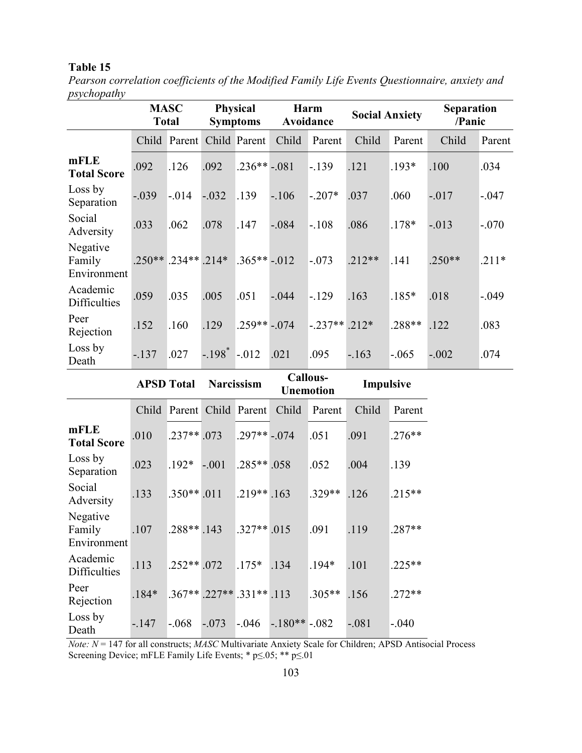*Pearson correlation coefficients of the Modified Family Life Events Questionnaire, anxiety and psychopathy* 

|                                   | <b>MASC</b><br><b>Total</b> |                                    | <b>Physical</b><br><b>Symptoms</b> |               | Harm<br>Avoidance            |                | <b>Social Anxiety</b> |          | <b>Separation</b><br>/Panic |         |
|-----------------------------------|-----------------------------|------------------------------------|------------------------------------|---------------|------------------------------|----------------|-----------------------|----------|-----------------------------|---------|
|                                   |                             | Child Parent Child Parent          |                                    |               | Child                        | Parent         | Child                 | Parent   | Child                       | Parent  |
| mFLE<br><b>Total Score</b>        | .092                        | .126                               | .092                               | $.236**-.081$ |                              | $-139$         | .121                  | $.193*$  | .100                        | .034    |
| Loss by<br>Separation             | $-.039$                     | $-.014$                            | $-.032$                            | .139          | $-.106$                      | $-.207*$       | .037                  | .060     | $-017$                      | $-.047$ |
| Social<br>Adversity               | .033                        | .062                               | .078                               | .147          | $-.084$                      | $-108$         | .086                  | $.178*$  | $-.013$                     | $-.070$ |
| Negative<br>Family<br>Environment |                             | $.250**$ .234** .214* .365** -.012 |                                    |               |                              | $-.073$        | $.212**$              | .141     | $.250**$                    | $.211*$ |
| Academic<br><b>Difficulties</b>   | .059                        | .035                               | .005                               | .051          | $-.044$                      | $-129$         | .163                  | $.185*$  | .018                        | $-.049$ |
| Peer<br>Rejection                 | .152                        | .160                               | .129                               | $.259**-.074$ |                              | $-.237**.212*$ |                       | .288**   | .122                        | .083    |
| Loss by<br>Death                  | $-137$                      | .027                               | $-.198^* - .012$                   |               | .021                         | .095           | $-163$                | $-0.065$ | $-.002$                     | .074    |
| <b>APSD Total</b>                 |                             | <b>Narcissism</b>                  |                                    |               | Callous-<br><b>Unemotion</b> |                | Impulsive             |          |                             |         |
|                                   | Child                       | Parent Child Parent                |                                    |               | Child                        | Parent         | Child                 | Parent   |                             |         |
| $m$ $\Gamma$ $\Gamma$             |                             |                                    |                                    |               |                              |                |                       |          |                             |         |

|                                   |         | Child Parent Child Parent         |         |                | Child          | Parent   | Child   | Parent   |
|-----------------------------------|---------|-----------------------------------|---------|----------------|----------------|----------|---------|----------|
| mFLE<br><b>Total Score</b>        | .010    | $.237**.073$                      |         | $.297**-.074$  |                | .051     | .091    | $.276**$ |
| Loss by<br>Separation             | .023    | $.192*$                           | $-.001$ | $.285**058$    |                | .052     | .004    | .139     |
| Social<br>Adversity               | .133    | $.350**.011$                      |         | $.219**$ . 163 |                | $.329**$ | .126    | $.215**$ |
| Negative<br>Family<br>Environment | .107    | $.288**.143$                      |         | $.327**.015$   |                | .091     | .119    | $.287**$ |
| Academic<br><b>Difficulties</b>   | .113    | $.252**.072$                      |         | $.175*$        | .134           | $194*$   | .101    | $.225**$ |
| Peer<br>Rejection                 | $.184*$ | $.367**$ $.227**$ $.331**$ $.113$ |         |                |                | $.305**$ | .156    | $.272**$ |
| Loss by<br>Death                  | $-.147$ | $-.068$                           | $-.073$ | $-.046$        | $-180** - 082$ |          | $-.081$ | $-.040$  |

*Note: N* = 147 for all constructs; *MASC* Multivariate Anxiety Scale for Children; APSD Antisocial Process Screening Device; mFLE Family Life Events; \* p≤.05; \*\* p≤.01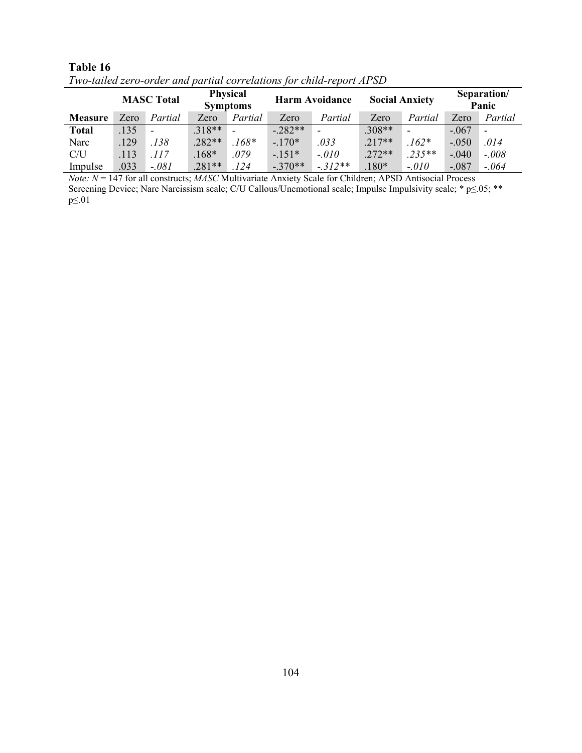|                | <b>MASC Total</b> |                          | <b>Physical</b><br><b>Symptoms</b> |                          | <b>Harm Avoidance</b> |           | <b>Social Anxiety</b> |          | Separation/<br>Panic |                          |
|----------------|-------------------|--------------------------|------------------------------------|--------------------------|-----------------------|-----------|-----------------------|----------|----------------------|--------------------------|
| <b>Measure</b> | Zero              | Partial                  | Zero                               | Partial                  | Zero                  | Partial   | Zero                  | Partial  | Zero                 | Partial                  |
| <b>Total</b>   | .135              | $\overline{\phantom{0}}$ | $.318**$                           | $\overline{\phantom{0}}$ | $-.282**$             |           | $.308**$              |          | $-.067$              | $\overline{\phantom{0}}$ |
| Narc           | .129              | .138                     | $.282**$                           | $.168*$                  | $-170*$               | .033      | $.217**$              | $162*$   | $-.050$              | .014                     |
| C/U            | .113              | .117                     | $.168*$                            | .079                     | $-151*$               | $-.010$   | $.272**$              | $.235**$ | $-.040$              | $-.008$                  |
| Impulse        | .033              | $-.081$                  | $.281**$                           | .124                     | $-.370**$             | $-.312**$ | $.180*$               | $-.010$  | $-.087$              | $-.064$                  |

Two-tailed zero-order and partial correlations for child-report APSD

*Note:*  $N = 147$  for all constructs; *MASC* Multivariate Anxiety Scale for Children; APSD Antisocial Process Screening Device; Narc Narcissism scale; C/U Callous/Unemotional scale; Impulse Impulsivity scale; \* p≤.05; \*\*  $p \leq 01$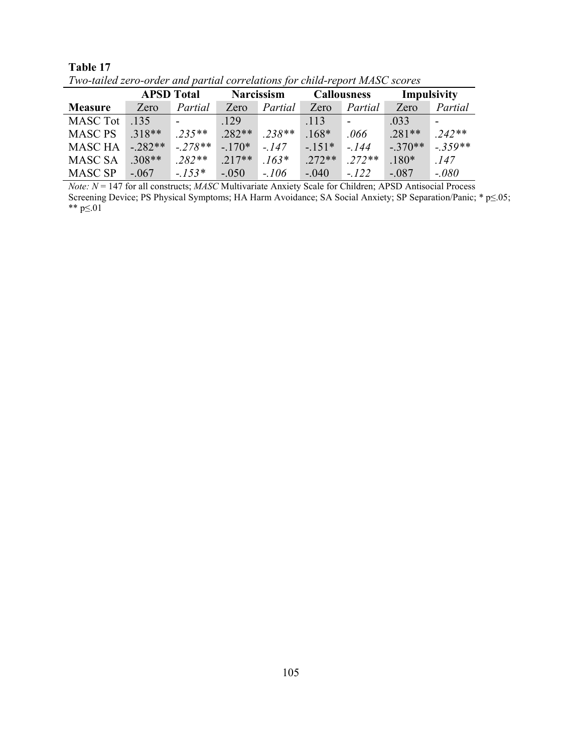|                 | <b>APSD</b> Total |           |          | <b>Narcissism</b> |          | <b>Callousness</b> |           | Impulsivity |  |
|-----------------|-------------------|-----------|----------|-------------------|----------|--------------------|-----------|-------------|--|
| <b>Measure</b>  | Zero              | Partial   | Zero     | Partial           | Zero     | Partial            | Zero      | Partial     |  |
| <b>MASC Tot</b> | .135              |           | .129     |                   | .113     |                    | .033      |             |  |
| <b>MASC PS</b>  | $.318**$          | $.235**$  | $.282**$ | $.238**$          | $.168*$  | .066               | $.281**$  | $.242**$    |  |
| <b>MASC HA</b>  | $-282**$          | $-.278**$ | $-170*$  | $-147$            | $-151*$  | $-144$             | $-.370**$ | $-.359**$   |  |
| <b>MASC SA</b>  | $.308**$          | $.282**$  | $217**$  | $.163*$           | $.272**$ | $.272**$           | $.180*$   | .147        |  |
| <b>MASC SP</b>  | $-.067$           | $-.153*$  | $-.050$  | $-.106$           | $-.040$  | $-.122$            | $-.087$   | $-.080$     |  |

Table 17 Two-tailed zero-order and partial correlations for child-report MASC scores

*Note:*  $N = 147$  for all constructs; *MASC* Multivariate Anxiety Scale for Children; APSD Antisocial Process Screening Device; PS Physical Symptoms; HA Harm Avoidance; SA Social Anxiety; SP Separation/Panic; \*  $p \le 05$ ; \*\*  $p \le 01$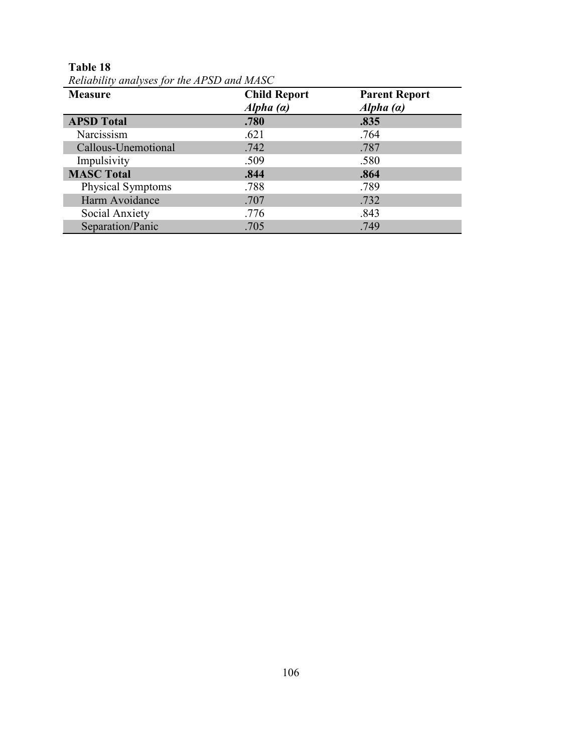| <b>Measure</b>           | <b>Child Report</b><br>Alpha $(a)$ | <b>Parent Report</b><br>Alpha $(a)$ |  |
|--------------------------|------------------------------------|-------------------------------------|--|
| <b>APSD Total</b>        | .780                               | .835                                |  |
| Narcissism               | .621                               | .764                                |  |
| Callous-Unemotional      | .742                               | .787                                |  |
| Impulsivity              | .509                               | .580                                |  |
| <b>MASC Total</b>        | .844                               | .864                                |  |
| <b>Physical Symptoms</b> | .788                               | .789                                |  |
| Harm Avoidance           | .707                               | .732                                |  |
| Social Anxiety           | .776                               | .843                                |  |
| Separation/Panic         | .705                               | .749                                |  |

**Table 18**  *Reliability analyses for the APSD and MASC*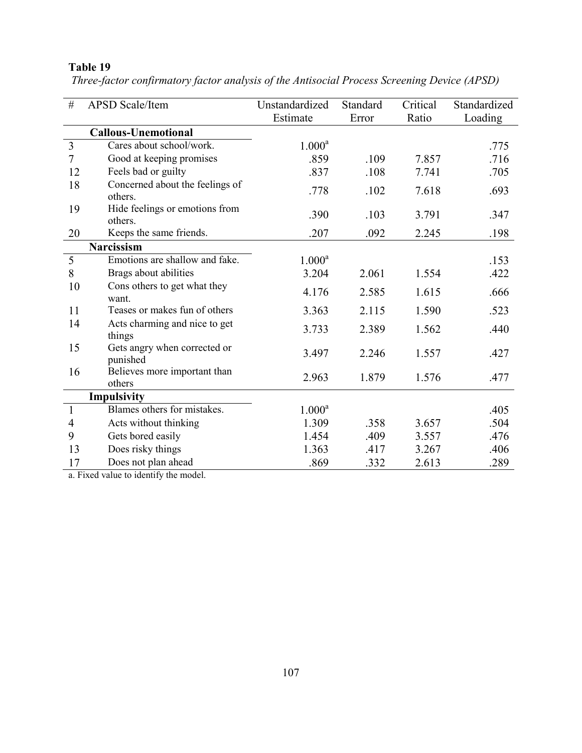| #              | <b>APSD</b> Scale/Item                   | Unstandardized | Standard | Critical | Standardized |
|----------------|------------------------------------------|----------------|----------|----------|--------------|
|                |                                          | Estimate       | Error    | Ratio    | Loading      |
|                | <b>Callous-Unemotional</b>               |                |          |          |              |
| 3              | Cares about school/work.                 | $1.000^a$      |          |          | .775         |
| $\overline{7}$ | Good at keeping promises                 | .859           | .109     | 7.857    | .716         |
| 12             | Feels bad or guilty                      | .837           | .108     | 7.741    | .705         |
| 18             | Concerned about the feelings of          | .778           | .102     | 7.618    | .693         |
|                | others.                                  |                |          |          |              |
| 19             | Hide feelings or emotions from           | .390           | .103     | 3.791    | .347         |
|                | others.                                  |                |          |          |              |
| 20             | Keeps the same friends.                  | .207           | .092     | 2.245    | .198         |
|                | Narcissism                               |                |          |          |              |
| 5              | Emotions are shallow and fake.           | $1.000^a$      |          |          | .153         |
| 8              | Brags about abilities                    | 3.204          | 2.061    | 1.554    | .422         |
| 10             | Cons others to get what they<br>want.    | 4.176          | 2.585    | 1.615    | .666         |
| 11             | Teases or makes fun of others            | 3.363          | 2.115    | 1.590    | .523         |
| 14             | Acts charming and nice to get<br>things  | 3.733          | 2.389    | 1.562    | .440         |
| 15             | Gets angry when corrected or<br>punished | 3.497          | 2.246    | 1.557    | .427         |
| 16             | Believes more important than<br>others   | 2.963          | 1.879    | 1.576    | .477         |
|                | <b>Impulsivity</b>                       |                |          |          |              |
| $\mathbf{1}$   | Blames others for mistakes.              | $1.000^a$      |          |          | .405         |
| 4              | Acts without thinking                    | 1.309          | .358     | 3.657    | .504         |
| 9              | Gets bored easily                        | 1.454          | .409     | 3.557    | .476         |
| 13             | Does risky things                        | 1.363          | .417     | 3.267    | .406         |
| 17             | Does not plan ahead                      | .869           | .332     | 2.613    | .289         |

 *Three-factor confirmatory factor analysis of the Antisocial Process Screening Device (APSD)* 

a. Fixed value to identify the model.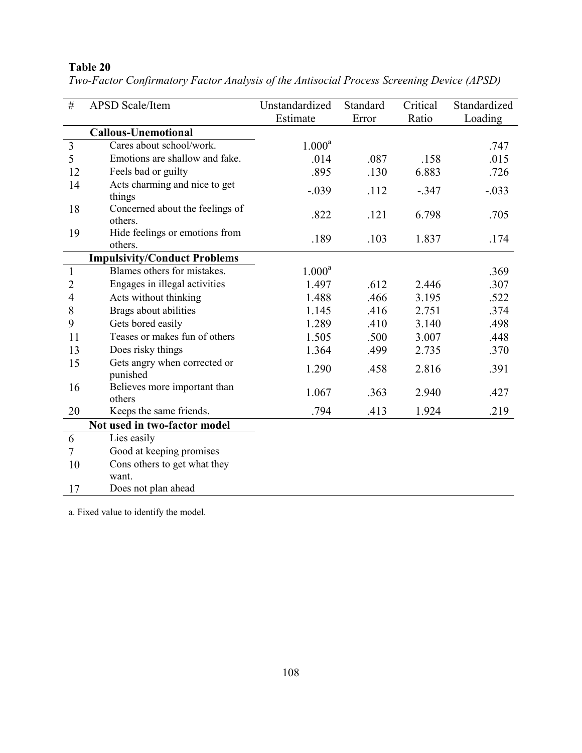| $\#$           | <b>APSD</b> Scale/Item                   | Unstandardized | Standard | Critical | Standardized |
|----------------|------------------------------------------|----------------|----------|----------|--------------|
|                |                                          | Estimate       | Error    | Ratio    | Loading      |
|                | <b>Callous-Unemotional</b>               |                |          |          |              |
| $\overline{3}$ | Cares about school/work.                 | $1.000^a$      |          |          | .747         |
| 5              | Emotions are shallow and fake.           | .014           | .087     | .158     | .015         |
| 12             | Feels bad or guilty                      | .895           | .130     | 6.883    | .726         |
| 14             | Acts charming and nice to get            | $-.039$        | .112     | $-.347$  | $-.033$      |
|                | things                                   |                |          |          |              |
| 18             | Concerned about the feelings of          | .822           | .121     | 6.798    | .705         |
|                | others.                                  |                |          |          |              |
| 19             | Hide feelings or emotions from           | .189           | .103     | 1.837    | .174         |
|                | others.                                  |                |          |          |              |
|                | <b>Impulsivity/Conduct Problems</b>      |                |          |          |              |
| $\mathbf{1}$   | Blames others for mistakes.              | $1.000^a$      |          |          | .369         |
| $\overline{2}$ | Engages in illegal activities            | 1.497          | .612     | 2.446    | .307         |
| $\overline{4}$ | Acts without thinking                    | 1.488          | .466     | 3.195    | .522         |
| 8              | Brags about abilities                    | 1.145          | .416     | 2.751    | .374         |
| 9              | Gets bored easily                        | 1.289          | .410     | 3.140    | .498         |
| 11             | Teases or makes fun of others            | 1.505          | .500     | 3.007    | .448         |
| 13             | Does risky things                        | 1.364          | .499     | 2.735    | .370         |
| 15             | Gets angry when corrected or<br>punished | 1.290          | .458     | 2.816    | .391         |
| 16             | Believes more important than<br>others   | 1.067          | .363     | 2.940    | .427         |
| 20             | Keeps the same friends.                  | .794           | .413     | 1.924    | .219         |
|                | Not used in two-factor model             |                |          |          |              |
| 6              | Lies easily                              |                |          |          |              |
| $\tau$         | Good at keeping promises                 |                |          |          |              |
| 10             | Cons others to get what they             |                |          |          |              |
|                | want.                                    |                |          |          |              |
| 17             | Does not plan ahead                      |                |          |          |              |

*Two-Factor Confirmatory Factor Analysis of the Antisocial Process Screening Device (APSD)* 

a. Fixed value to identify the model.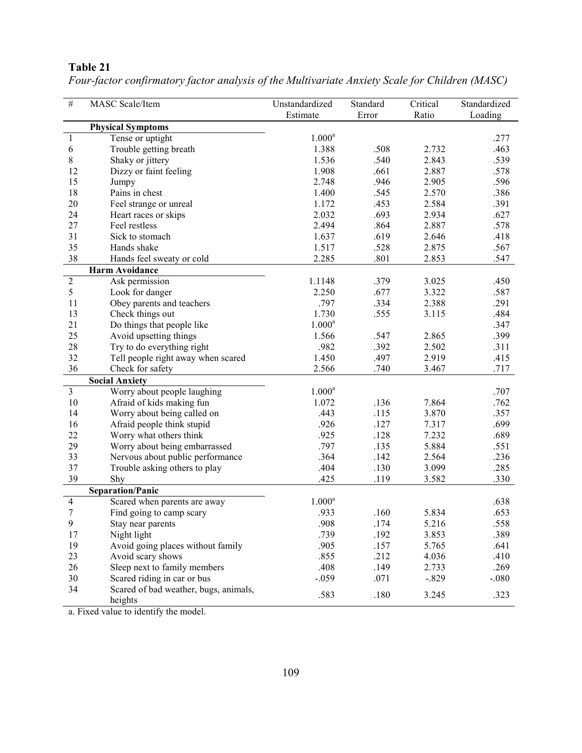| $\overline{\#}$         | MASC Scale/Item                                  | Unstandardized     | Standard | Critical | Standardized |
|-------------------------|--------------------------------------------------|--------------------|----------|----------|--------------|
|                         |                                                  | Estimate           | Error    | Ratio    | Loading      |
|                         | <b>Physical Symptoms</b>                         |                    |          |          |              |
| $\overline{1}$          | Tense or uptight                                 | $1.000^a$          |          |          | .277         |
| 6                       | Trouble getting breath                           | 1.388              | .508     | 2.732    | .463         |
| $8\,$                   | Shaky or jittery                                 | 1.536              | .540     | 2.843    | .539         |
| 12                      | Dizzy or faint feeling                           | 1.908              | .661     | 2.887    | .578         |
| 15                      | Jumpy                                            | 2.748              | .946     | 2.905    | .596         |
| 18                      | Pains in chest                                   | 1.400              | .545     | 2.570    | .386         |
| 20                      | Feel strange or unreal                           | 1.172              | .453     | 2.584    | .391         |
| 24                      | Heart races or skips                             | 2.032              | .693     | 2.934    | .627         |
| 27                      | Feel restless                                    | 2.494              | .864     | 2.887    | .578         |
| 31                      | Sick to stomach                                  | 1.637              | .619     | 2.646    | .418         |
| 35                      | Hands shake                                      | 1.517              | .528     | 2.875    | .567         |
| 38                      | Hands feel sweaty or cold                        | 2.285              | .801     | 2.853    | .547         |
|                         | <b>Harm Avoidance</b>                            |                    |          |          |              |
| $\overline{2}$          | Ask permission                                   | 1.1148             | .379     | 3.025    | .450         |
| 5                       | Look for danger                                  | 2.250              | .677     | 3.322    | .587         |
| 11                      | Obey parents and teachers                        | .797               | .334     | 2.388    | .291         |
| 13                      | Check things out                                 | 1.730              | .555     | 3.115    | .484         |
| 21                      | Do things that people like                       | $1.000^a$          |          |          | .347         |
| 25                      | Avoid upsetting things                           | 1.566              | .547     | 2.865    | .399         |
| 28                      | Try to do everything right                       | .982               | .392     | 2.502    | .311         |
| 32                      | Tell people right away when scared               | 1.450              | .497     | 2.919    | .415         |
| 36                      | Check for safety                                 | 2.566              | .740     | 3.467    | .717         |
|                         | <b>Social Anxiety</b>                            |                    |          |          |              |
| $\overline{\mathbf{3}}$ | Worry about people laughing                      | $1.000^a$          |          |          | .707         |
| 10                      | Afraid of kids making fun                        | 1.072              | .136     | 7.864    | .762         |
| 14                      | Worry about being called on                      | .443               | .115     | 3.870    | .357         |
| 16                      | Afraid people think stupid                       | .926               | .127     | 7.317    | .699         |
| 22                      | Worry what others think                          | .925               | .128     | 7.232    | .689         |
| 29                      | Worry about being embarrassed                    | .797               | .135     | 5.884    | .551         |
| 33                      | Nervous about public performance                 | .364               | .142     | 2.564    | .236         |
| 37                      | Trouble asking others to play                    | .404               | .130     | 3.099    | .285         |
| 39                      | Shy                                              | .425               | .119     | 3.582    | .330         |
|                         | <b>Separation/Panic</b>                          |                    |          |          |              |
| $\overline{4}$          | Scared when parents are away                     | 1.000 <sup>a</sup> |          |          | .638         |
| 7                       | Find going to camp scary                         | .933               | .160     | 5.834    | .653         |
| 9                       | Stay near parents                                | .908               | .174     | 5.216    | .558         |
| 17                      | Night light                                      | .739               | .192     | 3.853    | .389         |
| 19                      | Avoid going places without family                | .905               | .157     | 5.765    | .641         |
| 23                      | Avoid scary shows                                | .855               | .212     | 4.036    | .410         |
| 26                      | Sleep next to family members                     | .408               | .149     | 2.733    | .269         |
| 30                      | Scared riding in car or bus                      | $-.059$            | .071     | $-.829$  | $-0.080$     |
| 34                      | Scared of bad weather, bugs, animals,<br>heights | .583               | .180     | 3.245    | .323         |

*Four-factor confirmatory factor analysis of the Multivariate Anxiety Scale for Children (MASC)* 

a. Fixed value to identify the model.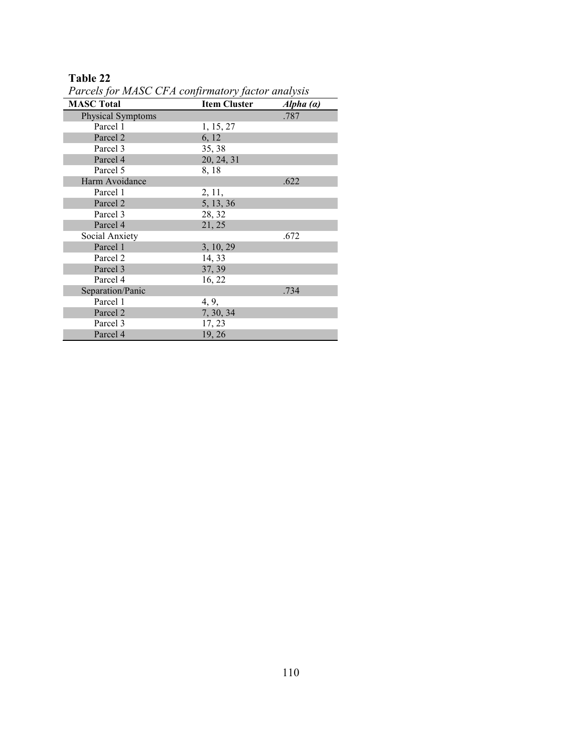| <b>MASC Total</b>        | <b>Item Cluster</b> | Alpha(a) |
|--------------------------|---------------------|----------|
| <b>Physical Symptoms</b> |                     | .787     |
| Parcel 1                 | 1, 15, 27           |          |
| Parcel 2                 | 6, 12               |          |
| Parcel 3                 | 35, 38              |          |
| Parcel 4                 | 20, 24, 31          |          |
| Parcel 5                 | 8, 18               |          |
| Harm Avoidance           |                     | .622     |
| Parcel 1                 | 2, 11,              |          |
| Parcel 2                 | 5, 13, 36           |          |
| Parcel 3                 | 28, 32              |          |
| Parcel 4                 | 21, 25              |          |
| Social Anxiety           |                     | .672     |
| Parcel 1                 | 3, 10, 29           |          |
| Parcel 2                 | 14, 33              |          |
| Parcel 3                 | 37, 39              |          |
| Parcel 4                 | 16, 22              |          |
| Separation/Panic         |                     | .734     |
| Parcel 1                 | 4, 9,               |          |
| Parcel 2                 | 7, 30, 34           |          |
| Parcel 3                 | 17, 23              |          |
| Parcel 4                 | 19, 26              |          |

*Parcels for MASC CFA confirmatory factor analysis*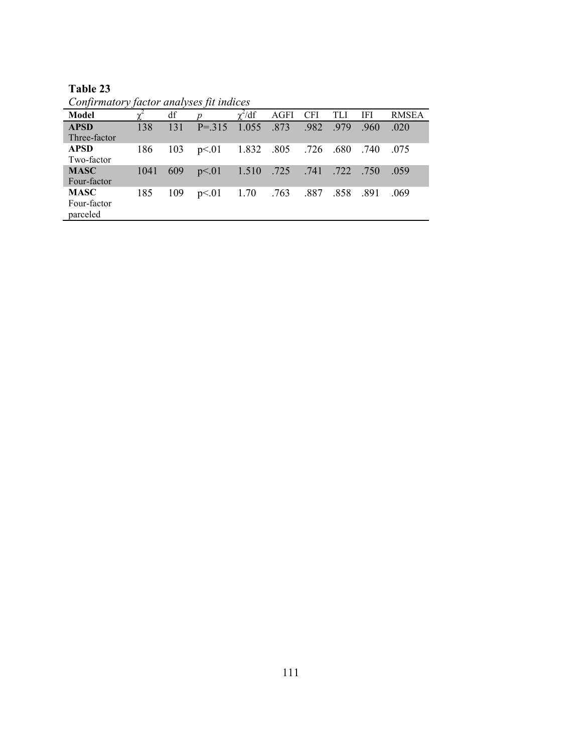|            | <b>Table 23</b> |  |  |  |
|------------|-----------------|--|--|--|
| $\sqrt{ }$ |                 |  |  |  |

| Confirmatory factor analyses fit indices |      |     |                  |                      |                      |            |      |      |              |
|------------------------------------------|------|-----|------------------|----------------------|----------------------|------------|------|------|--------------|
| Model                                    |      | df  | $\boldsymbol{p}$ | $\chi^2/df$          | AGFI                 | <b>CFI</b> | TLI. | IFI  | <b>RMSEA</b> |
| <b>APSD</b><br>Three-factor              | 138  | 131 | $P = 315$ 1.055  |                      | .873                 | .982       | .979 | .960 | .020         |
| <b>APSD</b><br>Two-factor                | 186  | 103 | p<.01            |                      | 1.832 .805 .726 .680 |            |      | .740 | .075         |
| <b>MASC</b><br>Four-factor               | 1041 | 609 | p<01             | 1.510 .725 .741 .722 |                      |            |      | .750 | .059         |
| <b>MASC</b><br>Four-factor<br>parceled   | 185  | 109 | p<01             | 1.70                 | .763.887             |            | .858 | .891 | .069         |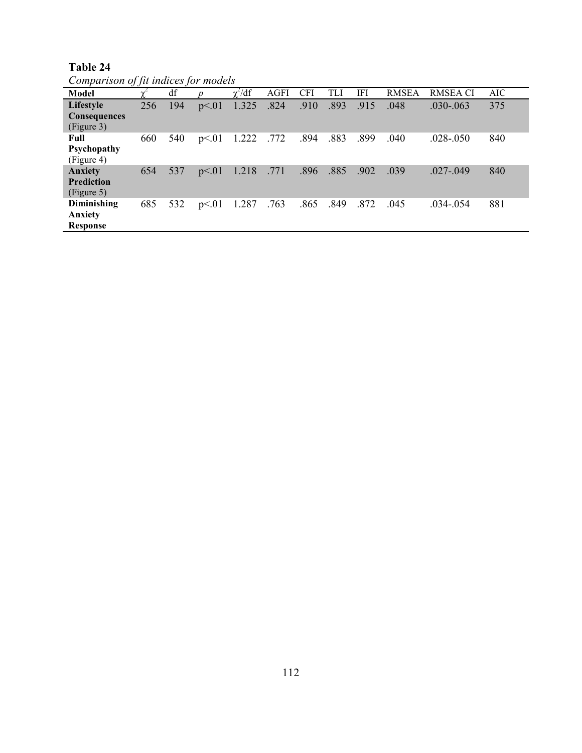**Table 24** 

*Comparison of fit indices for models* 

| Model                                             |     | df  |       | $\chi^2/df$ | <b>AGFI</b> | <b>CFI</b> | <b>TLI</b> | IFI  | <b>RMSEA</b> | <b>RMSEA CI</b> | AIC |
|---------------------------------------------------|-----|-----|-------|-------------|-------------|------------|------------|------|--------------|-----------------|-----|
| Lifestyle<br>Consequences<br>(Figure 3)           | 256 | 194 | p<01  | 1.325       | .824        | .910       | .893       | .915 | .048         | $.030 - .063$   | 375 |
| Full<br>Psychopathy<br>(Figure 4)                 | 660 | 540 | p<01  | 1.222       | .772        | .894       | .883       | .899 | .040         | $.028 - .050$   | 840 |
| <b>Anxiety</b><br><b>Prediction</b><br>(Figure 5) | 654 | 537 | p<01  | 1.218       | .771        | .896       | .885       | .902 | .039         | $.027 - .049$   | 840 |
| Diminishing<br>Anxiety<br><b>Response</b>         | 685 | 532 | p<.01 | 1.287       | .763        | .865       | .849       | .872 | .045         | $.034 - .054$   | 881 |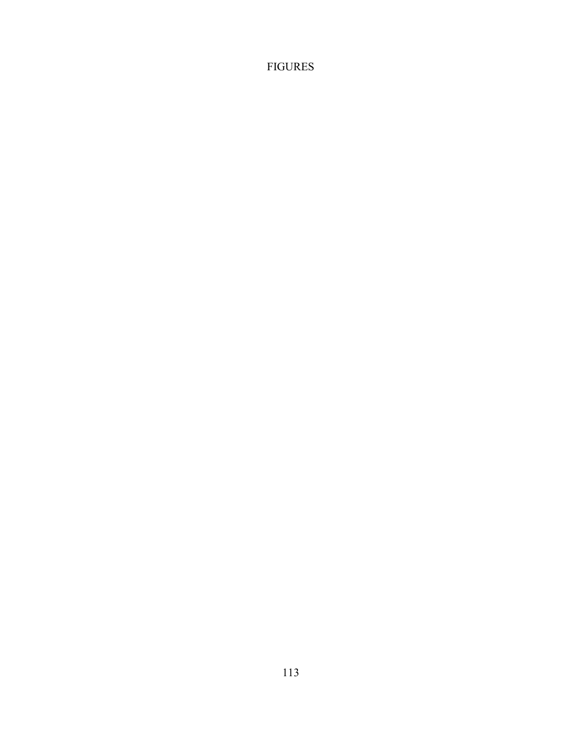FIGURES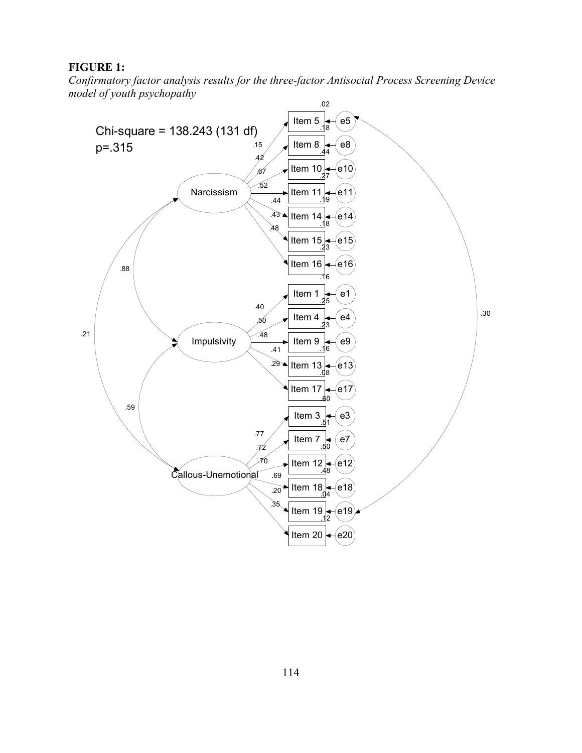**FIGURE 1:** 

Confirmatory factor analysis results for the three-factor Antisocial Process Screening Device model of youth psychopathy

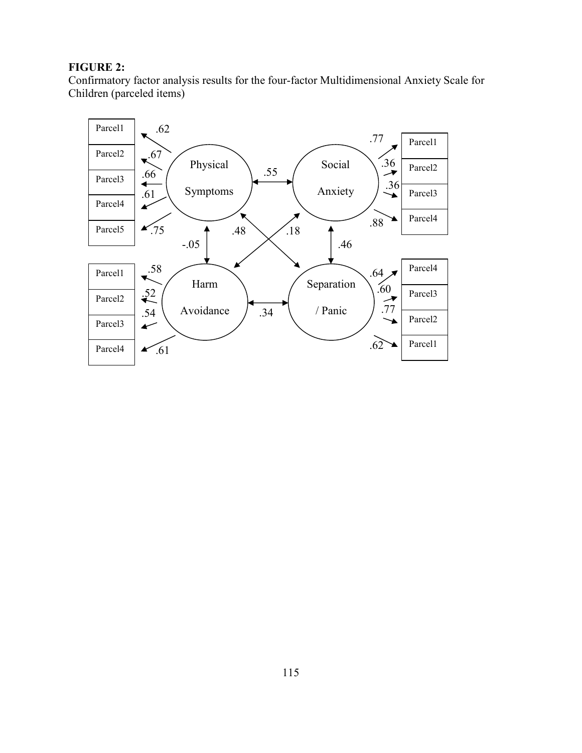## **FIGURE 2:**

Confirmatory factor analysis results for the four-factor Multidimensional Anxiety Scale for Children (parceled items)

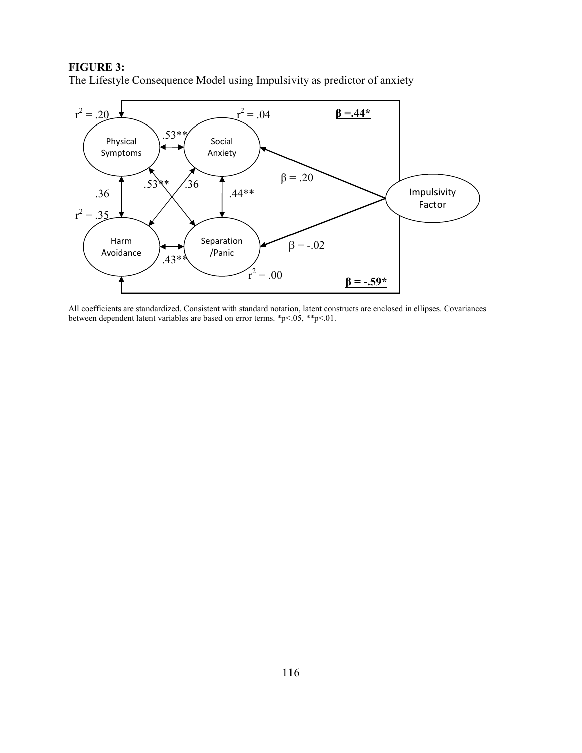### **FIGURE 3:**

The Lifestyle Consequence Model using Impulsivity as predictor of anxiety



All coefficients are standardized. Consistent with standard notation, latent constructs are enclosed in ellipses. Covariances between dependent latent variables are based on error terms. \*p<.05, \*\*p<.01.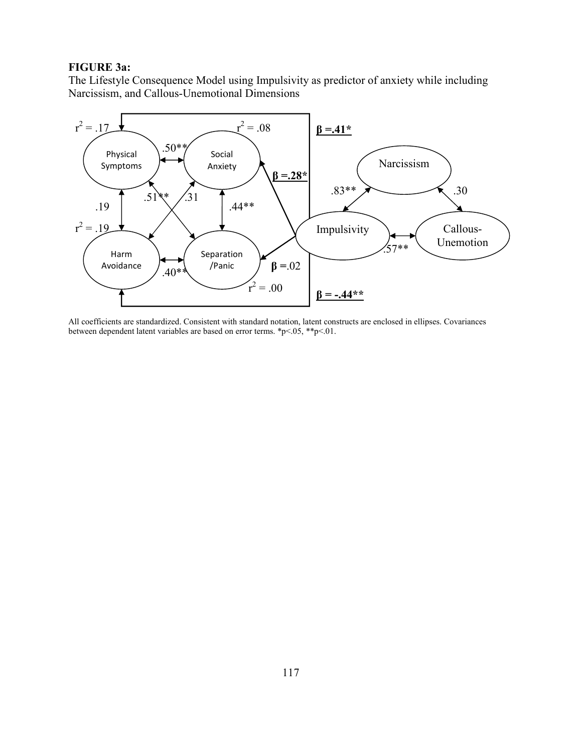#### **FIGURE 3a:**

The Lifestyle Consequence Model using Impulsivity as predictor of anxiety while including Narcissism, and Callous-Unemotional Dimensions



All coefficients are standardized. Consistent with standard notation, latent constructs are enclosed in ellipses. Covariances between dependent latent variables are based on error terms. \*p<.05, \*\*p<.01.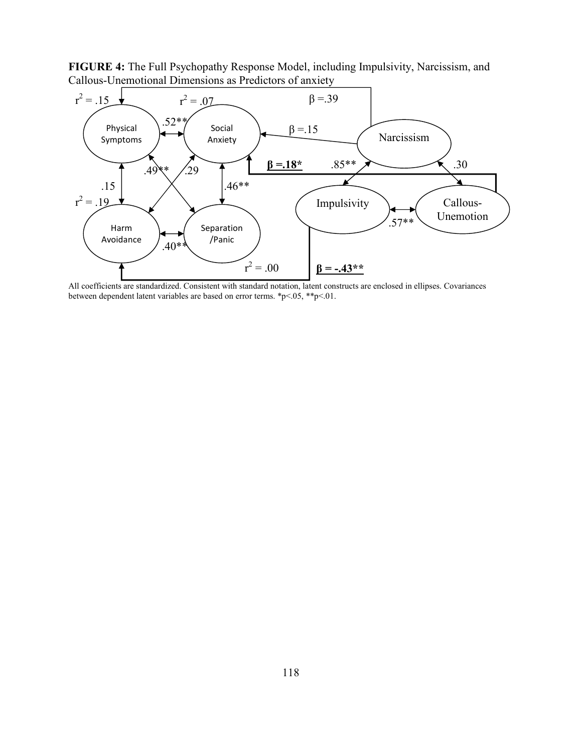

**FIGURE 4:** The Full Psychopathy Response Model, including Impulsivity, Narcissism, and Callous-Unemotional Dimensions as Predictors of anxiety

All coefficients are standardized. Consistent with standard notation, latent constructs are enclosed in ellipses. Covariances between dependent latent variables are based on error terms. \*p<.05, \*\*p<.01.